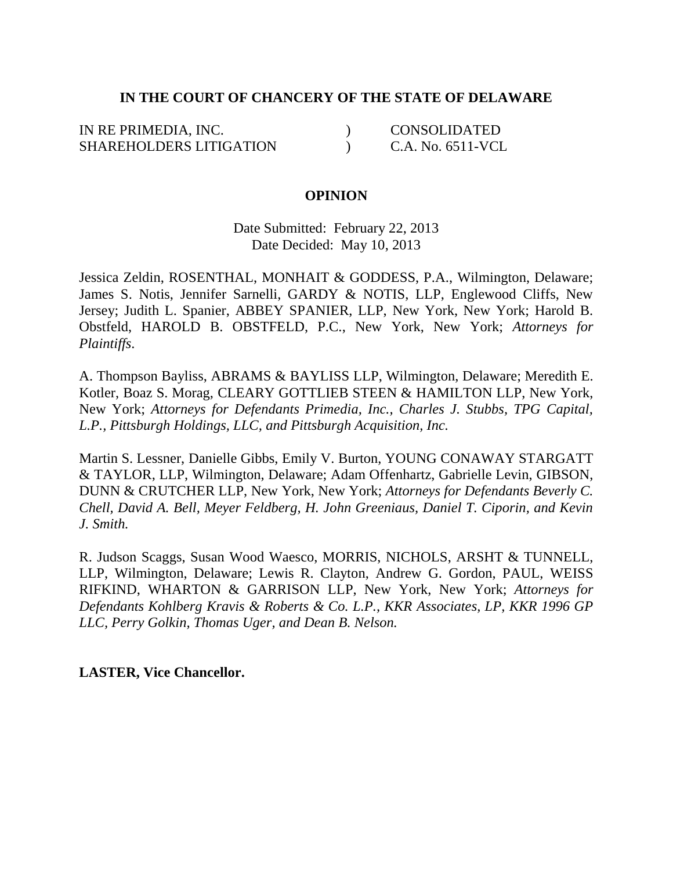# **IN THE COURT OF CHANCERY OF THE STATE OF DELAWARE**

IN RE PRIMEDIA, INC. SHAREHOLDERS LITIGATION  $\lambda$  $\lambda$ CONSOLIDATED C.A. No. 6511-VCL

### **OPINION**

Date Submitted: February 22, 2013 Date Decided: May 10, 2013

Jessica Zeldin, ROSENTHAL, MONHAIT & GODDESS, P.A., Wilmington, Delaware; James S. Notis, Jennifer Sarnelli, GARDY & NOTIS, LLP, Englewood Cliffs, New Jersey; Judith L. Spanier, ABBEY SPANIER, LLP, New York, New York; Harold B. Obstfeld, HAROLD B. OBSTFELD, P.C., New York, New York; *Attorneys for Plaintiffs*.

A. Thompson Bayliss, ABRAMS & BAYLISS LLP, Wilmington, Delaware; Meredith E. Kotler, Boaz S. Morag, CLEARY GOTTLIEB STEEN & HAMILTON LLP, New York, New York; *Attorneys for Defendants Primedia, Inc., Charles J. Stubbs, TPG Capital, L.P., Pittsburgh Holdings, LLC, and Pittsburgh Acquisition, Inc.*

Martin S. Lessner, Danielle Gibbs, Emily V. Burton, YOUNG CONAWAY STARGATT & TAYLOR, LLP, Wilmington, Delaware; Adam Offenhartz, Gabrielle Levin, GIBSON, DUNN & CRUTCHER LLP, New York, New York; *Attorneys for Defendants Beverly C. Chell, David A. Bell, Meyer Feldberg, H. John Greeniaus, Daniel T. Ciporin, and Kevin J. Smith.*

R. Judson Scaggs, Susan Wood Waesco, MORRIS, NICHOLS, ARSHT & TUNNELL, LLP, Wilmington, Delaware; Lewis R. Clayton, Andrew G. Gordon, PAUL, WEISS RIFKIND, WHARTON & GARRISON LLP, New York, New York; *Attorneys for Defendants Kohlberg Kravis & Roberts & Co. L.P., KKR Associates, LP, KKR 1996 GP LLC, Perry Golkin, Thomas Uger, and Dean B. Nelson.*

**LASTER, Vice Chancellor.**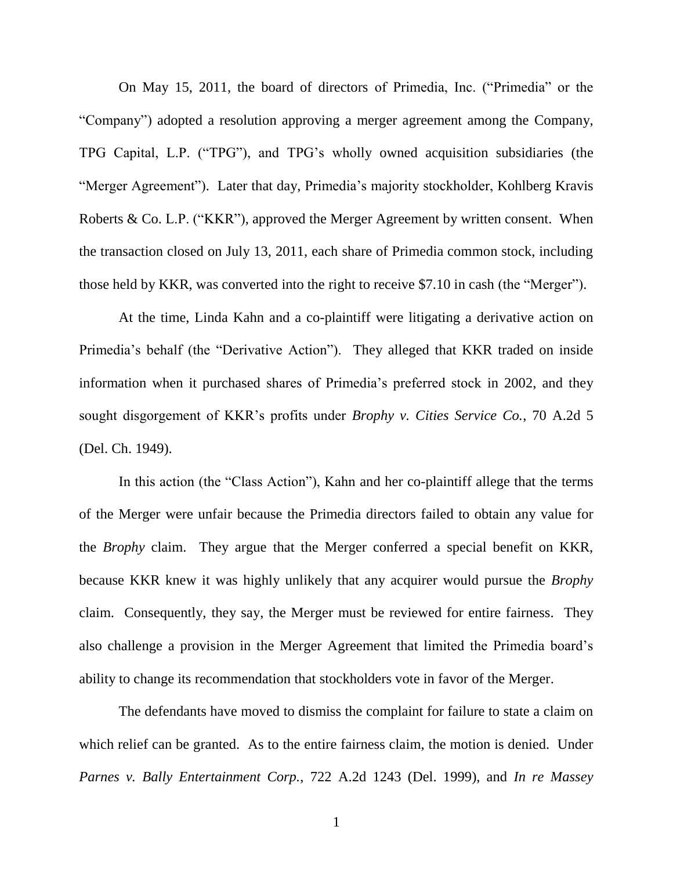On May 15, 2011, the board of directors of Primedia, Inc. ("Primedia" or the ―Company‖) adopted a resolution approving a merger agreement among the Company, TPG Capital, L.P. ("TPG"), and TPG's wholly owned acquisition subsidiaries (the "Merger Agreement"). Later that day, Primedia's majority stockholder, Kohlberg Kravis Roberts & Co. L.P. ("KKR"), approved the Merger Agreement by written consent. When the transaction closed on July 13, 2011, each share of Primedia common stock, including those held by KKR, was converted into the right to receive \$7.10 in cash (the "Merger").

At the time, Linda Kahn and a co-plaintiff were litigating a derivative action on Primedia's behalf (the "Derivative Action"). They alleged that KKR traded on inside information when it purchased shares of Primedia's preferred stock in 2002, and they sought disgorgement of KKR's profits under *Brophy v. Cities Service Co.*, 70 A.2d 5 (Del. Ch. 1949).

In this action (the "Class Action"), Kahn and her co-plaintiff allege that the terms of the Merger were unfair because the Primedia directors failed to obtain any value for the *Brophy* claim. They argue that the Merger conferred a special benefit on KKR, because KKR knew it was highly unlikely that any acquirer would pursue the *Brophy*  claim. Consequently, they say, the Merger must be reviewed for entire fairness. They also challenge a provision in the Merger Agreement that limited the Primedia board's ability to change its recommendation that stockholders vote in favor of the Merger.

The defendants have moved to dismiss the complaint for failure to state a claim on which relief can be granted. As to the entire fairness claim, the motion is denied. Under *Parnes v. Bally Entertainment Corp.*, 722 A.2d 1243 (Del. 1999), and *In re Massey*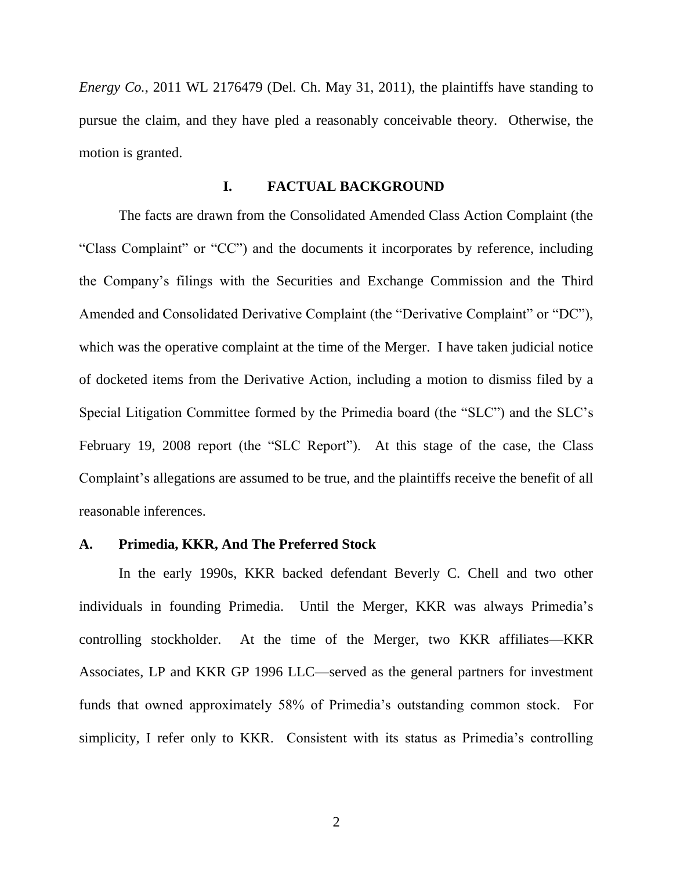*Energy Co.*, 2011 WL 2176479 (Del. Ch. May 31, 2011), the plaintiffs have standing to pursue the claim, and they have pled a reasonably conceivable theory. Otherwise, the motion is granted.

### **I. FACTUAL BACKGROUND**

The facts are drawn from the Consolidated Amended Class Action Complaint (the "Class Complaint" or "CC") and the documents it incorporates by reference, including the Company's filings with the Securities and Exchange Commission and the Third Amended and Consolidated Derivative Complaint (the "Derivative Complaint" or "DC"), which was the operative complaint at the time of the Merger. I have taken judicial notice of docketed items from the Derivative Action, including a motion to dismiss filed by a Special Litigation Committee formed by the Primedia board (the "SLC") and the SLC's February 19, 2008 report (the "SLC Report"). At this stage of the case, the Class Complaint's allegations are assumed to be true, and the plaintiffs receive the benefit of all reasonable inferences.

### **A. Primedia, KKR, And The Preferred Stock**

In the early 1990s, KKR backed defendant Beverly C. Chell and two other individuals in founding Primedia. Until the Merger, KKR was always Primedia's controlling stockholder. At the time of the Merger, two KKR affiliates—KKR Associates, LP and KKR GP 1996 LLC—served as the general partners for investment funds that owned approximately 58% of Primedia's outstanding common stock. For simplicity, I refer only to KKR. Consistent with its status as Primedia's controlling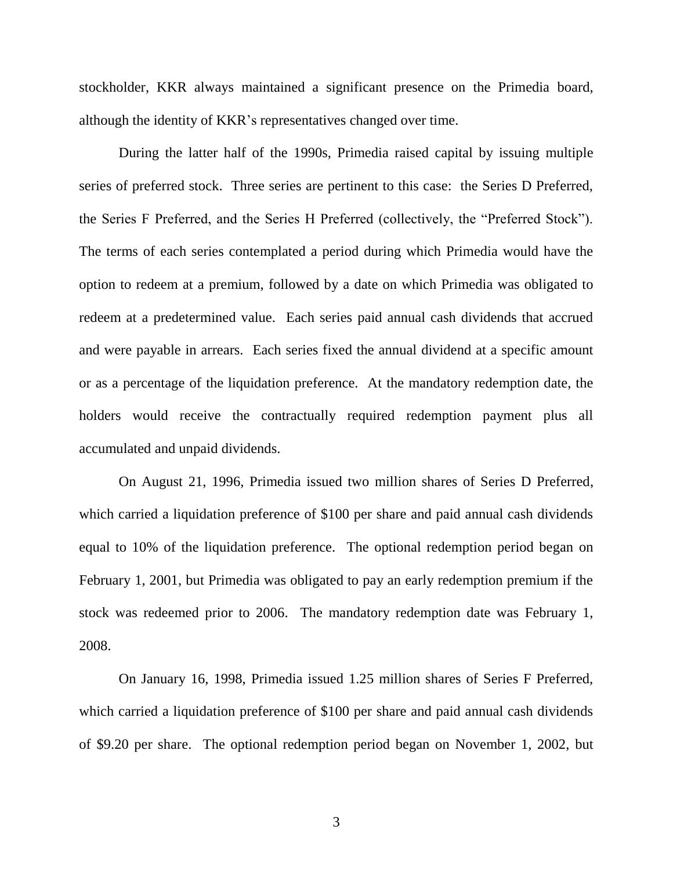stockholder, KKR always maintained a significant presence on the Primedia board, although the identity of KKR's representatives changed over time.

During the latter half of the 1990s, Primedia raised capital by issuing multiple series of preferred stock. Three series are pertinent to this case: the Series D Preferred, the Series F Preferred, and the Series H Preferred (collectively, the "Preferred Stock"). The terms of each series contemplated a period during which Primedia would have the option to redeem at a premium, followed by a date on which Primedia was obligated to redeem at a predetermined value. Each series paid annual cash dividends that accrued and were payable in arrears. Each series fixed the annual dividend at a specific amount or as a percentage of the liquidation preference. At the mandatory redemption date, the holders would receive the contractually required redemption payment plus all accumulated and unpaid dividends.

On August 21, 1996, Primedia issued two million shares of Series D Preferred, which carried a liquidation preference of \$100 per share and paid annual cash dividends equal to 10% of the liquidation preference. The optional redemption period began on February 1, 2001, but Primedia was obligated to pay an early redemption premium if the stock was redeemed prior to 2006. The mandatory redemption date was February 1, 2008.

On January 16, 1998, Primedia issued 1.25 million shares of Series F Preferred, which carried a liquidation preference of \$100 per share and paid annual cash dividends of \$9.20 per share. The optional redemption period began on November 1, 2002, but

3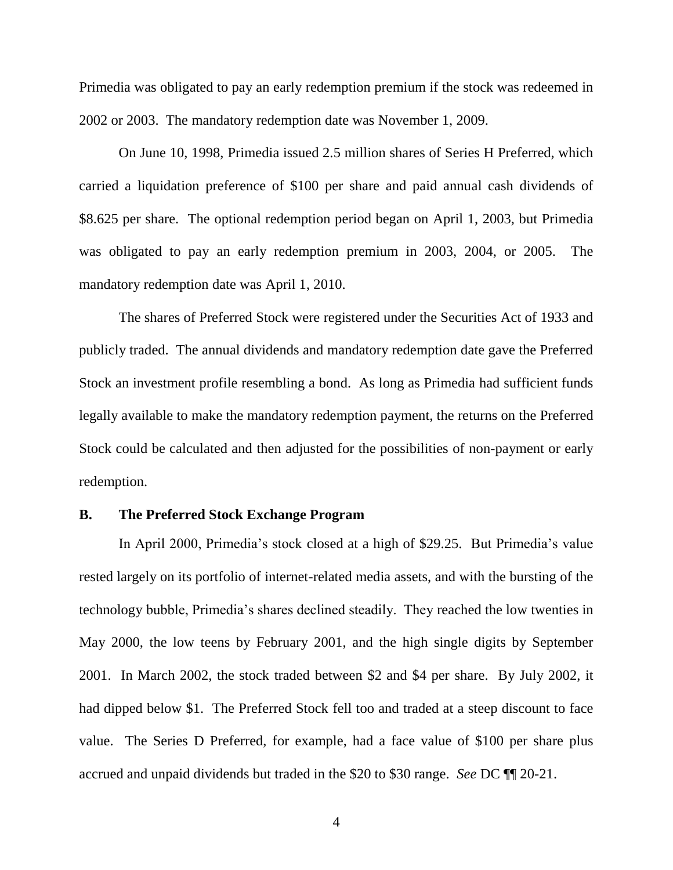Primedia was obligated to pay an early redemption premium if the stock was redeemed in 2002 or 2003. The mandatory redemption date was November 1, 2009.

On June 10, 1998, Primedia issued 2.5 million shares of Series H Preferred, which carried a liquidation preference of \$100 per share and paid annual cash dividends of \$8.625 per share. The optional redemption period began on April 1, 2003, but Primedia was obligated to pay an early redemption premium in 2003, 2004, or 2005. The mandatory redemption date was April 1, 2010.

The shares of Preferred Stock were registered under the Securities Act of 1933 and publicly traded. The annual dividends and mandatory redemption date gave the Preferred Stock an investment profile resembling a bond. As long as Primedia had sufficient funds legally available to make the mandatory redemption payment, the returns on the Preferred Stock could be calculated and then adjusted for the possibilities of non-payment or early redemption.

### **B. The Preferred Stock Exchange Program**

In April 2000, Primedia's stock closed at a high of \$29.25. But Primedia's value rested largely on its portfolio of internet-related media assets, and with the bursting of the technology bubble, Primedia's shares declined steadily. They reached the low twenties in May 2000, the low teens by February 2001, and the high single digits by September 2001. In March 2002, the stock traded between \$2 and \$4 per share. By July 2002, it had dipped below \$1. The Preferred Stock fell too and traded at a steep discount to face value. The Series D Preferred, for example, had a face value of \$100 per share plus accrued and unpaid dividends but traded in the \$20 to \$30 range. *See* DC ¶¶ 20-21.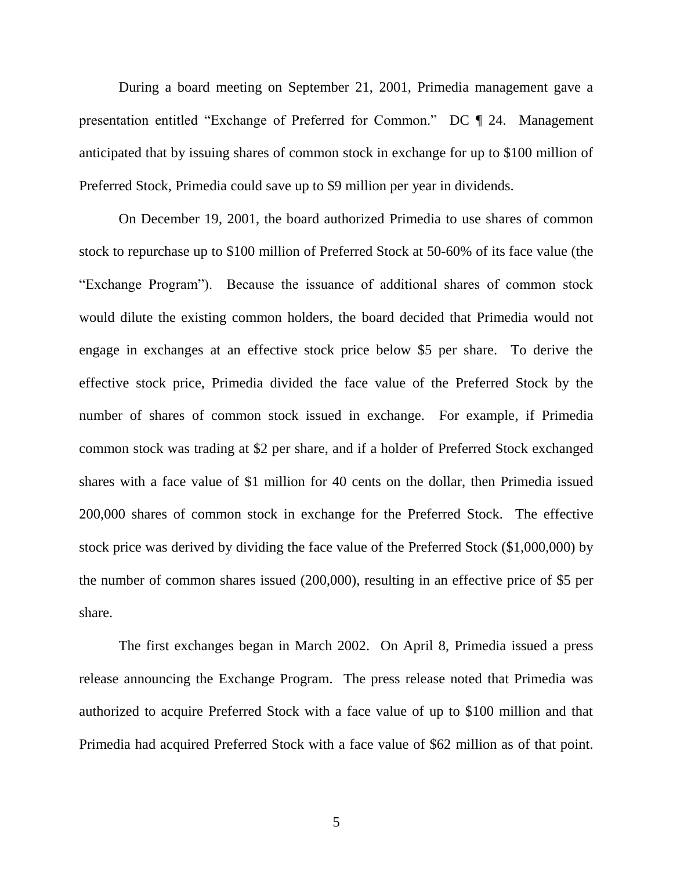During a board meeting on September 21, 2001, Primedia management gave a presentation entitled "Exchange of Preferred for Common." DC ¶ 24. Management anticipated that by issuing shares of common stock in exchange for up to \$100 million of Preferred Stock, Primedia could save up to \$9 million per year in dividends.

On December 19, 2001, the board authorized Primedia to use shares of common stock to repurchase up to \$100 million of Preferred Stock at 50-60% of its face value (the ―Exchange Program‖). Because the issuance of additional shares of common stock would dilute the existing common holders, the board decided that Primedia would not engage in exchanges at an effective stock price below \$5 per share. To derive the effective stock price, Primedia divided the face value of the Preferred Stock by the number of shares of common stock issued in exchange. For example, if Primedia common stock was trading at \$2 per share, and if a holder of Preferred Stock exchanged shares with a face value of \$1 million for 40 cents on the dollar, then Primedia issued 200,000 shares of common stock in exchange for the Preferred Stock. The effective stock price was derived by dividing the face value of the Preferred Stock (\$1,000,000) by the number of common shares issued (200,000), resulting in an effective price of \$5 per share.

The first exchanges began in March 2002. On April 8, Primedia issued a press release announcing the Exchange Program. The press release noted that Primedia was authorized to acquire Preferred Stock with a face value of up to \$100 million and that Primedia had acquired Preferred Stock with a face value of \$62 million as of that point.

5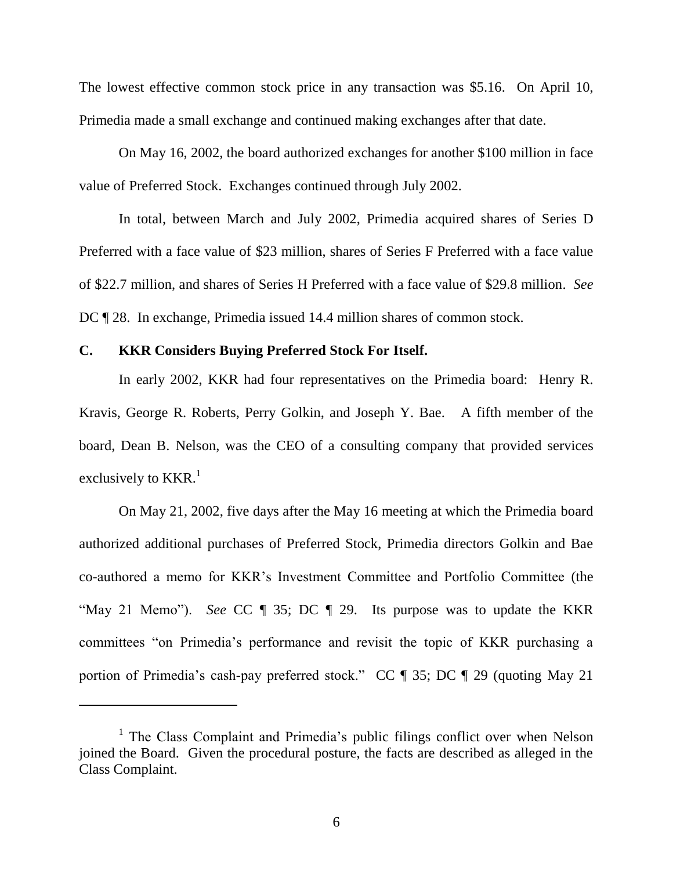The lowest effective common stock price in any transaction was \$5.16. On April 10, Primedia made a small exchange and continued making exchanges after that date.

On May 16, 2002, the board authorized exchanges for another \$100 million in face value of Preferred Stock. Exchanges continued through July 2002.

In total, between March and July 2002, Primedia acquired shares of Series D Preferred with a face value of \$23 million, shares of Series F Preferred with a face value of \$22.7 million, and shares of Series H Preferred with a face value of \$29.8 million. *See* DC ¶ 28. In exchange, Primedia issued 14.4 million shares of common stock.

### **C. KKR Considers Buying Preferred Stock For Itself.**

In early 2002, KKR had four representatives on the Primedia board: Henry R. Kravis, George R. Roberts, Perry Golkin, and Joseph Y. Bae. A fifth member of the board, Dean B. Nelson, was the CEO of a consulting company that provided services exclusively to  $KKR.$ <sup>1</sup>

On May 21, 2002, five days after the May 16 meeting at which the Primedia board authorized additional purchases of Preferred Stock, Primedia directors Golkin and Bae co-authored a memo for KKR's Investment Committee and Portfolio Committee (the "May 21 Memo"). *See* CC ¶ 35; DC ¶ 29. Its purpose was to update the KKR committees "on Primedia's performance and revisit the topic of KKR purchasing a portion of Primedia's cash-pay preferred stock." CC  $\parallel$  35; DC  $\parallel$  29 (quoting May 21)

<sup>&</sup>lt;sup>1</sup> The Class Complaint and Primedia's public filings conflict over when Nelson joined the Board. Given the procedural posture, the facts are described as alleged in the Class Complaint.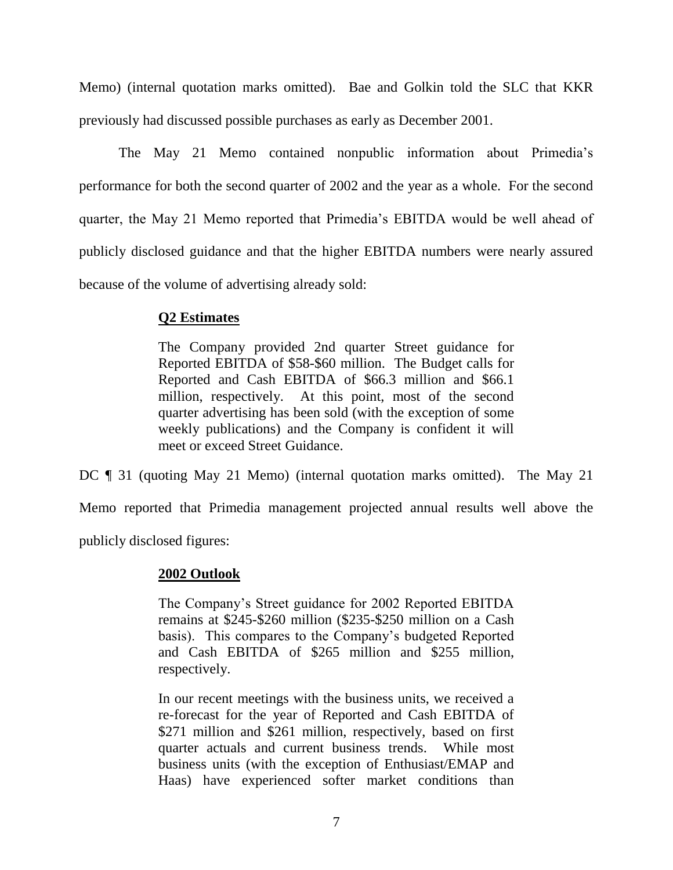Memo) (internal quotation marks omitted). Bae and Golkin told the SLC that KKR previously had discussed possible purchases as early as December 2001.

The May 21 Memo contained nonpublic information about Primedia's performance for both the second quarter of 2002 and the year as a whole. For the second quarter, the May 21 Memo reported that Primedia's EBITDA would be well ahead of publicly disclosed guidance and that the higher EBITDA numbers were nearly assured because of the volume of advertising already sold:

# **Q2 Estimates**

The Company provided 2nd quarter Street guidance for Reported EBITDA of \$58-\$60 million. The Budget calls for Reported and Cash EBITDA of \$66.3 million and \$66.1 million, respectively. At this point, most of the second quarter advertising has been sold (with the exception of some weekly publications) and the Company is confident it will meet or exceed Street Guidance.

DC ¶ 31 (quoting May 21 Memo) (internal quotation marks omitted). The May 21

Memo reported that Primedia management projected annual results well above the

publicly disclosed figures:

# **2002 Outlook**

The Company's Street guidance for 2002 Reported EBITDA remains at \$245-\$260 million (\$235-\$250 million on a Cash basis). This compares to the Company's budgeted Reported and Cash EBITDA of \$265 million and \$255 million, respectively.

In our recent meetings with the business units, we received a re-forecast for the year of Reported and Cash EBITDA of \$271 million and \$261 million, respectively, based on first quarter actuals and current business trends. While most business units (with the exception of Enthusiast/EMAP and Haas) have experienced softer market conditions than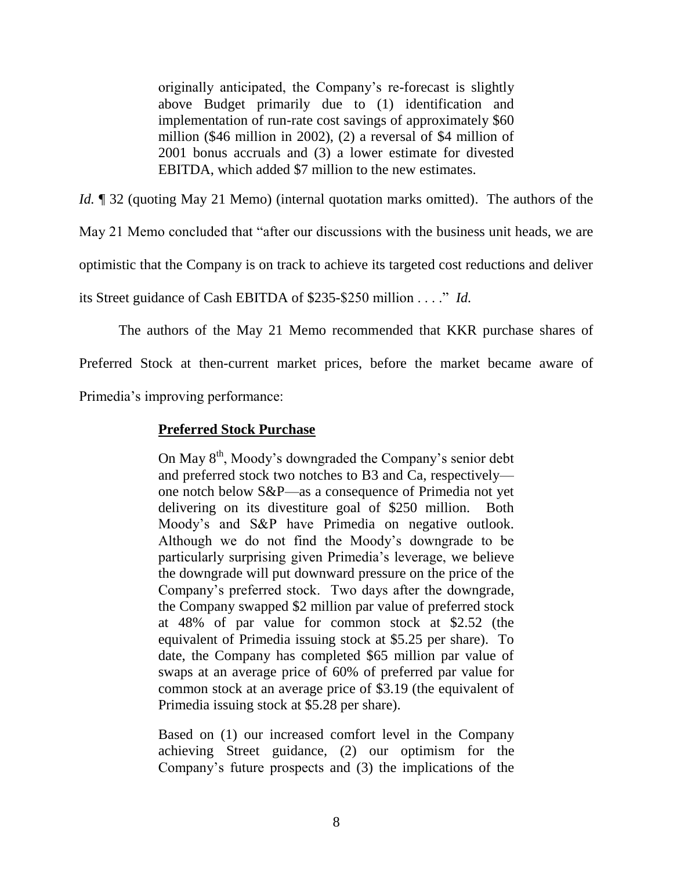originally anticipated, the Company's re-forecast is slightly above Budget primarily due to (1) identification and implementation of run-rate cost savings of approximately \$60 million (\$46 million in 2002), (2) a reversal of \$4 million of 2001 bonus accruals and (3) a lower estimate for divested EBITDA, which added \$7 million to the new estimates.

*Id.* **[1** 32 (quoting May 21 Memo) (internal quotation marks omitted). The authors of the

May 21 Memo concluded that "after our discussions with the business unit heads, we are

optimistic that the Company is on track to achieve its targeted cost reductions and deliver

its Street guidance of Cash EBITDA of \$235-\$250 million . . . . " *Id.* 

The authors of the May 21 Memo recommended that KKR purchase shares of

Preferred Stock at then-current market prices, before the market became aware of

Primedia's improving performance:

# **Preferred Stock Purchase**

On May  $8<sup>th</sup>$ , Moody's downgraded the Company's senior debt and preferred stock two notches to B3 and Ca, respectively one notch below S&P—as a consequence of Primedia not yet delivering on its divestiture goal of \$250 million. Both Moody's and S&P have Primedia on negative outlook. Although we do not find the Moody's downgrade to be particularly surprising given Primedia's leverage, we believe the downgrade will put downward pressure on the price of the Company's preferred stock. Two days after the downgrade, the Company swapped \$2 million par value of preferred stock at 48% of par value for common stock at \$2.52 (the equivalent of Primedia issuing stock at \$5.25 per share). To date, the Company has completed \$65 million par value of swaps at an average price of 60% of preferred par value for common stock at an average price of \$3.19 (the equivalent of Primedia issuing stock at \$5.28 per share).

Based on (1) our increased comfort level in the Company achieving Street guidance, (2) our optimism for the Company's future prospects and (3) the implications of the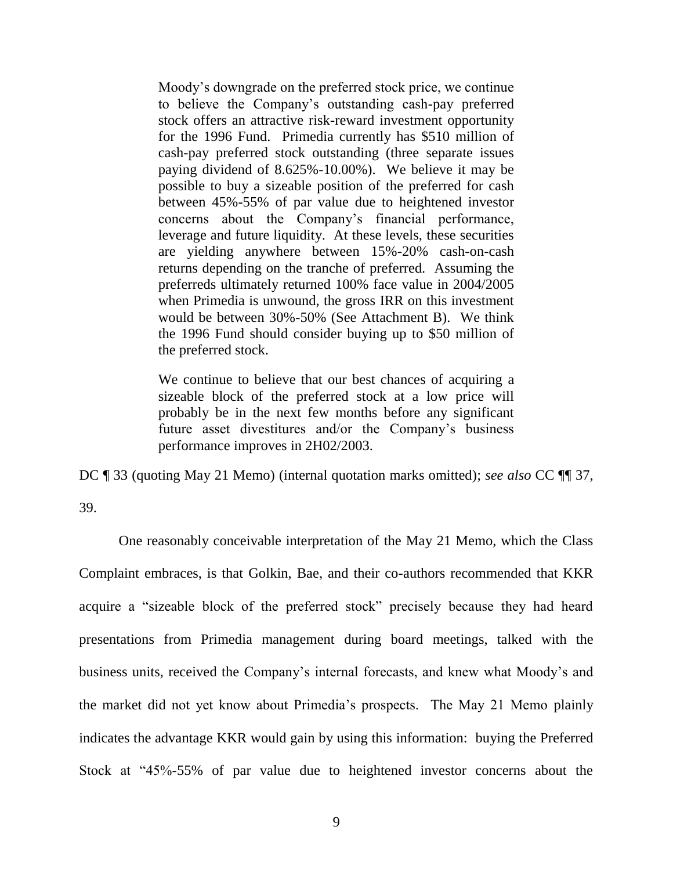Moody's downgrade on the preferred stock price, we continue to believe the Company's outstanding cash-pay preferred stock offers an attractive risk-reward investment opportunity for the 1996 Fund. Primedia currently has \$510 million of cash-pay preferred stock outstanding (three separate issues paying dividend of 8.625%-10.00%). We believe it may be possible to buy a sizeable position of the preferred for cash between 45%-55% of par value due to heightened investor concerns about the Company's financial performance, leverage and future liquidity. At these levels, these securities are yielding anywhere between 15%-20% cash-on-cash returns depending on the tranche of preferred. Assuming the preferreds ultimately returned 100% face value in 2004/2005 when Primedia is unwound, the gross IRR on this investment would be between 30%-50% (See Attachment B). We think the 1996 Fund should consider buying up to \$50 million of the preferred stock.

We continue to believe that our best chances of acquiring a sizeable block of the preferred stock at a low price will probably be in the next few months before any significant future asset divestitures and/or the Company's business performance improves in 2H02/2003.

DC ¶ 33 (quoting May 21 Memo) (internal quotation marks omitted); *see also* CC ¶¶ 37,

39.

One reasonably conceivable interpretation of the May 21 Memo, which the Class Complaint embraces, is that Golkin, Bae, and their co-authors recommended that KKR acquire a "sizeable block of the preferred stock" precisely because they had heard presentations from Primedia management during board meetings, talked with the business units, received the Company's internal forecasts, and knew what Moody's and the market did not yet know about Primedia's prospects. The May 21 Memo plainly indicates the advantage KKR would gain by using this information: buying the Preferred Stock at "45%-55% of par value due to heightened investor concerns about the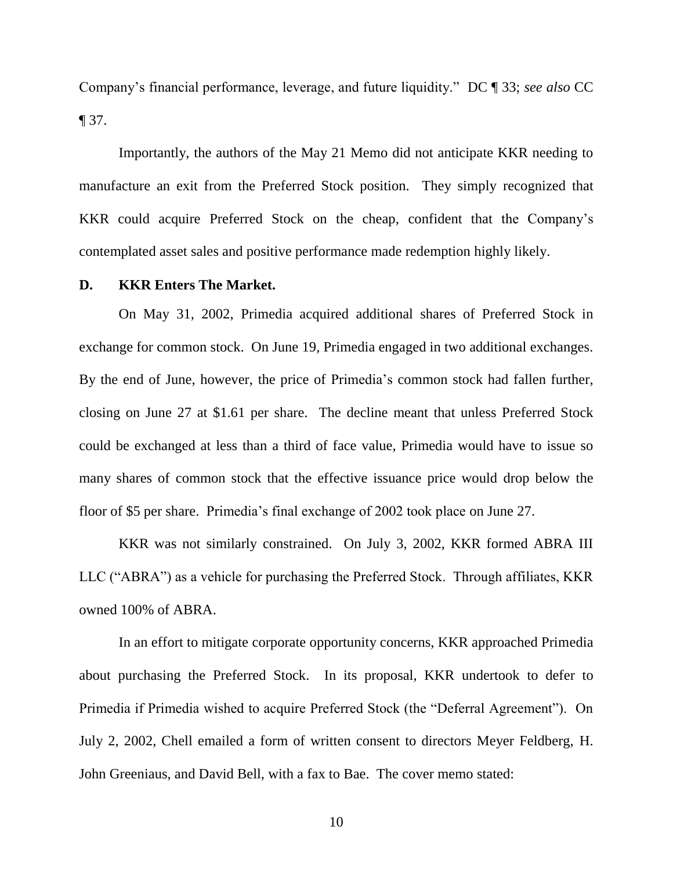Company's financial performance, leverage, and future liquidity.‖ DC ¶ 33; *see also* CC  $\P$  37.

Importantly, the authors of the May 21 Memo did not anticipate KKR needing to manufacture an exit from the Preferred Stock position. They simply recognized that KKR could acquire Preferred Stock on the cheap, confident that the Company's contemplated asset sales and positive performance made redemption highly likely.

### **D. KKR Enters The Market.**

On May 31, 2002, Primedia acquired additional shares of Preferred Stock in exchange for common stock. On June 19, Primedia engaged in two additional exchanges. By the end of June, however, the price of Primedia's common stock had fallen further, closing on June 27 at \$1.61 per share. The decline meant that unless Preferred Stock could be exchanged at less than a third of face value, Primedia would have to issue so many shares of common stock that the effective issuance price would drop below the floor of \$5 per share. Primedia's final exchange of 2002 took place on June 27.

KKR was not similarly constrained. On July 3, 2002, KKR formed ABRA III LLC ("ABRA") as a vehicle for purchasing the Preferred Stock. Through affiliates, KKR owned 100% of ABRA.

In an effort to mitigate corporate opportunity concerns, KKR approached Primedia about purchasing the Preferred Stock. In its proposal, KKR undertook to defer to Primedia if Primedia wished to acquire Preferred Stock (the "Deferral Agreement"). On July 2, 2002, Chell emailed a form of written consent to directors Meyer Feldberg, H. John Greeniaus, and David Bell, with a fax to Bae. The cover memo stated:

10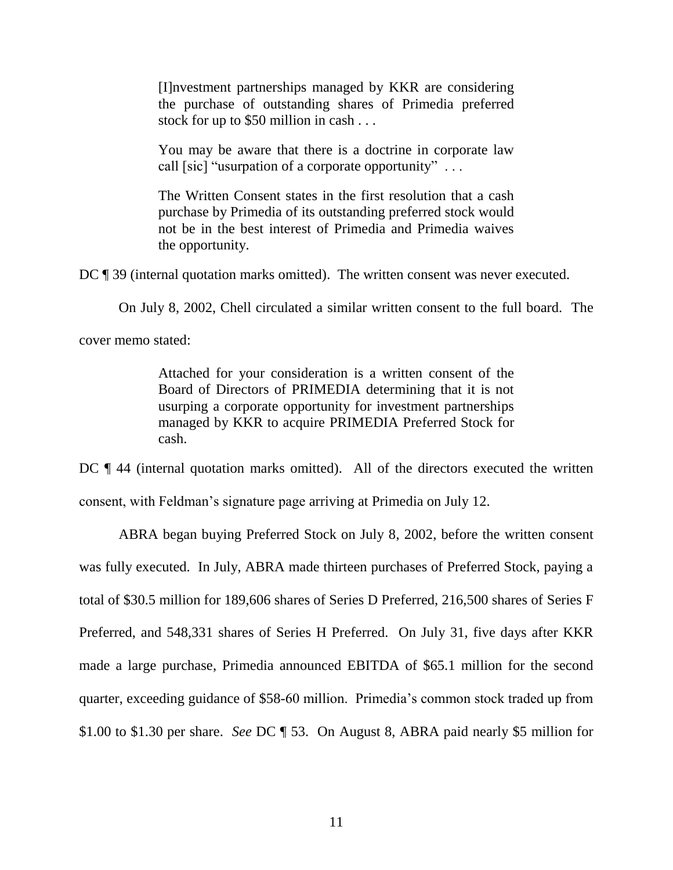[I]nvestment partnerships managed by KKR are considering the purchase of outstanding shares of Primedia preferred stock for up to \$50 million in cash . . .

You may be aware that there is a doctrine in corporate law call [sic] "usurpation of a corporate opportunity"...

The Written Consent states in the first resolution that a cash purchase by Primedia of its outstanding preferred stock would not be in the best interest of Primedia and Primedia waives the opportunity.

DC ¶ 39 (internal quotation marks omitted). The written consent was never executed.

On July 8, 2002, Chell circulated a similar written consent to the full board. The

cover memo stated:

Attached for your consideration is a written consent of the Board of Directors of PRIMEDIA determining that it is not usurping a corporate opportunity for investment partnerships managed by KKR to acquire PRIMEDIA Preferred Stock for cash.

DC  $\P$  44 (internal quotation marks omitted). All of the directors executed the written consent, with Feldman's signature page arriving at Primedia on July 12.

ABRA began buying Preferred Stock on July 8, 2002, before the written consent was fully executed. In July, ABRA made thirteen purchases of Preferred Stock, paying a total of \$30.5 million for 189,606 shares of Series D Preferred, 216,500 shares of Series F Preferred, and 548,331 shares of Series H Preferred. On July 31, five days after KKR made a large purchase, Primedia announced EBITDA of \$65.1 million for the second quarter, exceeding guidance of \$58-60 million. Primedia's common stock traded up from \$1.00 to \$1.30 per share. *See* DC ¶ 53. On August 8, ABRA paid nearly \$5 million for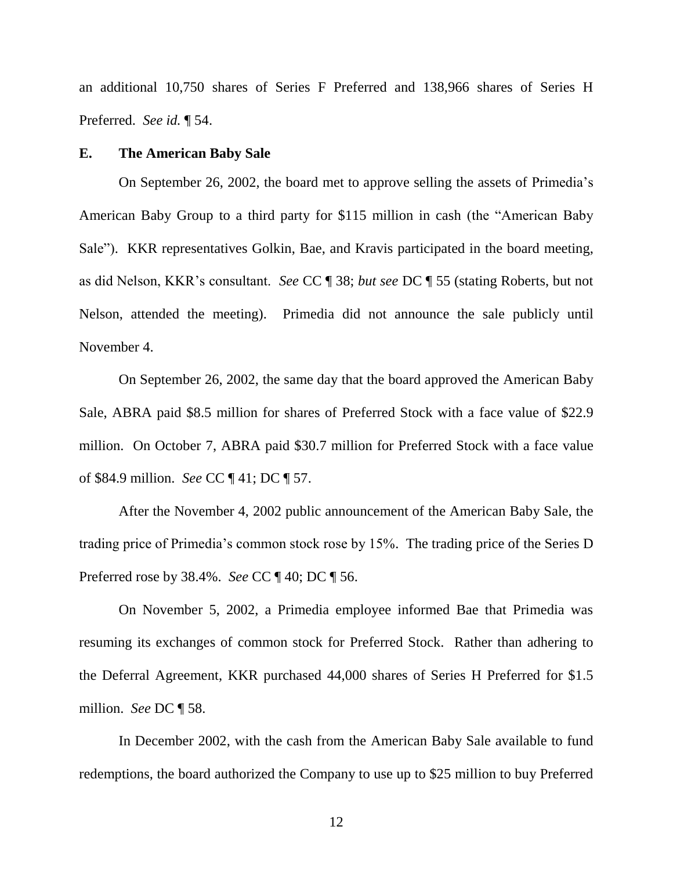an additional 10,750 shares of Series F Preferred and 138,966 shares of Series H Preferred. *See id.* ¶ 54.

#### **E. The American Baby Sale**

On September 26, 2002, the board met to approve selling the assets of Primedia's American Baby Group to a third party for \$115 million in cash (the "American Baby Sale"). KKR representatives Golkin, Bae, and Kravis participated in the board meeting, as did Nelson, KKR's consultant. *See* CC ¶ 38; *but see* DC ¶ 55 (stating Roberts, but not Nelson, attended the meeting). Primedia did not announce the sale publicly until November 4.

On September 26, 2002, the same day that the board approved the American Baby Sale, ABRA paid \$8.5 million for shares of Preferred Stock with a face value of \$22.9 million. On October 7, ABRA paid \$30.7 million for Preferred Stock with a face value of \$84.9 million. *See* CC ¶ 41; DC ¶ 57.

After the November 4, 2002 public announcement of the American Baby Sale, the trading price of Primedia's common stock rose by 15%. The trading price of the Series D Preferred rose by 38.4%. *See* CC ¶ 40; DC ¶ 56.

On November 5, 2002, a Primedia employee informed Bae that Primedia was resuming its exchanges of common stock for Preferred Stock. Rather than adhering to the Deferral Agreement, KKR purchased 44,000 shares of Series H Preferred for \$1.5 million. *See* DC ¶ 58.

In December 2002, with the cash from the American Baby Sale available to fund redemptions, the board authorized the Company to use up to \$25 million to buy Preferred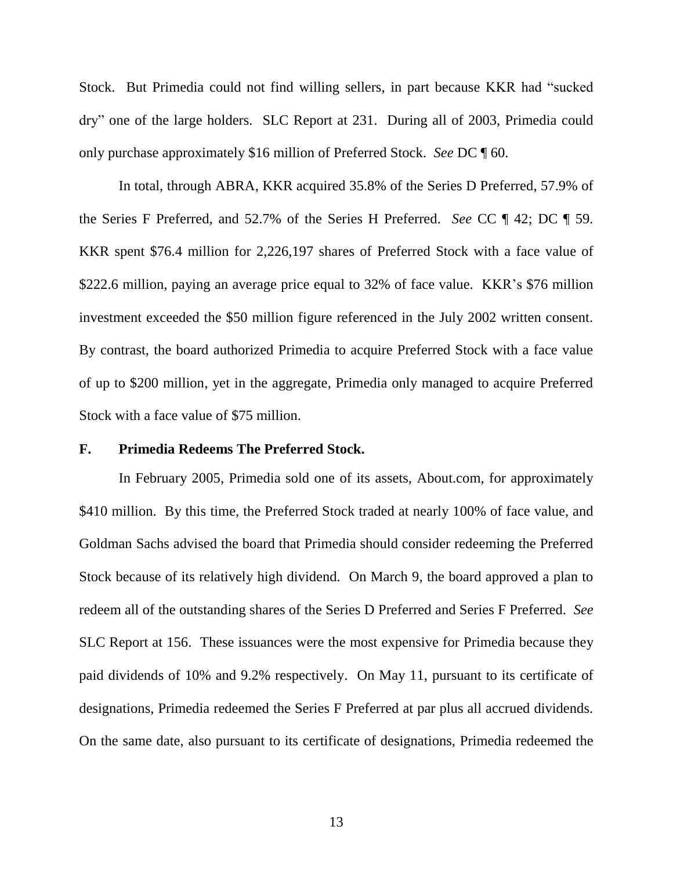Stock. But Primedia could not find willing sellers, in part because KKR had "sucked" dry" one of the large holders. SLC Report at 231. During all of 2003, Primedia could only purchase approximately \$16 million of Preferred Stock. *See* DC ¶ 60.

In total, through ABRA, KKR acquired 35.8% of the Series D Preferred, 57.9% of the Series F Preferred, and 52.7% of the Series H Preferred. *See* CC ¶ 42; DC ¶ 59. KKR spent \$76.4 million for 2,226,197 shares of Preferred Stock with a face value of \$222.6 million, paying an average price equal to 32% of face value. KKR's \$76 million investment exceeded the \$50 million figure referenced in the July 2002 written consent. By contrast, the board authorized Primedia to acquire Preferred Stock with a face value of up to \$200 million, yet in the aggregate, Primedia only managed to acquire Preferred Stock with a face value of \$75 million.

# **F. Primedia Redeems The Preferred Stock.**

In February 2005, Primedia sold one of its assets, About.com, for approximately \$410 million. By this time, the Preferred Stock traded at nearly 100% of face value, and Goldman Sachs advised the board that Primedia should consider redeeming the Preferred Stock because of its relatively high dividend. On March 9, the board approved a plan to redeem all of the outstanding shares of the Series D Preferred and Series F Preferred. *See*  SLC Report at 156. These issuances were the most expensive for Primedia because they paid dividends of 10% and 9.2% respectively. On May 11, pursuant to its certificate of designations, Primedia redeemed the Series F Preferred at par plus all accrued dividends. On the same date, also pursuant to its certificate of designations, Primedia redeemed the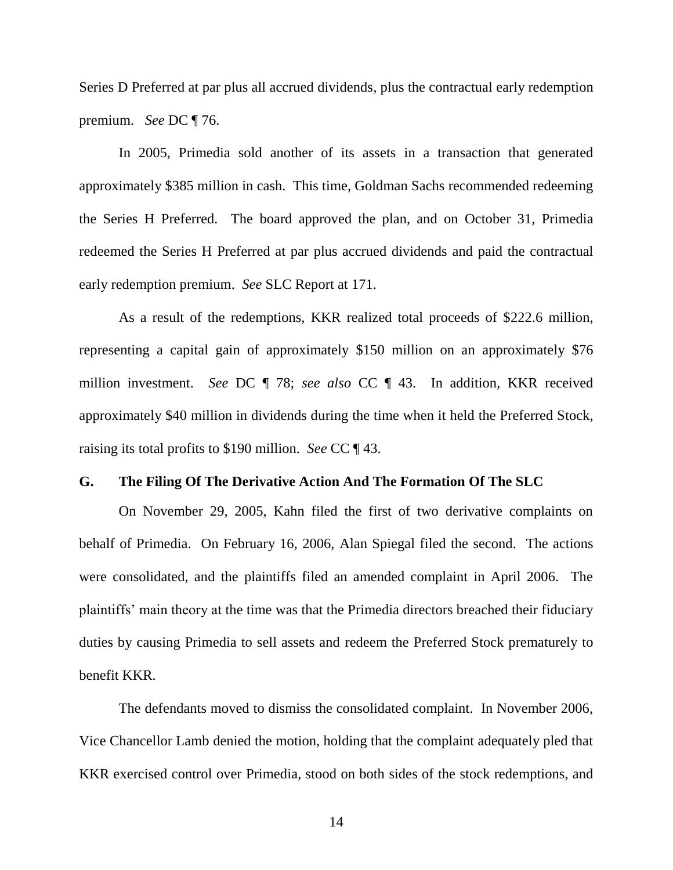Series D Preferred at par plus all accrued dividends, plus the contractual early redemption premium. *See* DC ¶ 76.

In 2005, Primedia sold another of its assets in a transaction that generated approximately \$385 million in cash. This time, Goldman Sachs recommended redeeming the Series H Preferred. The board approved the plan, and on October 31, Primedia redeemed the Series H Preferred at par plus accrued dividends and paid the contractual early redemption premium. *See* SLC Report at 171.

As a result of the redemptions, KKR realized total proceeds of \$222.6 million, representing a capital gain of approximately \$150 million on an approximately \$76 million investment. *See* DC ¶ 78; *see also* CC ¶ 43. In addition, KKR received approximately \$40 million in dividends during the time when it held the Preferred Stock, raising its total profits to \$190 million. *See* CC ¶ 43.

# **G. The Filing Of The Derivative Action And The Formation Of The SLC**

On November 29, 2005, Kahn filed the first of two derivative complaints on behalf of Primedia. On February 16, 2006, Alan Spiegal filed the second. The actions were consolidated, and the plaintiffs filed an amended complaint in April 2006. The plaintiffs' main theory at the time was that the Primedia directors breached their fiduciary duties by causing Primedia to sell assets and redeem the Preferred Stock prematurely to benefit KKR.

The defendants moved to dismiss the consolidated complaint. In November 2006, Vice Chancellor Lamb denied the motion, holding that the complaint adequately pled that KKR exercised control over Primedia, stood on both sides of the stock redemptions, and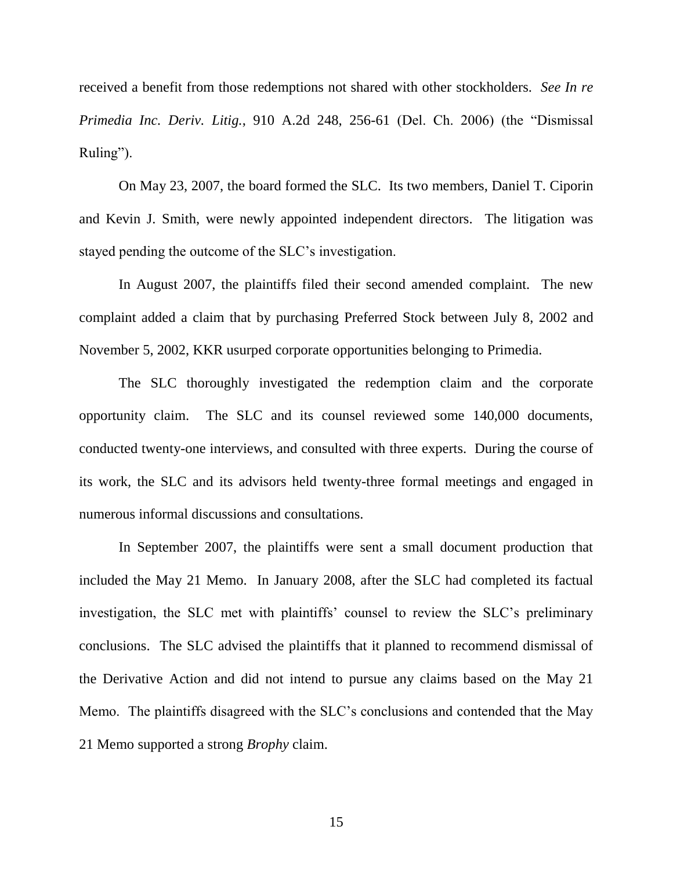received a benefit from those redemptions not shared with other stockholders. *See In re Primedia Inc. Deriv. Litig.*, 910 A.2d 248, 256-61 (Del. Ch. 2006) (the "Dismissal Ruling").

On May 23, 2007, the board formed the SLC. Its two members, Daniel T. Ciporin and Kevin J. Smith, were newly appointed independent directors. The litigation was stayed pending the outcome of the SLC's investigation.

In August 2007, the plaintiffs filed their second amended complaint. The new complaint added a claim that by purchasing Preferred Stock between July 8, 2002 and November 5, 2002, KKR usurped corporate opportunities belonging to Primedia.

The SLC thoroughly investigated the redemption claim and the corporate opportunity claim. The SLC and its counsel reviewed some 140,000 documents, conducted twenty-one interviews, and consulted with three experts. During the course of its work, the SLC and its advisors held twenty-three formal meetings and engaged in numerous informal discussions and consultations.

In September 2007, the plaintiffs were sent a small document production that included the May 21 Memo. In January 2008, after the SLC had completed its factual investigation, the SLC met with plaintiffs' counsel to review the SLC's preliminary conclusions. The SLC advised the plaintiffs that it planned to recommend dismissal of the Derivative Action and did not intend to pursue any claims based on the May 21 Memo. The plaintiffs disagreed with the SLC's conclusions and contended that the May 21 Memo supported a strong *Brophy* claim.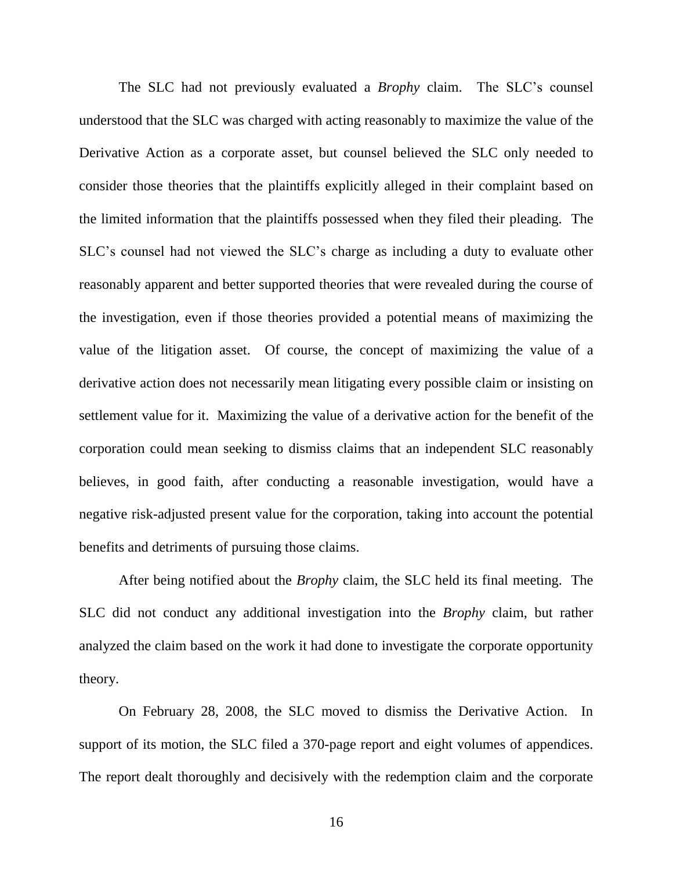The SLC had not previously evaluated a *Brophy* claim. The SLC's counsel understood that the SLC was charged with acting reasonably to maximize the value of the Derivative Action as a corporate asset, but counsel believed the SLC only needed to consider those theories that the plaintiffs explicitly alleged in their complaint based on the limited information that the plaintiffs possessed when they filed their pleading. The SLC's counsel had not viewed the SLC's charge as including a duty to evaluate other reasonably apparent and better supported theories that were revealed during the course of the investigation, even if those theories provided a potential means of maximizing the value of the litigation asset. Of course, the concept of maximizing the value of a derivative action does not necessarily mean litigating every possible claim or insisting on settlement value for it. Maximizing the value of a derivative action for the benefit of the corporation could mean seeking to dismiss claims that an independent SLC reasonably believes, in good faith, after conducting a reasonable investigation, would have a negative risk-adjusted present value for the corporation, taking into account the potential benefits and detriments of pursuing those claims.

After being notified about the *Brophy* claim, the SLC held its final meeting. The SLC did not conduct any additional investigation into the *Brophy* claim, but rather analyzed the claim based on the work it had done to investigate the corporate opportunity theory.

On February 28, 2008, the SLC moved to dismiss the Derivative Action. In support of its motion, the SLC filed a 370-page report and eight volumes of appendices. The report dealt thoroughly and decisively with the redemption claim and the corporate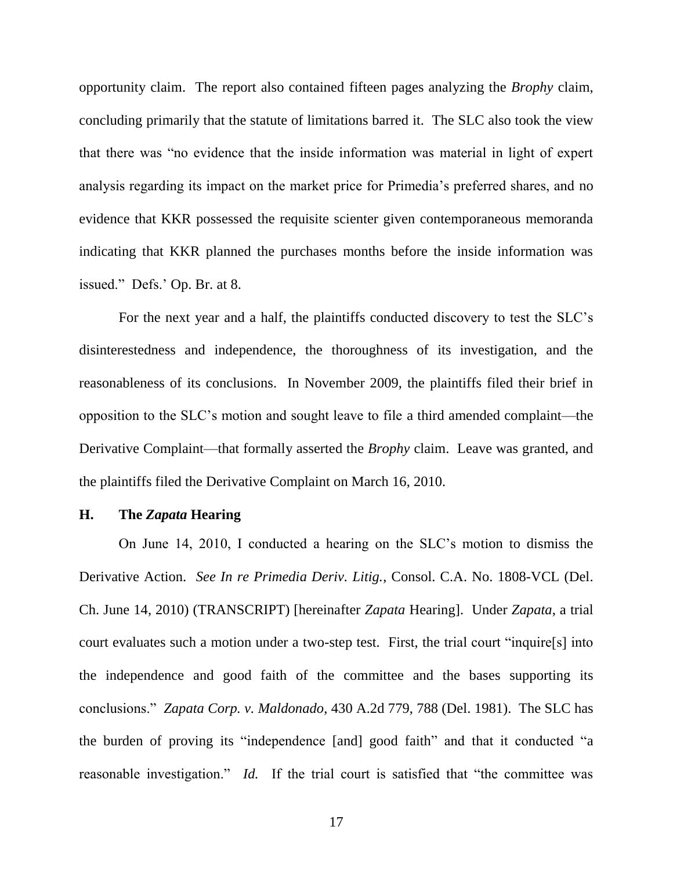opportunity claim. The report also contained fifteen pages analyzing the *Brophy* claim, concluding primarily that the statute of limitations barred it. The SLC also took the view that there was "no evidence that the inside information was material in light of expert analysis regarding its impact on the market price for Primedia's preferred shares, and no evidence that KKR possessed the requisite scienter given contemporaneous memoranda indicating that KKR planned the purchases months before the inside information was issued." Defs.' Op. Br. at 8.

For the next year and a half, the plaintiffs conducted discovery to test the SLC's disinterestedness and independence, the thoroughness of its investigation, and the reasonableness of its conclusions. In November 2009, the plaintiffs filed their brief in opposition to the SLC's motion and sought leave to file a third amended complaint—the Derivative Complaint—that formally asserted the *Brophy* claim. Leave was granted, and the plaintiffs filed the Derivative Complaint on March 16, 2010.

### **H. The** *Zapata* **Hearing**

On June 14, 2010, I conducted a hearing on the SLC's motion to dismiss the Derivative Action. *See In re Primedia Deriv. Litig.*, Consol. C.A. No. 1808-VCL (Del. Ch. June 14, 2010) (TRANSCRIPT) [hereinafter *Zapata* Hearing]. Under *Zapata*, a trial court evaluates such a motion under a two-step test. First, the trial court "inquire[s] into the independence and good faith of the committee and the bases supporting its conclusions.‖ *Zapata Corp. v. Maldonado*, 430 A.2d 779, 788 (Del. 1981). The SLC has the burden of proving its "independence [and] good faith" and that it conducted "a reasonable investigation." *Id.* If the trial court is satisfied that "the committee was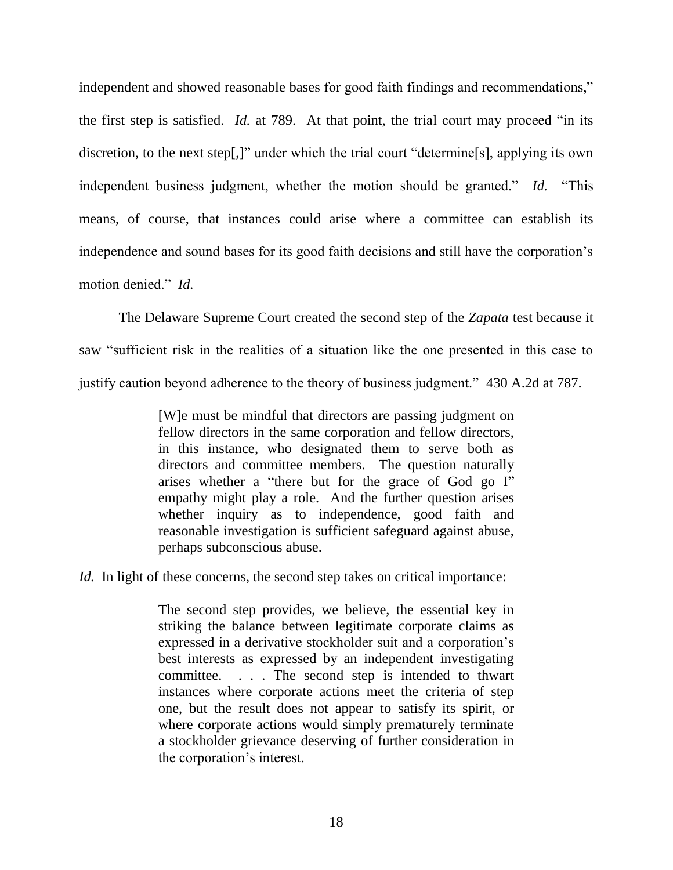independent and showed reasonable bases for good faith findings and recommendations," the first step is satisfied. *Id.* at 789. At that point, the trial court may proceed "in its discretion, to the next step[,]" under which the trial court "determine[s], applying its own independent business judgment, whether the motion should be granted." *Id.* "This means, of course, that instances could arise where a committee can establish its independence and sound bases for its good faith decisions and still have the corporation's motion denied." *Id.* 

The Delaware Supreme Court created the second step of the *Zapata* test because it saw "sufficient risk in the realities of a situation like the one presented in this case to justify caution beyond adherence to the theory of business judgment." 430 A.2d at 787.

> [W]e must be mindful that directors are passing judgment on fellow directors in the same corporation and fellow directors, in this instance, who designated them to serve both as directors and committee members. The question naturally arises whether a "there but for the grace of God go I" empathy might play a role. And the further question arises whether inquiry as to independence, good faith and reasonable investigation is sufficient safeguard against abuse, perhaps subconscious abuse.

*Id.* In light of these concerns, the second step takes on critical importance:

The second step provides, we believe, the essential key in striking the balance between legitimate corporate claims as expressed in a derivative stockholder suit and a corporation's best interests as expressed by an independent investigating committee. . . . The second step is intended to thwart instances where corporate actions meet the criteria of step one, but the result does not appear to satisfy its spirit, or where corporate actions would simply prematurely terminate a stockholder grievance deserving of further consideration in the corporation's interest.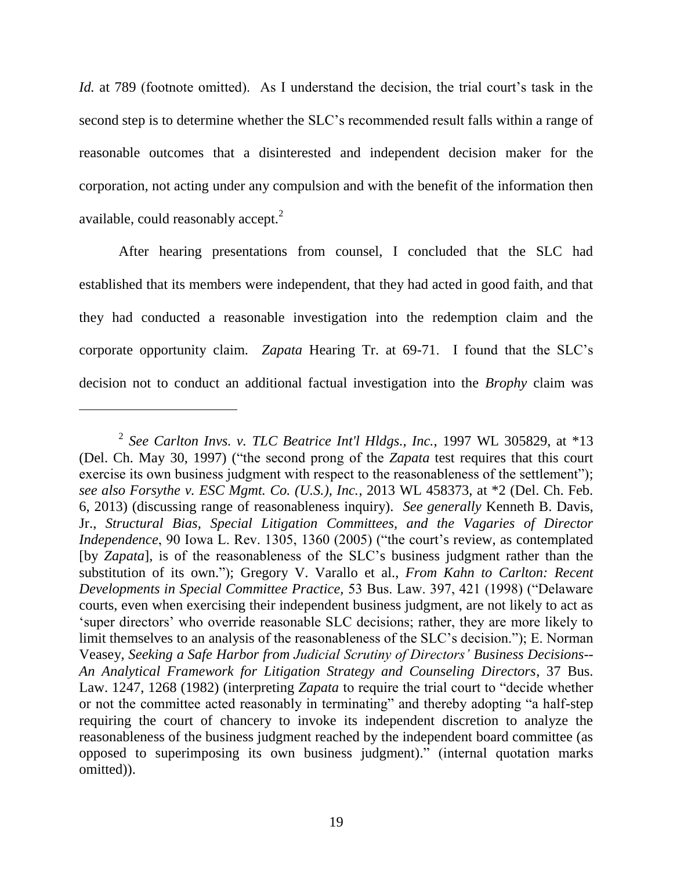*Id.* at 789 (footnote omitted). As I understand the decision, the trial court's task in the second step is to determine whether the SLC's recommended result falls within a range of reasonable outcomes that a disinterested and independent decision maker for the corporation, not acting under any compulsion and with the benefit of the information then available, could reasonably accept. $^2$ 

After hearing presentations from counsel, I concluded that the SLC had established that its members were independent, that they had acted in good faith, and that they had conducted a reasonable investigation into the redemption claim and the corporate opportunity claim. *Zapata* Hearing Tr. at 69-71. I found that the SLC's decision not to conduct an additional factual investigation into the *Brophy* claim was

 $\overline{a}$ 

<sup>2</sup> *See Carlton Invs. v. TLC Beatrice Int'l Hldgs., Inc.*, 1997 WL 305829, at \*13 (Del. Ch. May 30, 1997) ("the second prong of the *Zapata* test requires that this court exercise its own business judgment with respect to the reasonableness of the settlement"); *see also Forsythe v. ESC Mgmt. Co. (U.S.), Inc.*, 2013 WL 458373, at \*2 (Del. Ch. Feb. 6, 2013) (discussing range of reasonableness inquiry). *See generally* Kenneth B. Davis, Jr., *Structural Bias, Special Litigation Committees, and the Vagaries of Director Independence*, 90 Iowa L. Rev. 1305, 1360 (2005) ("the court's review, as contemplated [by *Zapata*], is of the reasonableness of the SLC's business judgment rather than the substitution of its own."); Gregory V. Varallo et al., *From Kahn to Carlton: Recent Developments in Special Committee Practice, 53 Bus. Law. 397, 421 (1998) ("Delaware* courts, even when exercising their independent business judgment, are not likely to act as ‗super directors' who override reasonable SLC decisions; rather, they are more likely to limit themselves to an analysis of the reasonableness of the SLC's decision."); E. Norman Veasey, *Seeking a Safe Harbor from Judicial Scrutiny of Directors' Business Decisions-- An Analytical Framework for Litigation Strategy and Counseling Directors*, 37 Bus. Law. 1247, 1268 (1982) (interpreting *Zapata* to require the trial court to "decide whether or not the committee acted reasonably in terminating" and thereby adopting "a half-step requiring the court of chancery to invoke its independent discretion to analyze the reasonableness of the business judgment reached by the independent board committee (as opposed to superimposing its own business judgment).‖ (internal quotation marks omitted)).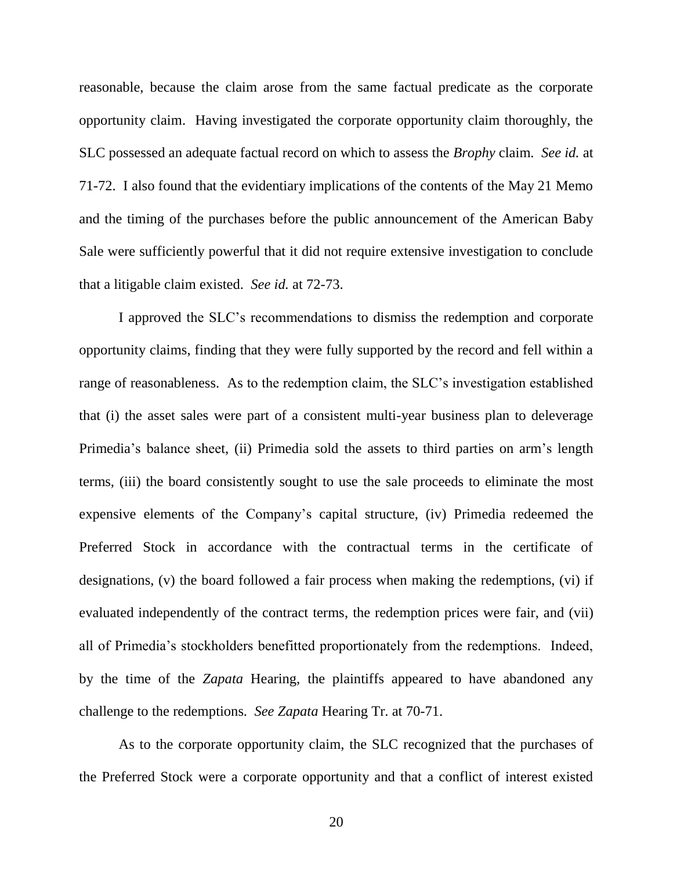reasonable, because the claim arose from the same factual predicate as the corporate opportunity claim. Having investigated the corporate opportunity claim thoroughly, the SLC possessed an adequate factual record on which to assess the *Brophy* claim. *See id.* at 71-72. I also found that the evidentiary implications of the contents of the May 21 Memo and the timing of the purchases before the public announcement of the American Baby Sale were sufficiently powerful that it did not require extensive investigation to conclude that a litigable claim existed. *See id.* at 72-73.

I approved the SLC's recommendations to dismiss the redemption and corporate opportunity claims, finding that they were fully supported by the record and fell within a range of reasonableness. As to the redemption claim, the SLC's investigation established that (i) the asset sales were part of a consistent multi-year business plan to deleverage Primedia's balance sheet, (ii) Primedia sold the assets to third parties on arm's length terms, (iii) the board consistently sought to use the sale proceeds to eliminate the most expensive elements of the Company's capital structure, (iv) Primedia redeemed the Preferred Stock in accordance with the contractual terms in the certificate of designations, (v) the board followed a fair process when making the redemptions, (vi) if evaluated independently of the contract terms, the redemption prices were fair, and (vii) all of Primedia's stockholders benefitted proportionately from the redemptions. Indeed, by the time of the *Zapata* Hearing, the plaintiffs appeared to have abandoned any challenge to the redemptions. *See Zapata* Hearing Tr. at 70-71.

As to the corporate opportunity claim, the SLC recognized that the purchases of the Preferred Stock were a corporate opportunity and that a conflict of interest existed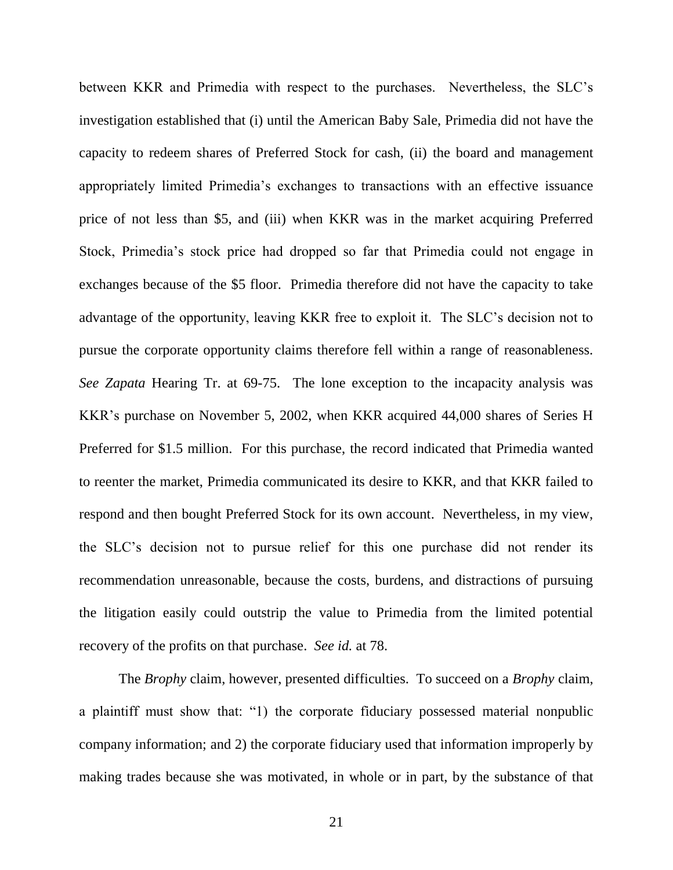between KKR and Primedia with respect to the purchases. Nevertheless, the SLC's investigation established that (i) until the American Baby Sale, Primedia did not have the capacity to redeem shares of Preferred Stock for cash, (ii) the board and management appropriately limited Primedia's exchanges to transactions with an effective issuance price of not less than \$5, and (iii) when KKR was in the market acquiring Preferred Stock, Primedia's stock price had dropped so far that Primedia could not engage in exchanges because of the \$5 floor. Primedia therefore did not have the capacity to take advantage of the opportunity, leaving KKR free to exploit it. The SLC's decision not to pursue the corporate opportunity claims therefore fell within a range of reasonableness. *See Zapata* Hearing Tr. at 69-75. The lone exception to the incapacity analysis was KKR's purchase on November 5, 2002, when KKR acquired 44,000 shares of Series H Preferred for \$1.5 million. For this purchase, the record indicated that Primedia wanted to reenter the market, Primedia communicated its desire to KKR, and that KKR failed to respond and then bought Preferred Stock for its own account. Nevertheless, in my view, the SLC's decision not to pursue relief for this one purchase did not render its recommendation unreasonable, because the costs, burdens, and distractions of pursuing the litigation easily could outstrip the value to Primedia from the limited potential recovery of the profits on that purchase. *See id.* at 78.

The *Brophy* claim, however, presented difficulties. To succeed on a *Brophy* claim, a plaintiff must show that: "1) the corporate fiduciary possessed material nonpublic company information; and 2) the corporate fiduciary used that information improperly by making trades because she was motivated, in whole or in part, by the substance of that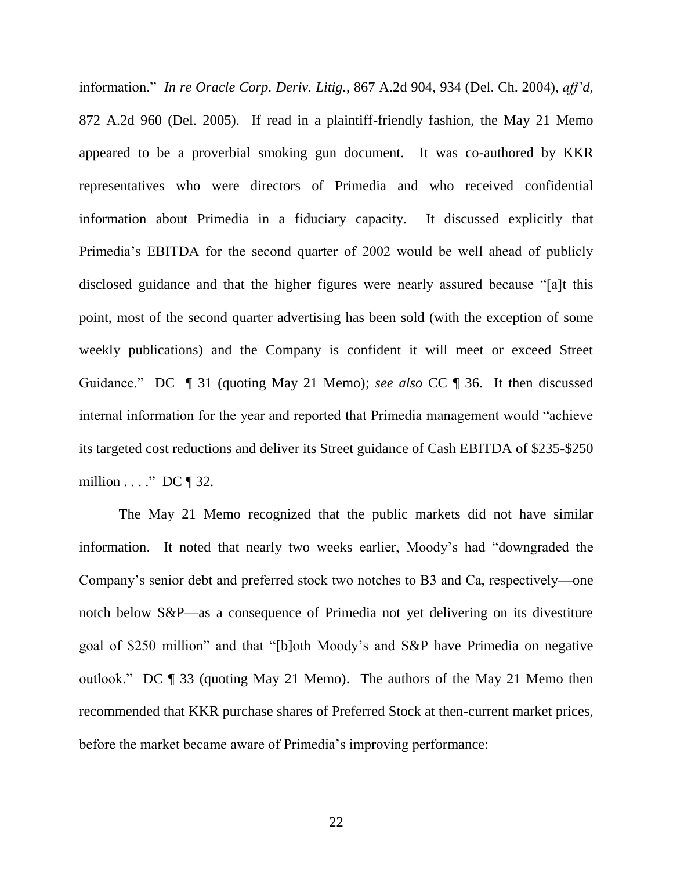information.‖ *In re Oracle Corp. Deriv. Litig.*, 867 A.2d 904, 934 (Del. Ch. 2004), *aff'd*, 872 A.2d 960 (Del. 2005). If read in a plaintiff-friendly fashion, the May 21 Memo appeared to be a proverbial smoking gun document. It was co-authored by KKR representatives who were directors of Primedia and who received confidential information about Primedia in a fiduciary capacity. It discussed explicitly that Primedia's EBITDA for the second quarter of 2002 would be well ahead of publicly disclosed guidance and that the higher figures were nearly assured because "[a]t this point, most of the second quarter advertising has been sold (with the exception of some weekly publications) and the Company is confident it will meet or exceed Street Guidance.‖ DC ¶ 31 (quoting May 21 Memo); *see also* CC ¶ 36. It then discussed internal information for the year and reported that Primedia management would "achieve its targeted cost reductions and deliver its Street guidance of Cash EBITDA of \$235-\$250 million  $\ldots$  ." DC ¶ 32.

The May 21 Memo recognized that the public markets did not have similar information. It noted that nearly two weeks earlier, Moody's had "downgraded the Company's senior debt and preferred stock two notches to B3 and Ca, respectively—one notch below S&P—as a consequence of Primedia not yet delivering on its divestiture goal of \$250 million" and that "[b]oth Moody's and S&P have Primedia on negative outlook.‖ DC ¶ 33 (quoting May 21 Memo). The authors of the May 21 Memo then recommended that KKR purchase shares of Preferred Stock at then-current market prices, before the market became aware of Primedia's improving performance: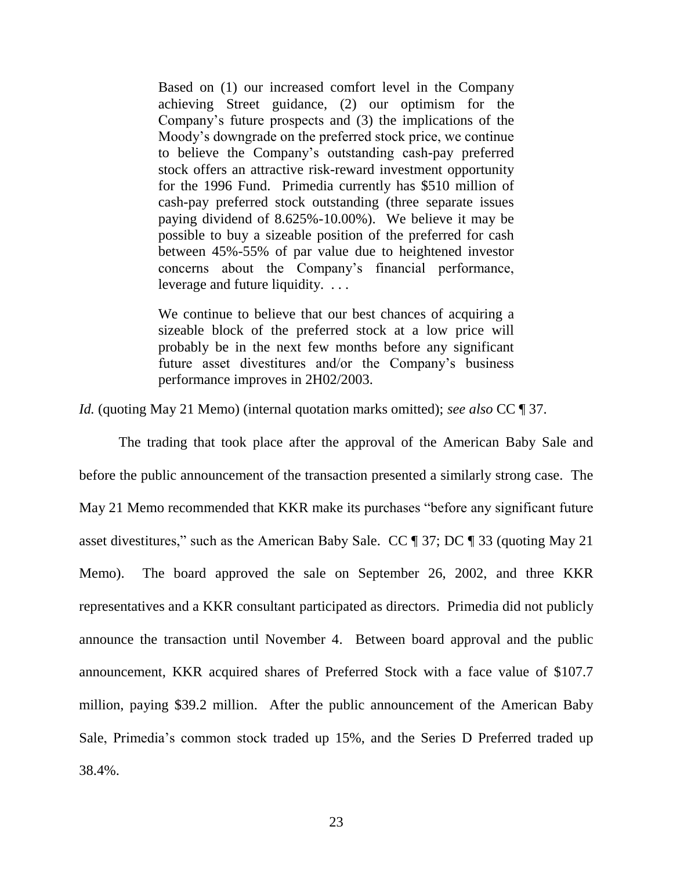Based on (1) our increased comfort level in the Company achieving Street guidance, (2) our optimism for the Company's future prospects and (3) the implications of the Moody's downgrade on the preferred stock price, we continue to believe the Company's outstanding cash-pay preferred stock offers an attractive risk-reward investment opportunity for the 1996 Fund. Primedia currently has \$510 million of cash-pay preferred stock outstanding (three separate issues paying dividend of 8.625%-10.00%). We believe it may be possible to buy a sizeable position of the preferred for cash between 45%-55% of par value due to heightened investor concerns about the Company's financial performance, leverage and future liquidity. . . .

We continue to believe that our best chances of acquiring a sizeable block of the preferred stock at a low price will probably be in the next few months before any significant future asset divestitures and/or the Company's business performance improves in 2H02/2003.

*Id.* (quoting May 21 Memo) (internal quotation marks omitted); *see also* CC ¶ 37.

The trading that took place after the approval of the American Baby Sale and before the public announcement of the transaction presented a similarly strong case. The May 21 Memo recommended that KKR make its purchases "before any significant future asset divestitures," such as the American Baby Sale. CC  $\parallel$  37; DC  $\parallel$  33 (quoting May 21) Memo). The board approved the sale on September 26, 2002, and three KKR representatives and a KKR consultant participated as directors. Primedia did not publicly announce the transaction until November 4. Between board approval and the public announcement, KKR acquired shares of Preferred Stock with a face value of \$107.7 million, paying \$39.2 million. After the public announcement of the American Baby Sale, Primedia's common stock traded up 15%, and the Series D Preferred traded up 38.4%.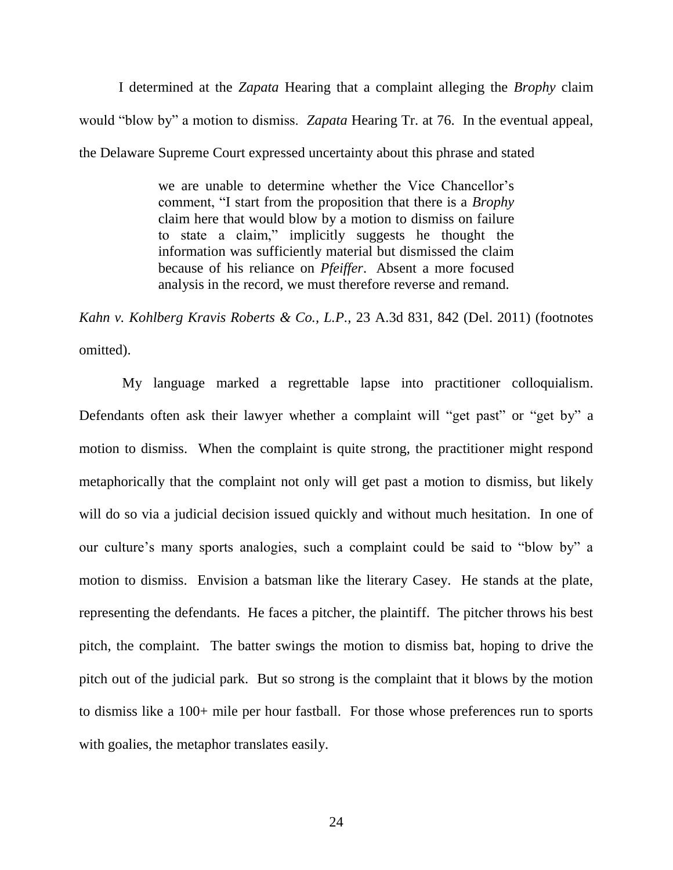I determined at the *Zapata* Hearing that a complaint alleging the *Brophy* claim would "blow by" a motion to dismiss. *Zapata* Hearing Tr. at 76. In the eventual appeal, the Delaware Supreme Court expressed uncertainty about this phrase and stated

> we are unable to determine whether the Vice Chancellor's comment, "I start from the proposition that there is a *Brophy* claim here that would blow by a motion to dismiss on failure to state a claim," implicitly suggests he thought the information was sufficiently material but dismissed the claim because of his reliance on *Pfeiffer*. Absent a more focused analysis in the record, we must therefore reverse and remand.

*Kahn v. Kohlberg Kravis Roberts & Co., L.P.,* 23 A.3d 831, 842 (Del. 2011) (footnotes omitted).

My language marked a regrettable lapse into practitioner colloquialism. Defendants often ask their lawyer whether a complaint will "get past" or "get by" a motion to dismiss. When the complaint is quite strong, the practitioner might respond metaphorically that the complaint not only will get past a motion to dismiss, but likely will do so via a judicial decision issued quickly and without much hesitation. In one of our culture's many sports analogies, such a complaint could be said to "blow by" a motion to dismiss. Envision a batsman like the literary Casey. He stands at the plate, representing the defendants. He faces a pitcher, the plaintiff. The pitcher throws his best pitch, the complaint. The batter swings the motion to dismiss bat, hoping to drive the pitch out of the judicial park. But so strong is the complaint that it blows by the motion to dismiss like a 100+ mile per hour fastball. For those whose preferences run to sports with goalies, the metaphor translates easily.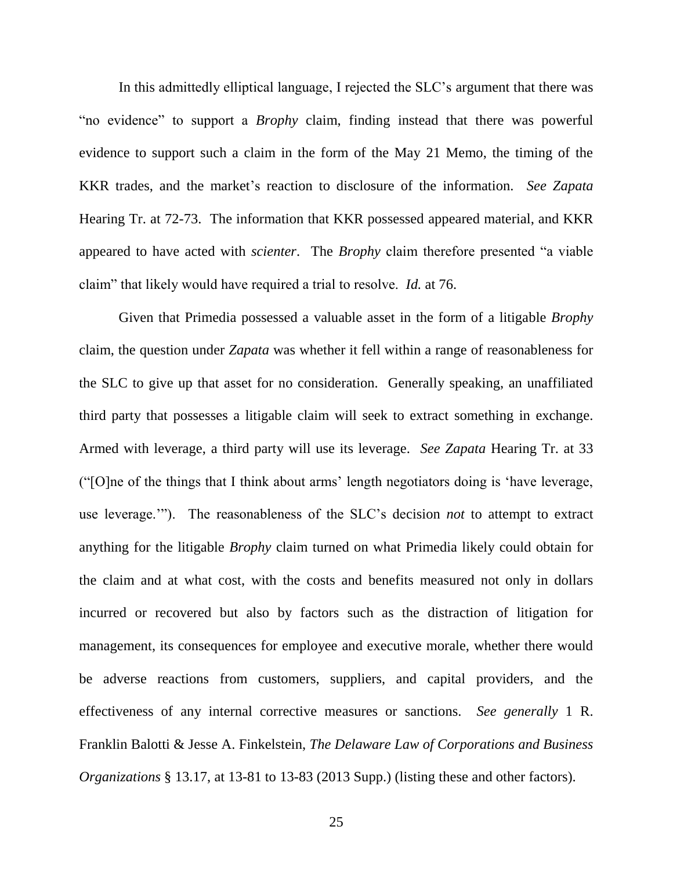In this admittedly elliptical language, I rejected the SLC's argument that there was "no evidence" to support a *Brophy* claim, finding instead that there was powerful evidence to support such a claim in the form of the May 21 Memo, the timing of the KKR trades, and the market's reaction to disclosure of the information. *See Zapata*  Hearing Tr. at 72-73. The information that KKR possessed appeared material, and KKR appeared to have acted with *scienter*. The *Brophy* claim therefore presented "a viable claim" that likely would have required a trial to resolve. *Id.* at 76.

Given that Primedia possessed a valuable asset in the form of a litigable *Brophy*  claim, the question under *Zapata* was whether it fell within a range of reasonableness for the SLC to give up that asset for no consideration. Generally speaking, an unaffiliated third party that possesses a litigable claim will seek to extract something in exchange. Armed with leverage, a third party will use its leverage. *See Zapata* Hearing Tr. at 33  $^{\prime\prime}$ [O]ne of the things that I think about arms' length negotiators doing is 'have leverage, use leverage."). The reasonableness of the SLC's decision *not* to attempt to extract anything for the litigable *Brophy* claim turned on what Primedia likely could obtain for the claim and at what cost, with the costs and benefits measured not only in dollars incurred or recovered but also by factors such as the distraction of litigation for management, its consequences for employee and executive morale, whether there would be adverse reactions from customers, suppliers, and capital providers, and the effectiveness of any internal corrective measures or sanctions. *See generally* 1 R. Franklin Balotti & Jesse A. Finkelstein, *The Delaware Law of Corporations and Business Organizations* § 13.17, at 13-81 to 13-83 (2013 Supp.) (listing these and other factors).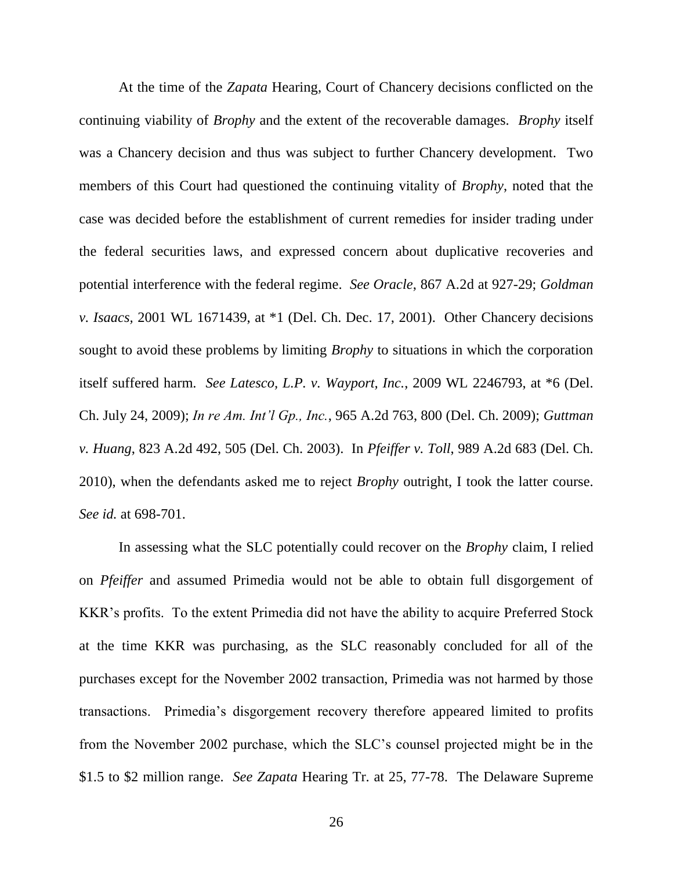At the time of the *Zapata* Hearing, Court of Chancery decisions conflicted on the continuing viability of *Brophy* and the extent of the recoverable damages. *Brophy* itself was a Chancery decision and thus was subject to further Chancery development. Two members of this Court had questioned the continuing vitality of *Brophy*, noted that the case was decided before the establishment of current remedies for insider trading under the federal securities laws, and expressed concern about duplicative recoveries and potential interference with the federal regime. *See Oracle*, 867 A.2d at 927-29; *Goldman v. Isaacs,* 2001 WL 1671439, at \*1 (Del. Ch. Dec. 17, 2001). Other Chancery decisions sought to avoid these problems by limiting *Brophy* to situations in which the corporation itself suffered harm. *See Latesco, L.P. v. Wayport, Inc.*, 2009 WL 2246793, at \*6 (Del. Ch. July 24, 2009); *In re Am. Int'l Gp., Inc.*, 965 A.2d 763, 800 (Del. Ch. 2009); *Guttman v. Huang*, 823 A.2d 492, 505 (Del. Ch. 2003). In *Pfeiffer v. Toll*, 989 A.2d 683 (Del. Ch. 2010), when the defendants asked me to reject *Brophy* outright, I took the latter course. *See id.* at 698-701.

In assessing what the SLC potentially could recover on the *Brophy* claim, I relied on *Pfeiffer* and assumed Primedia would not be able to obtain full disgorgement of KKR's profits. To the extent Primedia did not have the ability to acquire Preferred Stock at the time KKR was purchasing, as the SLC reasonably concluded for all of the purchases except for the November 2002 transaction, Primedia was not harmed by those transactions. Primedia's disgorgement recovery therefore appeared limited to profits from the November 2002 purchase, which the SLC's counsel projected might be in the \$1.5 to \$2 million range. *See Zapata* Hearing Tr. at 25, 77-78. The Delaware Supreme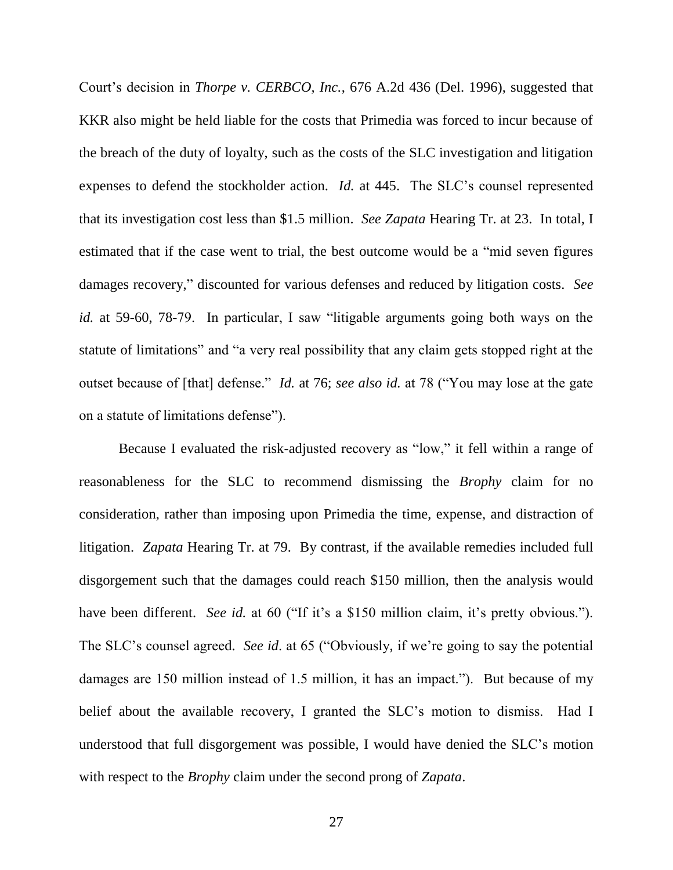Court's decision in *Thorpe v. CERBCO, Inc.*, 676 A.2d 436 (Del. 1996), suggested that KKR also might be held liable for the costs that Primedia was forced to incur because of the breach of the duty of loyalty, such as the costs of the SLC investigation and litigation expenses to defend the stockholder action. *Id.* at 445. The SLC's counsel represented that its investigation cost less than \$1.5 million. *See Zapata* Hearing Tr. at 23. In total, I estimated that if the case went to trial, the best outcome would be a "mid seven figures" damages recovery," discounted for various defenses and reduced by litigation costs. *See id.* at 59-60, 78-79. In particular, I saw "litigable arguments going both ways on the statute of limitations" and "a very real possibility that any claim gets stopped right at the outset because of [that] defense." *Id.* at 76; *see also id.* at 78 ("You may lose at the gate on a statute of limitations defense").

Because I evaluated the risk-adjusted recovery as "low," it fell within a range of reasonableness for the SLC to recommend dismissing the *Brophy* claim for no consideration, rather than imposing upon Primedia the time, expense, and distraction of litigation. *Zapata* Hearing Tr. at 79. By contrast, if the available remedies included full disgorgement such that the damages could reach \$150 million, then the analysis would have been different. *See id.* at 60 ("If it's a \$150 million claim, it's pretty obvious."). The SLC's counsel agreed. *See id.* at 65 ("Obviously, if we're going to say the potential damages are 150 million instead of 1.5 million, it has an impact."). But because of my belief about the available recovery, I granted the SLC's motion to dismiss. Had I understood that full disgorgement was possible, I would have denied the SLC's motion with respect to the *Brophy* claim under the second prong of *Zapata*.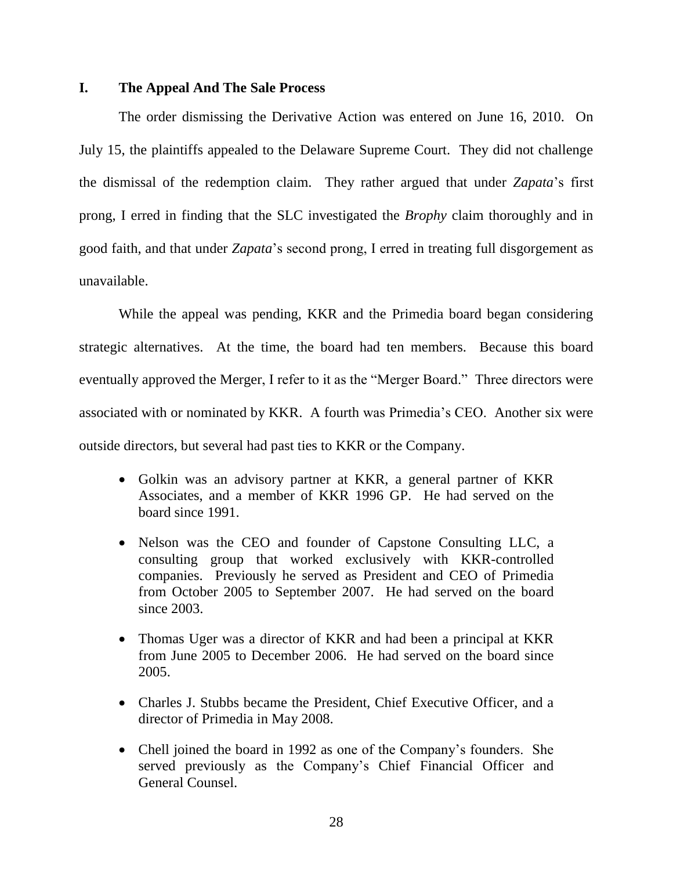# **I. The Appeal And The Sale Process**

The order dismissing the Derivative Action was entered on June 16, 2010. On July 15, the plaintiffs appealed to the Delaware Supreme Court. They did not challenge the dismissal of the redemption claim. They rather argued that under *Zapata*'s first prong, I erred in finding that the SLC investigated the *Brophy* claim thoroughly and in good faith, and that under *Zapata*'s second prong, I erred in treating full disgorgement as unavailable.

While the appeal was pending, KKR and the Primedia board began considering strategic alternatives. At the time, the board had ten members. Because this board eventually approved the Merger, I refer to it as the "Merger Board." Three directors were associated with or nominated by KKR. A fourth was Primedia's CEO. Another six were outside directors, but several had past ties to KKR or the Company.

- Golkin was an advisory partner at KKR, a general partner of KKR Associates, and a member of KKR 1996 GP. He had served on the board since 1991.
- Nelson was the CEO and founder of Capstone Consulting LLC, a consulting group that worked exclusively with KKR-controlled companies. Previously he served as President and CEO of Primedia from October 2005 to September 2007. He had served on the board since 2003.
- Thomas Uger was a director of KKR and had been a principal at KKR from June 2005 to December 2006. He had served on the board since 2005.
- Charles J. Stubbs became the President, Chief Executive Officer, and a director of Primedia in May 2008.
- Chell joined the board in 1992 as one of the Company's founders. She served previously as the Company's Chief Financial Officer and General Counsel.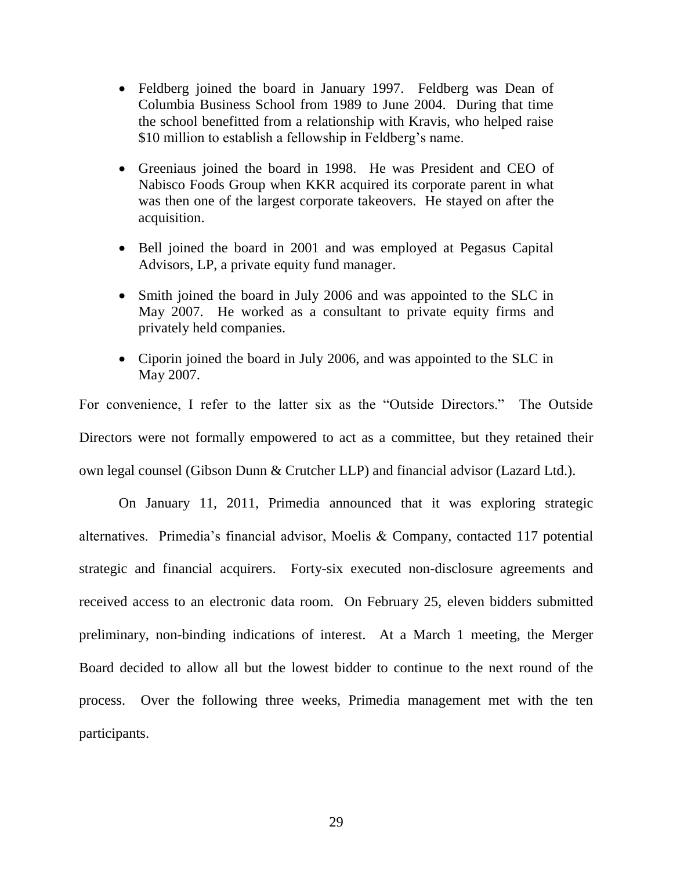- Feldberg joined the board in January 1997. Feldberg was Dean of Columbia Business School from 1989 to June 2004. During that time the school benefitted from a relationship with Kravis, who helped raise \$10 million to establish a fellowship in Feldberg's name.
- Greeniaus joined the board in 1998. He was President and CEO of Nabisco Foods Group when KKR acquired its corporate parent in what was then one of the largest corporate takeovers. He stayed on after the acquisition.
- Bell joined the board in 2001 and was employed at Pegasus Capital Advisors, LP, a private equity fund manager.
- Smith joined the board in July 2006 and was appointed to the SLC in May 2007. He worked as a consultant to private equity firms and privately held companies.
- Ciporin joined the board in July 2006, and was appointed to the SLC in May 2007.

For convenience, I refer to the latter six as the "Outside Directors." The Outside Directors were not formally empowered to act as a committee, but they retained their own legal counsel (Gibson Dunn & Crutcher LLP) and financial advisor (Lazard Ltd.).

On January 11, 2011, Primedia announced that it was exploring strategic alternatives. Primedia's financial advisor, Moelis & Company, contacted 117 potential strategic and financial acquirers. Forty-six executed non-disclosure agreements and received access to an electronic data room. On February 25, eleven bidders submitted preliminary, non-binding indications of interest. At a March 1 meeting, the Merger Board decided to allow all but the lowest bidder to continue to the next round of the process. Over the following three weeks, Primedia management met with the ten participants.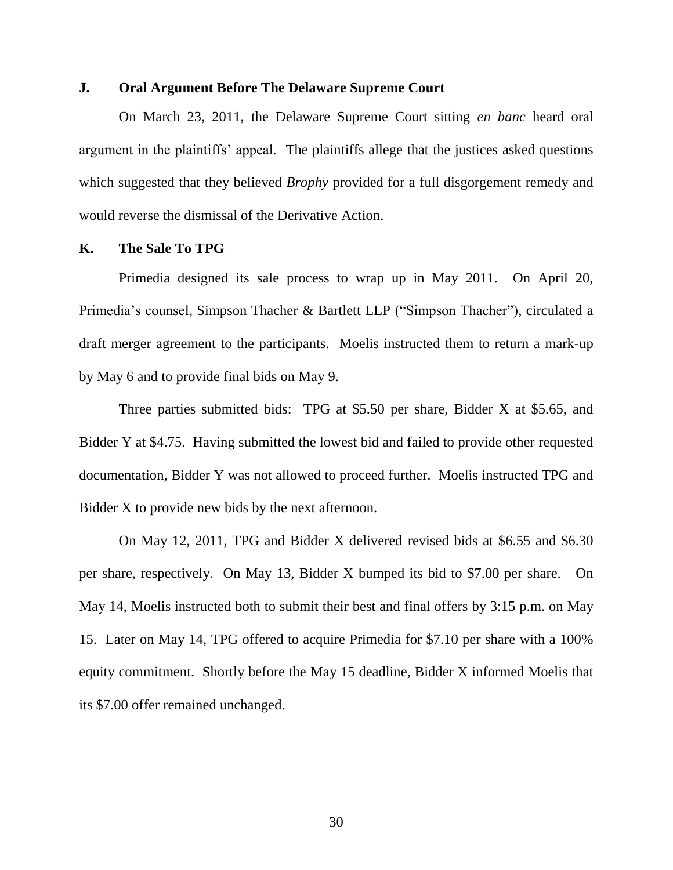### **J. Oral Argument Before The Delaware Supreme Court**

On March 23, 2011, the Delaware Supreme Court sitting *en banc* heard oral argument in the plaintiffs' appeal. The plaintiffs allege that the justices asked questions which suggested that they believed *Brophy* provided for a full disgorgement remedy and would reverse the dismissal of the Derivative Action.

### **K. The Sale To TPG**

Primedia designed its sale process to wrap up in May 2011. On April 20, Primedia's counsel, Simpson Thacher & Bartlett LLP ("Simpson Thacher"), circulated a draft merger agreement to the participants. Moelis instructed them to return a mark-up by May 6 and to provide final bids on May 9.

Three parties submitted bids: TPG at \$5.50 per share, Bidder X at \$5.65, and Bidder Y at \$4.75. Having submitted the lowest bid and failed to provide other requested documentation, Bidder Y was not allowed to proceed further. Moelis instructed TPG and Bidder X to provide new bids by the next afternoon.

On May 12, 2011, TPG and Bidder X delivered revised bids at \$6.55 and \$6.30 per share, respectively. On May 13, Bidder X bumped its bid to \$7.00 per share. On May 14, Moelis instructed both to submit their best and final offers by 3:15 p.m. on May 15. Later on May 14, TPG offered to acquire Primedia for \$7.10 per share with a 100% equity commitment. Shortly before the May 15 deadline, Bidder X informed Moelis that its \$7.00 offer remained unchanged.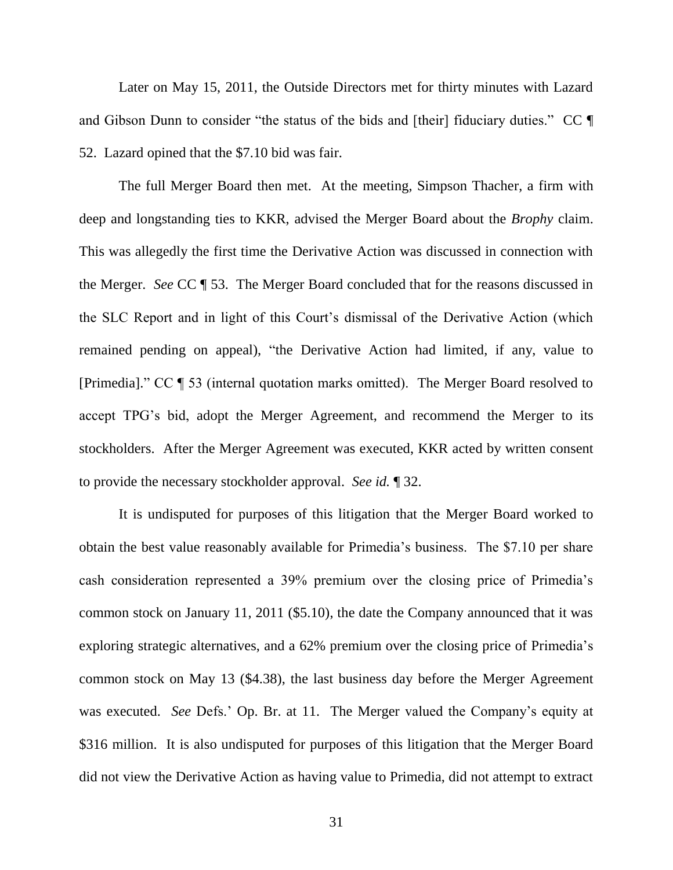Later on May 15, 2011, the Outside Directors met for thirty minutes with Lazard and Gibson Dunn to consider "the status of the bids and [their] fiduciary duties."  $CC \parallel$ 52. Lazard opined that the \$7.10 bid was fair.

The full Merger Board then met. At the meeting, Simpson Thacher, a firm with deep and longstanding ties to KKR, advised the Merger Board about the *Brophy* claim. This was allegedly the first time the Derivative Action was discussed in connection with the Merger. *See* CC ¶ 53. The Merger Board concluded that for the reasons discussed in the SLC Report and in light of this Court's dismissal of the Derivative Action (which remained pending on appeal), "the Derivative Action had limited, if any, value to [Primedia].‖ CC ¶ 53 (internal quotation marks omitted). The Merger Board resolved to accept TPG's bid, adopt the Merger Agreement, and recommend the Merger to its stockholders. After the Merger Agreement was executed, KKR acted by written consent to provide the necessary stockholder approval. *See id.* ¶ 32.

It is undisputed for purposes of this litigation that the Merger Board worked to obtain the best value reasonably available for Primedia's business. The \$7.10 per share cash consideration represented a 39% premium over the closing price of Primedia's common stock on January 11, 2011 (\$5.10), the date the Company announced that it was exploring strategic alternatives, and a 62% premium over the closing price of Primedia's common stock on May 13 (\$4.38), the last business day before the Merger Agreement was executed. *See* Defs.' Op. Br. at 11. The Merger valued the Company's equity at \$316 million. It is also undisputed for purposes of this litigation that the Merger Board did not view the Derivative Action as having value to Primedia, did not attempt to extract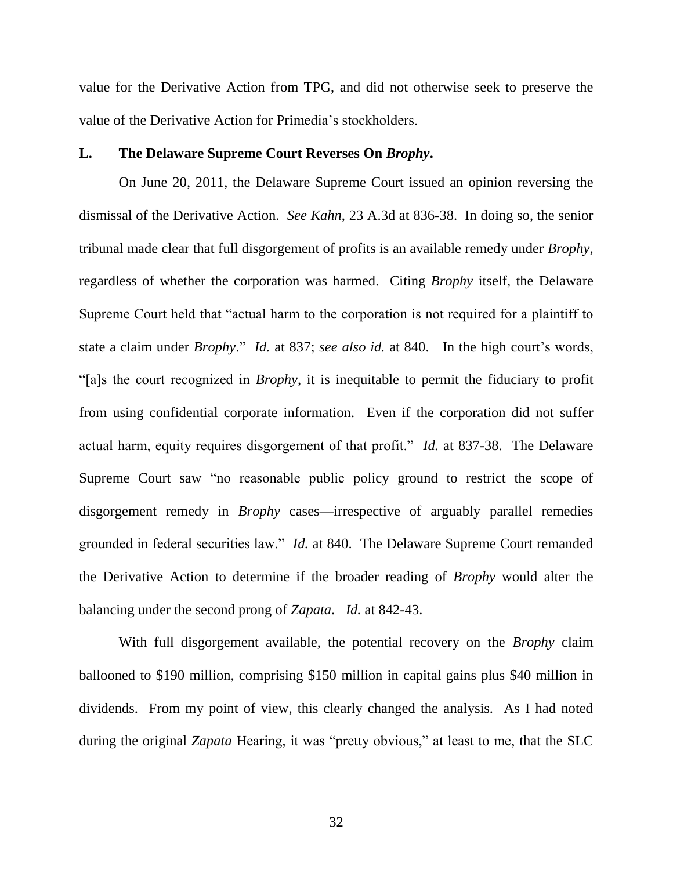value for the Derivative Action from TPG, and did not otherwise seek to preserve the value of the Derivative Action for Primedia's stockholders.

# **L. The Delaware Supreme Court Reverses On** *Brophy***.**

On June 20, 2011, the Delaware Supreme Court issued an opinion reversing the dismissal of the Derivative Action. *See Kahn*, 23 A.3d at 836-38. In doing so, the senior tribunal made clear that full disgorgement of profits is an available remedy under *Brophy*, regardless of whether the corporation was harmed. Citing *Brophy* itself, the Delaware Supreme Court held that "actual harm to the corporation is not required for a plaintiff to state a claim under *Brophy.*" *Id.* at 837; *see also id.* at 840. In the high court's words, ―[a]s the court recognized in *Brophy*, it is inequitable to permit the fiduciary to profit from using confidential corporate information. Even if the corporation did not suffer actual harm, equity requires disgorgement of that profit." *Id.* at 837-38. The Delaware Supreme Court saw "no reasonable public policy ground to restrict the scope of disgorgement remedy in *Brophy* cases—irrespective of arguably parallel remedies grounded in federal securities law." *Id.* at 840. The Delaware Supreme Court remanded the Derivative Action to determine if the broader reading of *Brophy* would alter the balancing under the second prong of *Zapata*. *Id.* at 842-43.

With full disgorgement available, the potential recovery on the *Brophy* claim ballooned to \$190 million, comprising \$150 million in capital gains plus \$40 million in dividends. From my point of view, this clearly changed the analysis. As I had noted during the original *Zapata* Hearing, it was "pretty obvious," at least to me, that the SLC

32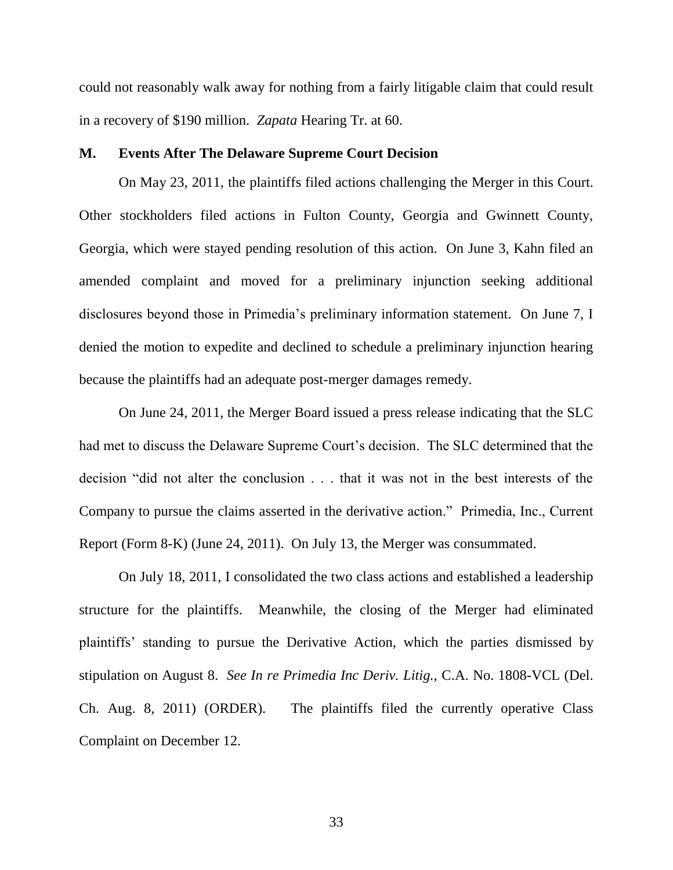could not reasonably walk away for nothing from a fairly litigable claim that could result in a recovery of \$190 million. *Zapata* Hearing Tr. at 60.

#### **M. Events After The Delaware Supreme Court Decision**

On May 23, 2011, the plaintiffs filed actions challenging the Merger in this Court. Other stockholders filed actions in Fulton County, Georgia and Gwinnett County, Georgia, which were stayed pending resolution of this action. On June 3, Kahn filed an amended complaint and moved for a preliminary injunction seeking additional disclosures beyond those in Primedia's preliminary information statement. On June 7, I denied the motion to expedite and declined to schedule a preliminary injunction hearing because the plaintiffs had an adequate post-merger damages remedy.

On June 24, 2011, the Merger Board issued a press release indicating that the SLC had met to discuss the Delaware Supreme Court's decision. The SLC determined that the decision "did not alter the conclusion . . . that it was not in the best interests of the Company to pursue the claims asserted in the derivative action." Primedia, Inc., Current Report (Form 8-K) (June 24, 2011). On July 13, the Merger was consummated.

On July 18, 2011, I consolidated the two class actions and established a leadership structure for the plaintiffs. Meanwhile, the closing of the Merger had eliminated plaintiffs' standing to pursue the Derivative Action, which the parties dismissed by stipulation on August 8. *See In re Primedia Inc Deriv. Litig.,* C.A. No. 1808-VCL (Del. Ch. Aug. 8, 2011) (ORDER). The plaintiffs filed the currently operative Class Complaint on December 12.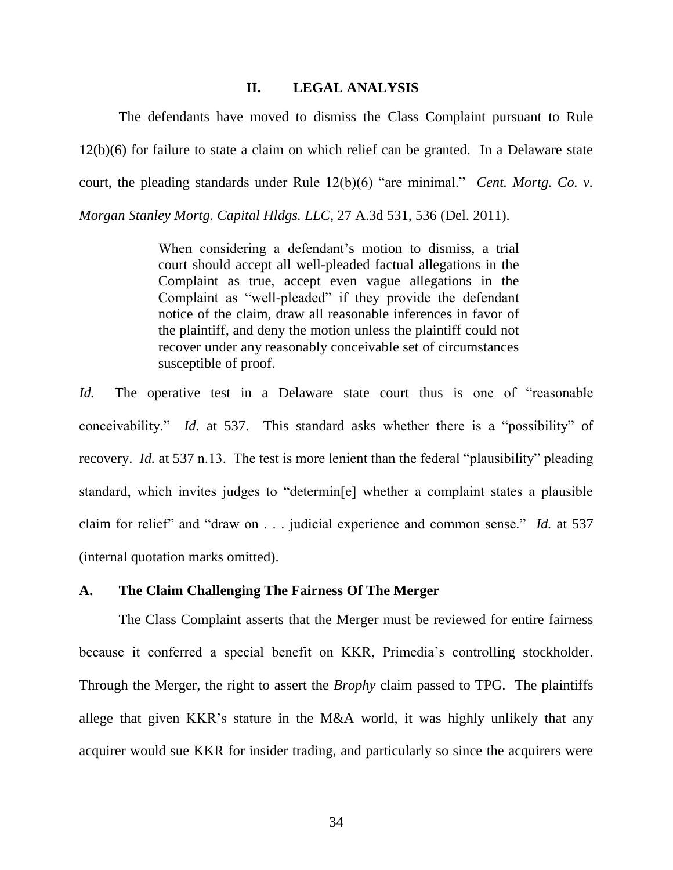### **II. LEGAL ANALYSIS**

The defendants have moved to dismiss the Class Complaint pursuant to Rule 12(b)(6) for failure to state a claim on which relief can be granted. In a Delaware state court, the pleading standards under Rule  $12(b)(6)$  "are minimal." *Cent. Mortg. Co. v. Morgan Stanley Mortg. Capital Hldgs. LLC*, 27 A.3d 531, 536 (Del. 2011).

> When considering a defendant's motion to dismiss, a trial court should accept all well-pleaded factual allegations in the Complaint as true, accept even vague allegations in the Complaint as "well-pleaded" if they provide the defendant notice of the claim, draw all reasonable inferences in favor of the plaintiff, and deny the motion unless the plaintiff could not recover under any reasonably conceivable set of circumstances susceptible of proof.

*Id.* The operative test in a Delaware state court thus is one of "reasonable" conceivability." *Id.* at 537. This standard asks whether there is a "possibility" of recovery. *Id.* at 537 n.13. The test is more lenient than the federal "plausibility" pleading standard, which invites judges to "determin[e] whether a complaint states a plausible claim for relief" and "draw on . . . judicial experience and common sense." *Id.* at 537 (internal quotation marks omitted).

### **A. The Claim Challenging The Fairness Of The Merger**

The Class Complaint asserts that the Merger must be reviewed for entire fairness because it conferred a special benefit on KKR, Primedia's controlling stockholder. Through the Merger, the right to assert the *Brophy* claim passed to TPG. The plaintiffs allege that given KKR's stature in the M&A world, it was highly unlikely that any acquirer would sue KKR for insider trading, and particularly so since the acquirers were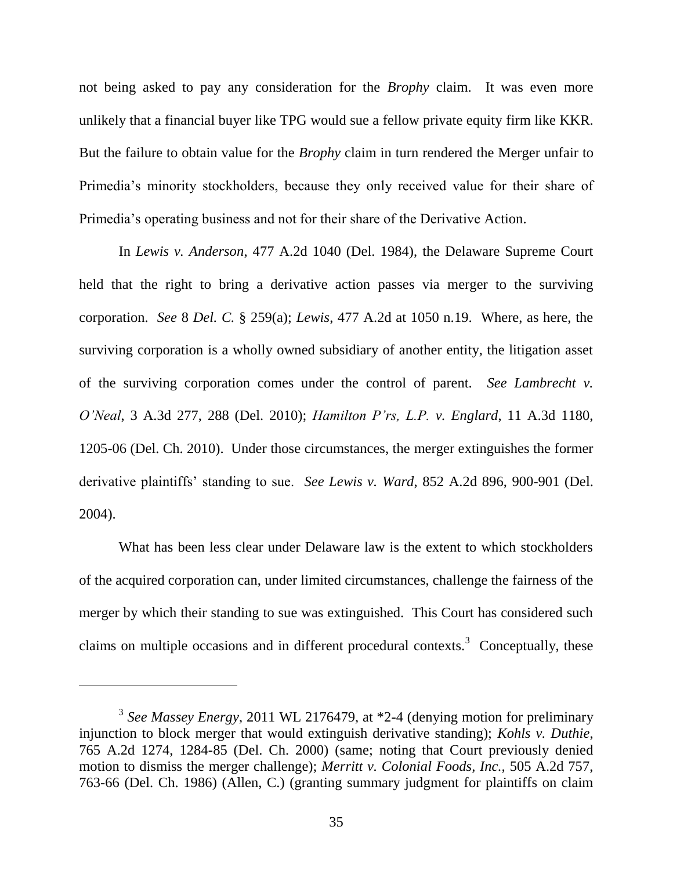not being asked to pay any consideration for the *Brophy* claim. It was even more unlikely that a financial buyer like TPG would sue a fellow private equity firm like KKR. But the failure to obtain value for the *Brophy* claim in turn rendered the Merger unfair to Primedia's minority stockholders, because they only received value for their share of Primedia's operating business and not for their share of the Derivative Action.

In *Lewis v. Anderson*, 477 A.2d 1040 (Del. 1984), the Delaware Supreme Court held that the right to bring a derivative action passes via merger to the surviving corporation. *See* 8 *Del. C.* § 259(a); *Lewis*, 477 A.2d at 1050 n.19. Where, as here, the surviving corporation is a wholly owned subsidiary of another entity, the litigation asset of the surviving corporation comes under the control of parent. *See Lambrecht v. O'Neal*, 3 A.3d 277, 288 (Del. 2010); *Hamilton P'rs, L.P. v. Englard*, 11 A.3d 1180, 1205-06 (Del. Ch. 2010). Under those circumstances, the merger extinguishes the former derivative plaintiffs' standing to sue. *See Lewis v. Ward*, 852 A.2d 896, 900-901 (Del. 2004).

What has been less clear under Delaware law is the extent to which stockholders of the acquired corporation can, under limited circumstances, challenge the fairness of the merger by which their standing to sue was extinguished. This Court has considered such claims on multiple occasions and in different procedural contexts.<sup>3</sup> Conceptually, these

<sup>&</sup>lt;sup>3</sup> See Massey Energy, 2011 WL 2176479, at \*2-4 (denying motion for preliminary injunction to block merger that would extinguish derivative standing); *Kohls v. Duthie*, 765 A.2d 1274, 1284-85 (Del. Ch. 2000) (same; noting that Court previously denied motion to dismiss the merger challenge); *Merritt v. Colonial Foods, Inc.,* 505 A.2d 757, 763-66 (Del. Ch. 1986) (Allen, C.) (granting summary judgment for plaintiffs on claim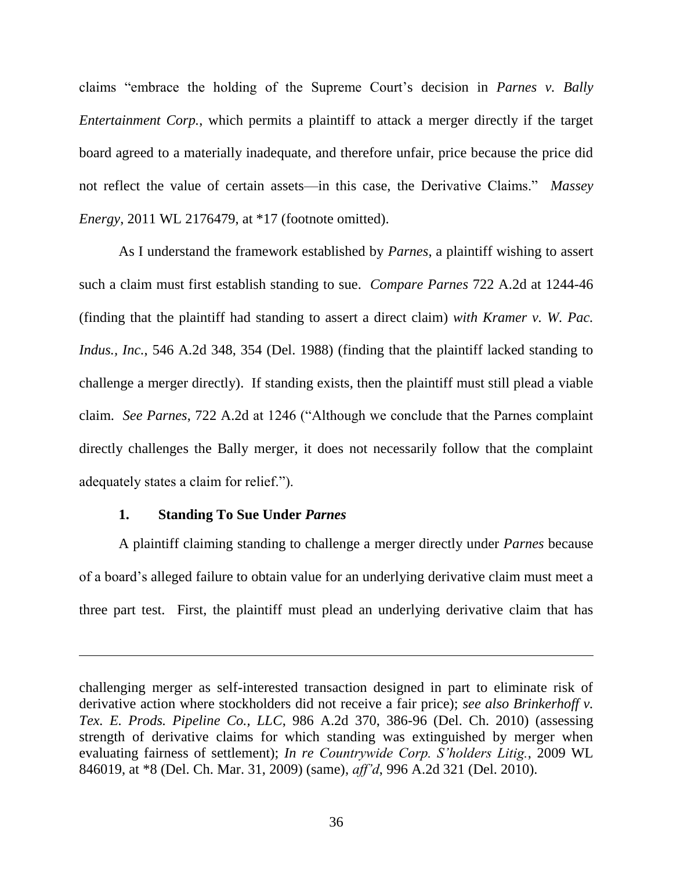claims "embrace the holding of the Supreme Court's decision in *Parnes v. Bally Entertainment Corp.*, which permits a plaintiff to attack a merger directly if the target board agreed to a materially inadequate, and therefore unfair, price because the price did not reflect the value of certain assets—in this case, the Derivative Claims." Massey *Energy*, 2011 WL 2176479, at \*17 (footnote omitted).

As I understand the framework established by *Parnes*, a plaintiff wishing to assert such a claim must first establish standing to sue. *Compare Parnes* 722 A.2d at 1244-46 (finding that the plaintiff had standing to assert a direct claim) *with Kramer v. W. Pac. Indus., Inc.*, 546 A.2d 348, 354 (Del. 1988) (finding that the plaintiff lacked standing to challenge a merger directly). If standing exists, then the plaintiff must still plead a viable claim. *See Parnes*, 722 A.2d at 1246 ("Although we conclude that the Parnes complaint directly challenges the Bally merger, it does not necessarily follow that the complaint adequately states a claim for relief.").

## **1. Standing To Sue Under** *Parnes*

A plaintiff claiming standing to challenge a merger directly under *Parnes* because of a board's alleged failure to obtain value for an underlying derivative claim must meet a three part test. First, the plaintiff must plead an underlying derivative claim that has

challenging merger as self-interested transaction designed in part to eliminate risk of derivative action where stockholders did not receive a fair price); *see also Brinkerhoff v. Tex. E. Prods. Pipeline Co., LLC*, 986 A.2d 370, 386-96 (Del. Ch. 2010) (assessing strength of derivative claims for which standing was extinguished by merger when evaluating fairness of settlement); *In re Countrywide Corp. S'holders Litig.*, 2009 WL 846019, at \*8 (Del. Ch. Mar. 31, 2009) (same), *aff'd*, 996 A.2d 321 (Del. 2010).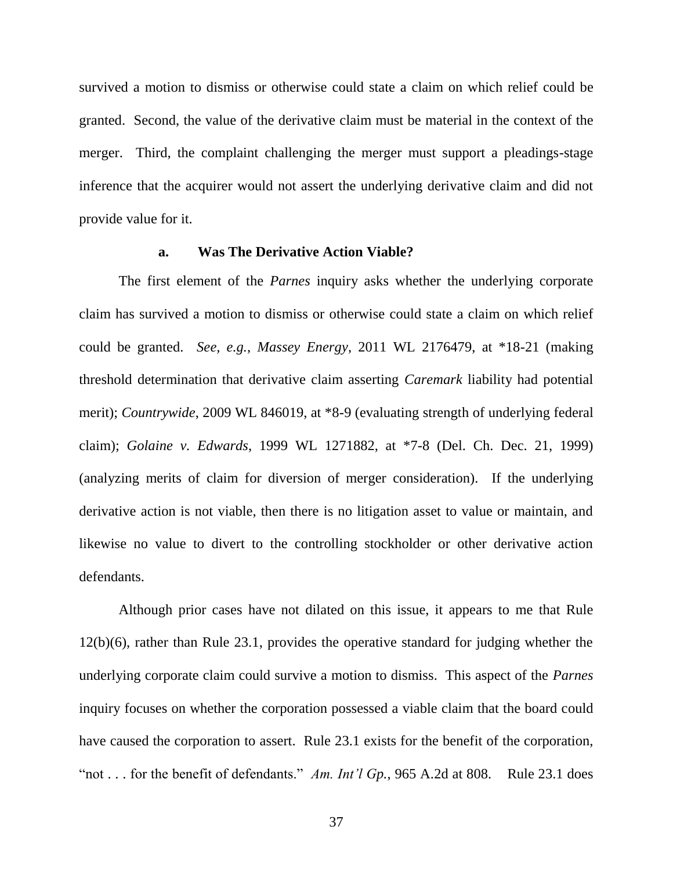survived a motion to dismiss or otherwise could state a claim on which relief could be granted. Second, the value of the derivative claim must be material in the context of the merger. Third, the complaint challenging the merger must support a pleadings-stage inference that the acquirer would not assert the underlying derivative claim and did not provide value for it.

## **a. Was The Derivative Action Viable?**

The first element of the *Parnes* inquiry asks whether the underlying corporate claim has survived a motion to dismiss or otherwise could state a claim on which relief could be granted. *See, e.g.*, *Massey Energy*, 2011 WL 2176479, at \*18-21 (making threshold determination that derivative claim asserting *Caremark* liability had potential merit); *Countrywide*, 2009 WL 846019, at \*8-9 (evaluating strength of underlying federal claim); *Golaine v. Edwards*, 1999 WL 1271882, at \*7-8 (Del. Ch. Dec. 21, 1999) (analyzing merits of claim for diversion of merger consideration). If the underlying derivative action is not viable, then there is no litigation asset to value or maintain, and likewise no value to divert to the controlling stockholder or other derivative action defendants.

Although prior cases have not dilated on this issue, it appears to me that Rule 12(b)(6), rather than Rule 23.1, provides the operative standard for judging whether the underlying corporate claim could survive a motion to dismiss. This aspect of the *Parnes*  inquiry focuses on whether the corporation possessed a viable claim that the board could have caused the corporation to assert. Rule 23.1 exists for the benefit of the corporation, "not . . . for the benefit of defendants." *Am. Int'l Gp.*, 965 A.2d at 808. Rule 23.1 does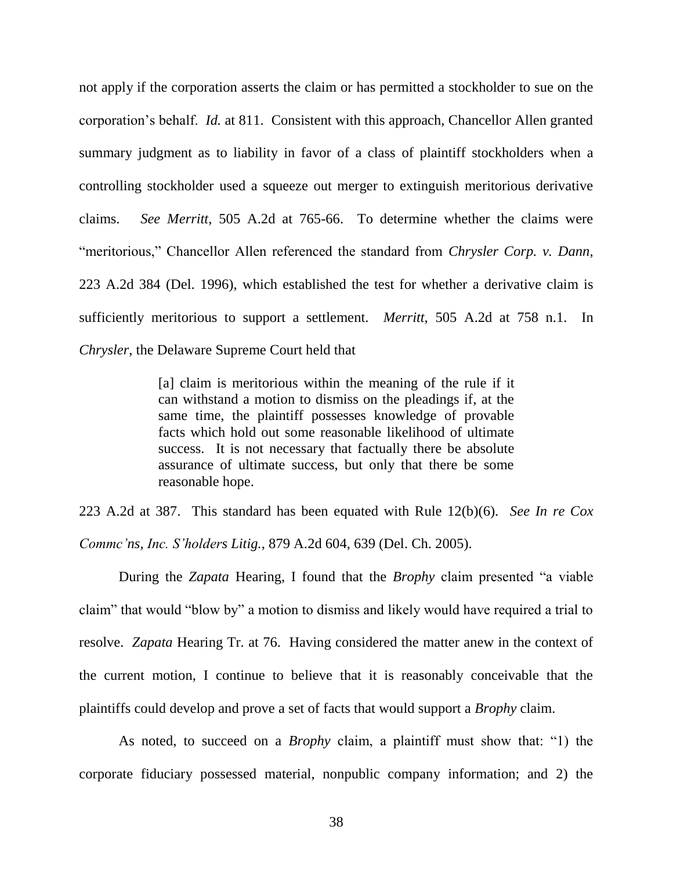not apply if the corporation asserts the claim or has permitted a stockholder to sue on the corporation's behalf. *Id.* at 811. Consistent with this approach, Chancellor Allen granted summary judgment as to liability in favor of a class of plaintiff stockholders when a controlling stockholder used a squeeze out merger to extinguish meritorious derivative claims. *See Merritt*, 505 A.2d at 765-66. To determine whether the claims were ―meritorious,‖ Chancellor Allen referenced the standard from *Chrysler Corp. v. Dann*, 223 A.2d 384 (Del. 1996), which established the test for whether a derivative claim is sufficiently meritorious to support a settlement. *Merritt*, 505 A.2d at 758 n.1. In *Chrysler*, the Delaware Supreme Court held that

> [a] claim is meritorious within the meaning of the rule if it can withstand a motion to dismiss on the pleadings if, at the same time, the plaintiff possesses knowledge of provable facts which hold out some reasonable likelihood of ultimate success. It is not necessary that factually there be absolute assurance of ultimate success, but only that there be some reasonable hope.

223 A.2d at 387. This standard has been equated with Rule 12(b)(6). *See In re Cox Commc'ns, Inc. S'holders Litig.*, 879 A.2d 604, 639 (Del. Ch. 2005).

During the *Zapata* Hearing, I found that the *Brophy* claim presented "a viable" claim" that would "blow by" a motion to dismiss and likely would have required a trial to resolve. *Zapata* Hearing Tr. at 76. Having considered the matter anew in the context of the current motion, I continue to believe that it is reasonably conceivable that the plaintiffs could develop and prove a set of facts that would support a *Brophy* claim.

As noted, to succeed on a *Brophy* claim, a plaintiff must show that: "1) the corporate fiduciary possessed material, nonpublic company information; and 2) the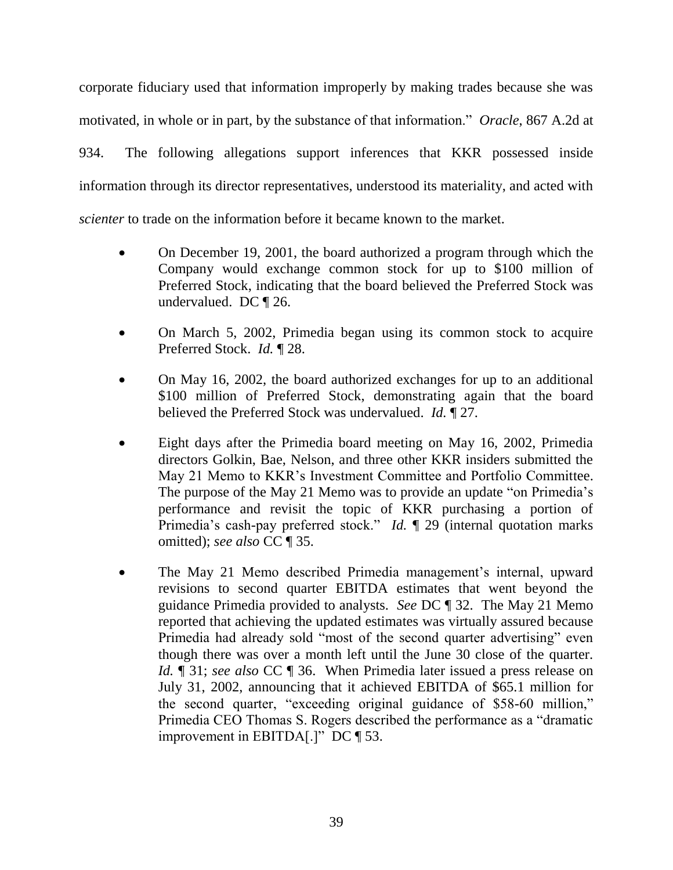corporate fiduciary used that information improperly by making trades because she was motivated, in whole or in part, by the substance of that information." *Oracle*, 867 A.2d at 934. The following allegations support inferences that KKR possessed inside

information through its director representatives, understood its materiality, and acted with

*scienter* to trade on the information before it became known to the market.

- On December 19, 2001, the board authorized a program through which the Company would exchange common stock for up to \$100 million of Preferred Stock, indicating that the board believed the Preferred Stock was undervalued. DC ¶ 26.
- On March 5, 2002, Primedia began using its common stock to acquire Preferred Stock. *Id.* ¶ 28.
- On May 16, 2002, the board authorized exchanges for up to an additional \$100 million of Preferred Stock, demonstrating again that the board believed the Preferred Stock was undervalued. *Id.* ¶ 27.
- Eight days after the Primedia board meeting on May 16, 2002, Primedia directors Golkin, Bae, Nelson, and three other KKR insiders submitted the May 21 Memo to KKR's Investment Committee and Portfolio Committee. The purpose of the May 21 Memo was to provide an update "on Primedia's performance and revisit the topic of KKR purchasing a portion of Primedia's cash-pay preferred stock." *Id.* 1 29 (internal quotation marks omitted); *see also* CC ¶ 35.
- The May 21 Memo described Primedia management's internal, upward revisions to second quarter EBITDA estimates that went beyond the guidance Primedia provided to analysts. *See* DC ¶ 32. The May 21 Memo reported that achieving the updated estimates was virtually assured because Primedia had already sold "most of the second quarter advertising" even though there was over a month left until the June 30 close of the quarter. *Id.* ¶ 31; *see also* CC ¶ 36. When Primedia later issued a press release on July 31, 2002, announcing that it achieved EBITDA of \$65.1 million for the second quarter, "exceeding original guidance of \$58-60 million," Primedia CEO Thomas S. Rogers described the performance as a "dramatic" improvement in EBITDA[.]" DC  $\P$  53.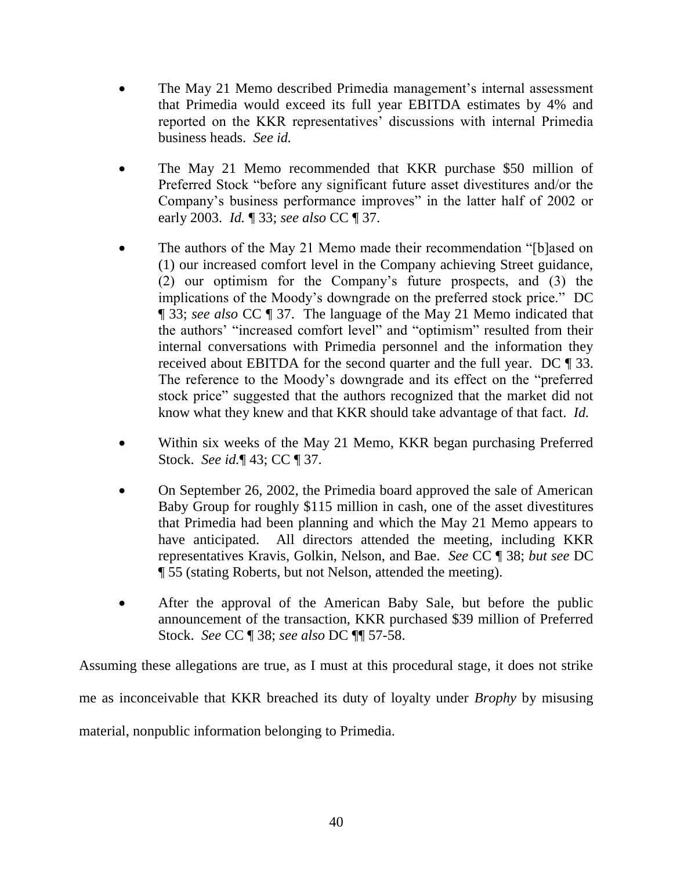- The May 21 Memo described Primedia management's internal assessment that Primedia would exceed its full year EBITDA estimates by 4% and reported on the KKR representatives' discussions with internal Primedia business heads. *See id.*
- The May 21 Memo recommended that KKR purchase \$50 million of Preferred Stock "before any significant future asset divestitures and/or the Company's business performance improves" in the latter half of 2002 or early 2003. *Id.* ¶ 33; *see also* CC ¶ 37.
- The authors of the May 21 Memo made their recommendation "[b]ased on (1) our increased comfort level in the Company achieving Street guidance, (2) our optimism for the Company's future prospects, and (3) the implications of the Moody's downgrade on the preferred stock price." DC ¶ 33; *see also* CC ¶ 37.The language of the May 21 Memo indicated that the authors' "increased comfort level" and "optimism" resulted from their internal conversations with Primedia personnel and the information they received about EBITDA for the second quarter and the full year. DC ¶ 33. The reference to the Moody's downgrade and its effect on the "preferred" stock price" suggested that the authors recognized that the market did not know what they knew and that KKR should take advantage of that fact. *Id.*
- Within six weeks of the May 21 Memo, KKR began purchasing Preferred Stock. *See id.*¶ 43; CC ¶ 37.
- On September 26, 2002, the Primedia board approved the sale of American Baby Group for roughly \$115 million in cash, one of the asset divestitures that Primedia had been planning and which the May 21 Memo appears to have anticipated. All directors attended the meeting, including KKR representatives Kravis, Golkin, Nelson, and Bae. *See* CC ¶ 38; *but see* DC ¶ 55 (stating Roberts, but not Nelson, attended the meeting).
- After the approval of the American Baby Sale, but before the public announcement of the transaction, KKR purchased \$39 million of Preferred Stock. *See* CC ¶ 38; *see also* DC ¶¶ 57-58.

Assuming these allegations are true, as I must at this procedural stage, it does not strike me as inconceivable that KKR breached its duty of loyalty under *Brophy* by misusing material, nonpublic information belonging to Primedia.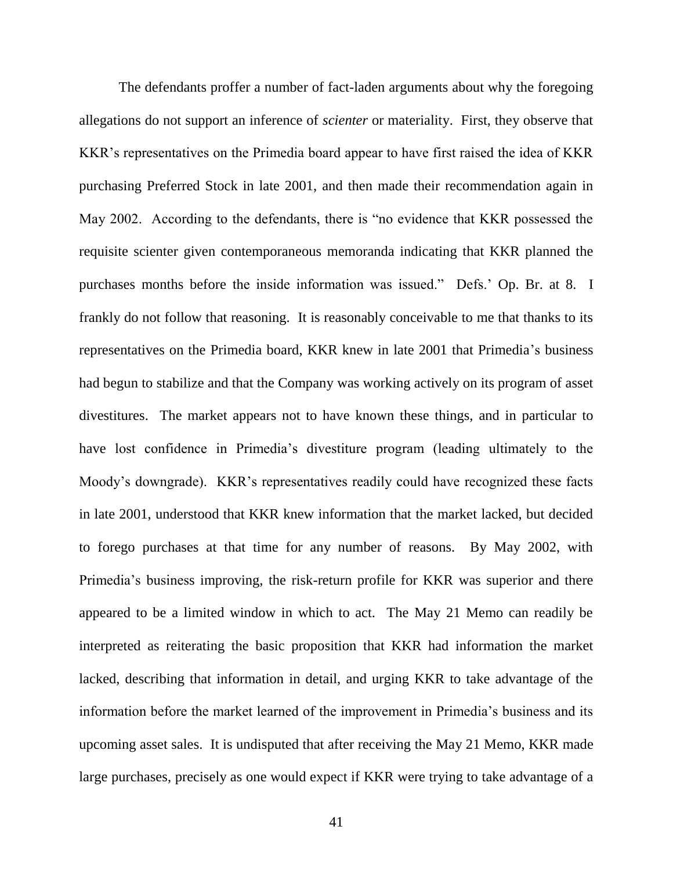The defendants proffer a number of fact-laden arguments about why the foregoing allegations do not support an inference of *scienter* or materiality. First, they observe that KKR's representatives on the Primedia board appear to have first raised the idea of KKR purchasing Preferred Stock in late 2001, and then made their recommendation again in May 2002. According to the defendants, there is "no evidence that KKR possessed the requisite scienter given contemporaneous memoranda indicating that KKR planned the purchases months before the inside information was issued." Defs.' Op. Br. at 8. I frankly do not follow that reasoning. It is reasonably conceivable to me that thanks to its representatives on the Primedia board, KKR knew in late 2001 that Primedia's business had begun to stabilize and that the Company was working actively on its program of asset divestitures. The market appears not to have known these things, and in particular to have lost confidence in Primedia's divestiture program (leading ultimately to the Moody's downgrade). KKR's representatives readily could have recognized these facts in late 2001, understood that KKR knew information that the market lacked, but decided to forego purchases at that time for any number of reasons. By May 2002, with Primedia's business improving, the risk-return profile for KKR was superior and there appeared to be a limited window in which to act. The May 21 Memo can readily be interpreted as reiterating the basic proposition that KKR had information the market lacked, describing that information in detail, and urging KKR to take advantage of the information before the market learned of the improvement in Primedia's business and its upcoming asset sales. It is undisputed that after receiving the May 21 Memo, KKR made large purchases, precisely as one would expect if KKR were trying to take advantage of a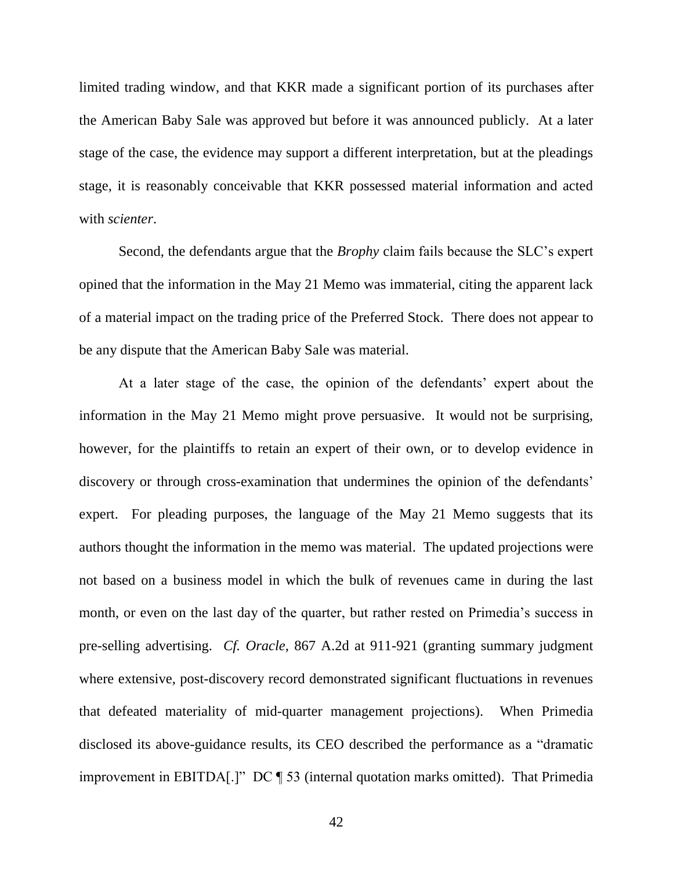limited trading window, and that KKR made a significant portion of its purchases after the American Baby Sale was approved but before it was announced publicly. At a later stage of the case, the evidence may support a different interpretation, but at the pleadings stage, it is reasonably conceivable that KKR possessed material information and acted with *scienter*.

Second, the defendants argue that the *Brophy* claim fails because the SLC's expert opined that the information in the May 21 Memo was immaterial, citing the apparent lack of a material impact on the trading price of the Preferred Stock. There does not appear to be any dispute that the American Baby Sale was material.

At a later stage of the case, the opinion of the defendants' expert about the information in the May 21 Memo might prove persuasive. It would not be surprising, however, for the plaintiffs to retain an expert of their own, or to develop evidence in discovery or through cross-examination that undermines the opinion of the defendants' expert. For pleading purposes, the language of the May 21 Memo suggests that its authors thought the information in the memo was material. The updated projections were not based on a business model in which the bulk of revenues came in during the last month, or even on the last day of the quarter, but rather rested on Primedia's success in pre-selling advertising. *Cf. Oracle*, 867 A.2d at 911-921 (granting summary judgment where extensive, post-discovery record demonstrated significant fluctuations in revenues that defeated materiality of mid-quarter management projections). When Primedia disclosed its above-guidance results, its CEO described the performance as a "dramatic improvement in EBITDA[.]"  $DC \parallel 53$  (internal quotation marks omitted). That Primedia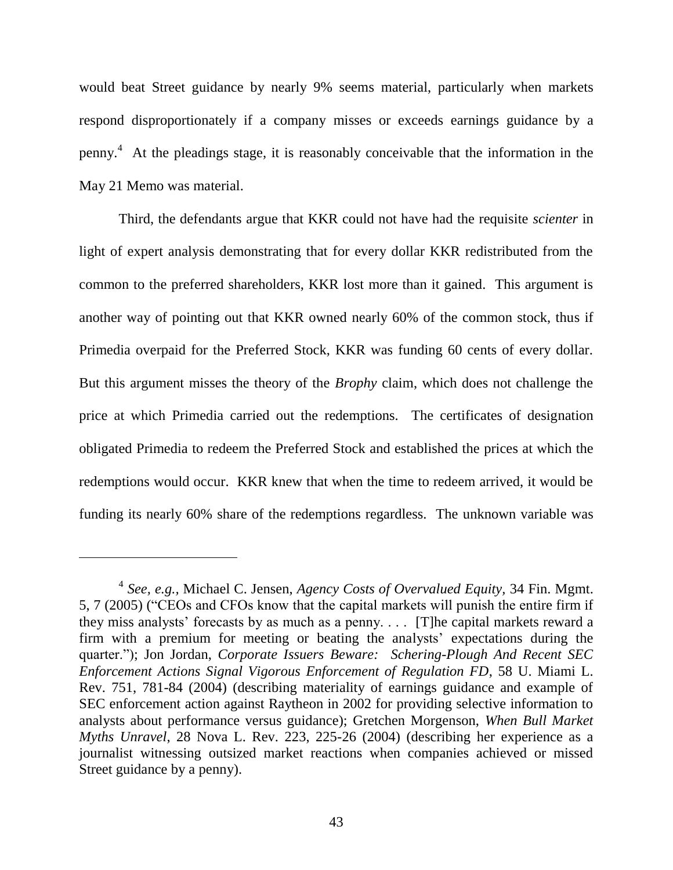would beat Street guidance by nearly 9% seems material, particularly when markets respond disproportionately if a company misses or exceeds earnings guidance by a penny. 4 At the pleadings stage, it is reasonably conceivable that the information in the May 21 Memo was material.

Third, the defendants argue that KKR could not have had the requisite *scienter* in light of expert analysis demonstrating that for every dollar KKR redistributed from the common to the preferred shareholders, KKR lost more than it gained. This argument is another way of pointing out that KKR owned nearly 60% of the common stock, thus if Primedia overpaid for the Preferred Stock, KKR was funding 60 cents of every dollar. But this argument misses the theory of the *Brophy* claim, which does not challenge the price at which Primedia carried out the redemptions. The certificates of designation obligated Primedia to redeem the Preferred Stock and established the prices at which the redemptions would occur. KKR knew that when the time to redeem arrived, it would be funding its nearly 60% share of the redemptions regardless. The unknown variable was

<sup>4</sup> *See, e.g.,* Michael C. Jensen, *Agency Costs of Overvalued Equity,* 34 Fin. Mgmt. 5, 7 (2005) ("CEOs and CFOs know that the capital markets will punish the entire firm if they miss analysts' forecasts by as much as a penny. . . . [T]he capital markets reward a firm with a premium for meeting or beating the analysts' expectations during the quarter.‖); Jon Jordan, *Corporate Issuers Beware: Schering-Plough And Recent SEC Enforcement Actions Signal Vigorous Enforcement of Regulation FD*, 58 U. Miami L. Rev. 751, 781-84 (2004) (describing materiality of earnings guidance and example of SEC enforcement action against Raytheon in 2002 for providing selective information to analysts about performance versus guidance); Gretchen Morgenson, *When Bull Market Myths Unravel*, 28 Nova L. Rev. 223, 225-26 (2004) (describing her experience as a journalist witnessing outsized market reactions when companies achieved or missed Street guidance by a penny).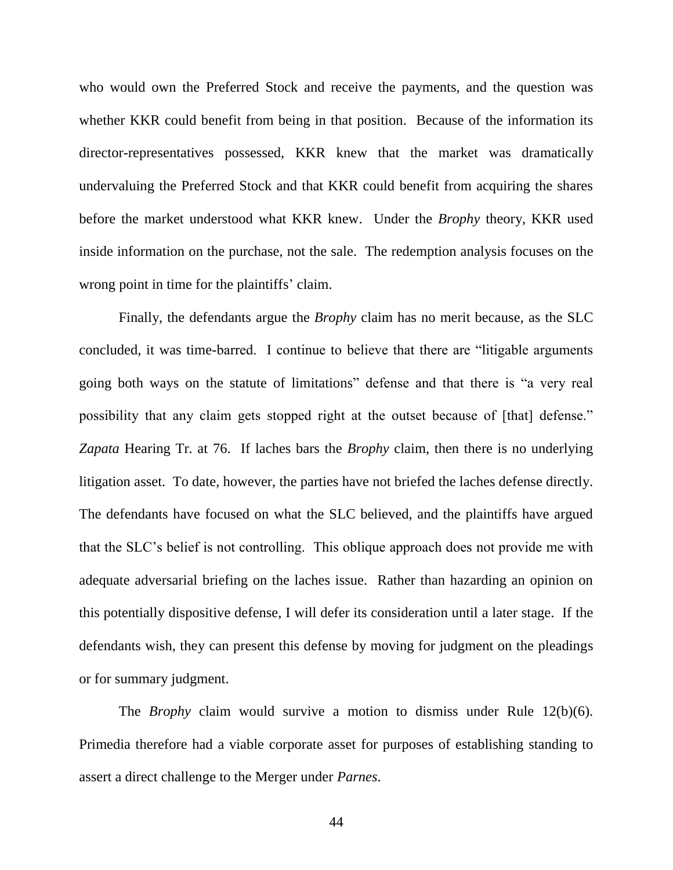who would own the Preferred Stock and receive the payments, and the question was whether KKR could benefit from being in that position. Because of the information its director-representatives possessed, KKR knew that the market was dramatically undervaluing the Preferred Stock and that KKR could benefit from acquiring the shares before the market understood what KKR knew. Under the *Brophy* theory, KKR used inside information on the purchase, not the sale. The redemption analysis focuses on the wrong point in time for the plaintiffs' claim.

Finally, the defendants argue the *Brophy* claim has no merit because, as the SLC concluded, it was time-barred. I continue to believe that there are "litigable arguments" going both ways on the statute of limitations" defense and that there is "a very real possibility that any claim gets stopped right at the outset because of [that] defense." *Zapata* Hearing Tr. at 76. If laches bars the *Brophy* claim, then there is no underlying litigation asset. To date, however, the parties have not briefed the laches defense directly. The defendants have focused on what the SLC believed, and the plaintiffs have argued that the SLC's belief is not controlling. This oblique approach does not provide me with adequate adversarial briefing on the laches issue. Rather than hazarding an opinion on this potentially dispositive defense, I will defer its consideration until a later stage. If the defendants wish, they can present this defense by moving for judgment on the pleadings or for summary judgment.

The *Brophy* claim would survive a motion to dismiss under Rule 12(b)(6). Primedia therefore had a viable corporate asset for purposes of establishing standing to assert a direct challenge to the Merger under *Parnes*.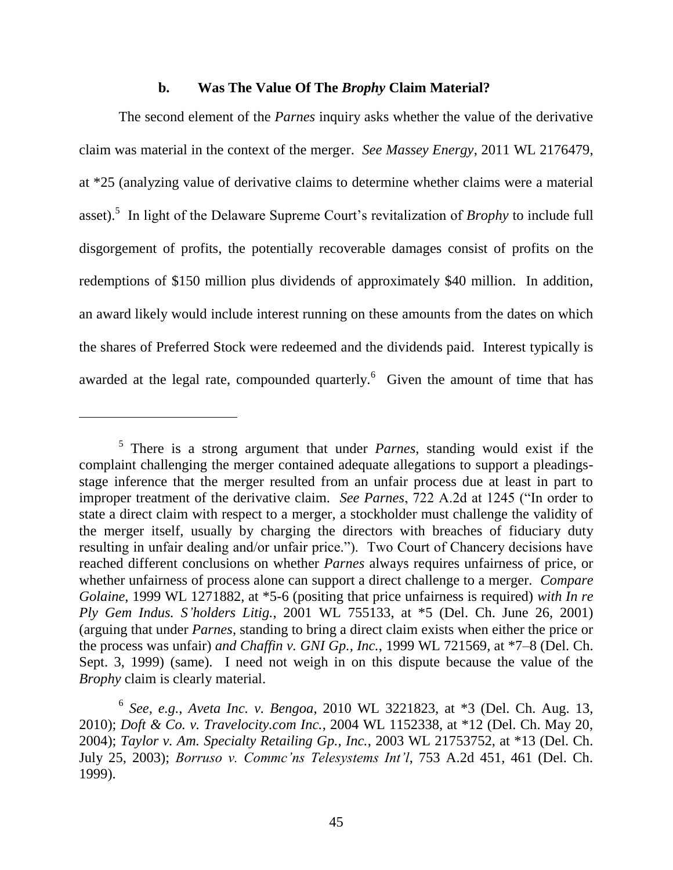#### **b. Was The Value Of The** *Brophy* **Claim Material?**

The second element of the *Parnes* inquiry asks whether the value of the derivative claim was material in the context of the merger. *See Massey Energy*, 2011 WL 2176479, at \*25 (analyzing value of derivative claims to determine whether claims were a material asset).<sup>5</sup> In light of the Delaware Supreme Court's revitalization of *Brophy* to include full disgorgement of profits, the potentially recoverable damages consist of profits on the redemptions of \$150 million plus dividends of approximately \$40 million. In addition, an award likely would include interest running on these amounts from the dates on which the shares of Preferred Stock were redeemed and the dividends paid. Interest typically is awarded at the legal rate, compounded quarterly.  $\frac{6}{5}$  Given the amount of time that has

<sup>5</sup> There is a strong argument that under *Parnes*, standing would exist if the complaint challenging the merger contained adequate allegations to support a pleadingsstage inference that the merger resulted from an unfair process due at least in part to improper treatment of the derivative claim. *See Parnes*, 722 A.2d at 1245 ("In order to state a direct claim with respect to a merger, a stockholder must challenge the validity of the merger itself, usually by charging the directors with breaches of fiduciary duty resulting in unfair dealing and/or unfair price."). Two Court of Chancery decisions have reached different conclusions on whether *Parnes* always requires unfairness of price, or whether unfairness of process alone can support a direct challenge to a merger. *Compare Golaine*, 1999 WL 1271882, at \*5-6 (positing that price unfairness is required) *with In re Ply Gem Indus. S'holders Litig.*, 2001 WL 755133, at \*5 (Del. Ch. June 26, 2001) (arguing that under *Parnes*, standing to bring a direct claim exists when either the price or the process was unfair) *and Chaffin v. GNI Gp., Inc.*, 1999 WL 721569, at \*7–8 (Del. Ch. Sept. 3, 1999) (same). I need not weigh in on this dispute because the value of the *Brophy* claim is clearly material.

<sup>6</sup> *See, e.g.*, *Aveta Inc. v. Bengoa*, 2010 WL 3221823, at \*3 (Del. Ch. Aug. 13, 2010); *Doft & Co. v. Travelocity.com Inc.*, 2004 WL 1152338, at \*12 (Del. Ch. May 20, 2004); *Taylor v. Am. Specialty Retailing Gp., Inc.*, 2003 WL 21753752, at \*13 (Del. Ch. July 25, 2003); *Borruso v. Commc'ns Telesystems Int'l*, 753 A.2d 451, 461 (Del. Ch. 1999).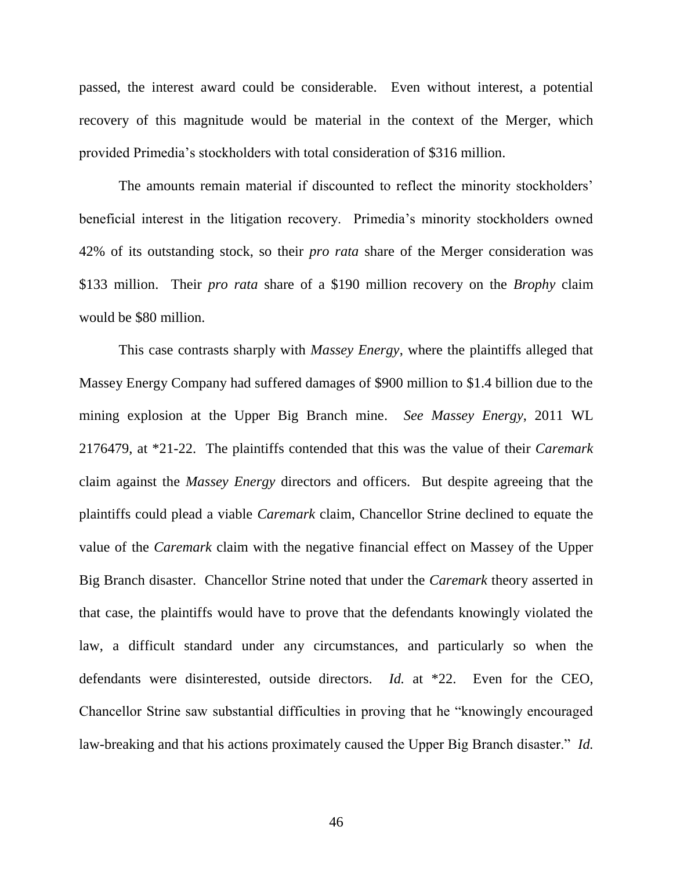passed, the interest award could be considerable. Even without interest, a potential recovery of this magnitude would be material in the context of the Merger, which provided Primedia's stockholders with total consideration of \$316 million.

The amounts remain material if discounted to reflect the minority stockholders' beneficial interest in the litigation recovery. Primedia's minority stockholders owned 42% of its outstanding stock, so their *pro rata* share of the Merger consideration was \$133 million. Their *pro rata* share of a \$190 million recovery on the *Brophy* claim would be \$80 million.

This case contrasts sharply with *Massey Energy*, where the plaintiffs alleged that Massey Energy Company had suffered damages of \$900 million to \$1.4 billion due to the mining explosion at the Upper Big Branch mine. *See Massey Energy*, 2011 WL 2176479, at \*21-22. The plaintiffs contended that this was the value of their *Caremark*  claim against the *Massey Energy* directors and officers. But despite agreeing that the plaintiffs could plead a viable *Caremark* claim, Chancellor Strine declined to equate the value of the *Caremark* claim with the negative financial effect on Massey of the Upper Big Branch disaster. Chancellor Strine noted that under the *Caremark* theory asserted in that case, the plaintiffs would have to prove that the defendants knowingly violated the law, a difficult standard under any circumstances, and particularly so when the defendants were disinterested, outside directors. *Id.* at \*22. Even for the CEO, Chancellor Strine saw substantial difficulties in proving that he "knowingly encouraged law-breaking and that his actions proximately caused the Upper Big Branch disaster." *Id.*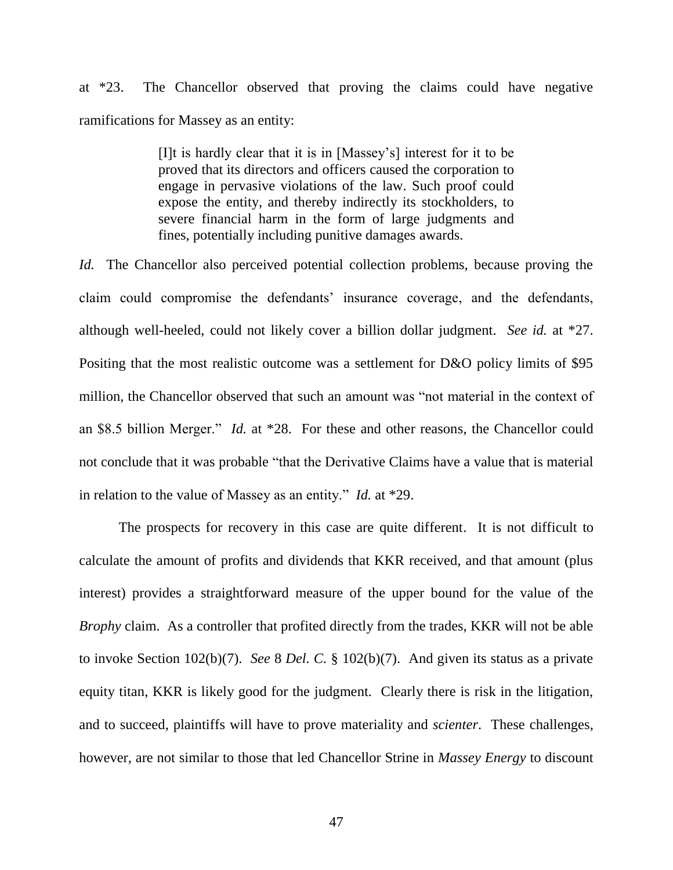at \*23. The Chancellor observed that proving the claims could have negative ramifications for Massey as an entity:

> [I]t is hardly clear that it is in [Massey's] interest for it to be proved that its directors and officers caused the corporation to engage in pervasive violations of the law. Such proof could expose the entity, and thereby indirectly its stockholders, to severe financial harm in the form of large judgments and fines, potentially including punitive damages awards.

*Id.* The Chancellor also perceived potential collection problems, because proving the claim could compromise the defendants' insurance coverage, and the defendants, although well-heeled, could not likely cover a billion dollar judgment. *See id.* at \*27. Positing that the most realistic outcome was a settlement for D&O policy limits of \$95 million, the Chancellor observed that such an amount was "not material in the context of an \$8.5 billion Merger." *Id.* at \*28. For these and other reasons, the Chancellor could not conclude that it was probable "that the Derivative Claims have a value that is material in relation to the value of Massey as an entity." *Id.* at \*29.

The prospects for recovery in this case are quite different. It is not difficult to calculate the amount of profits and dividends that KKR received, and that amount (plus interest) provides a straightforward measure of the upper bound for the value of the *Brophy* claim. As a controller that profited directly from the trades, KKR will not be able to invoke Section 102(b)(7). *See* 8 *Del. C.* § 102(b)(7). And given its status as a private equity titan, KKR is likely good for the judgment. Clearly there is risk in the litigation, and to succeed, plaintiffs will have to prove materiality and *scienter*. These challenges, however, are not similar to those that led Chancellor Strine in *Massey Energy* to discount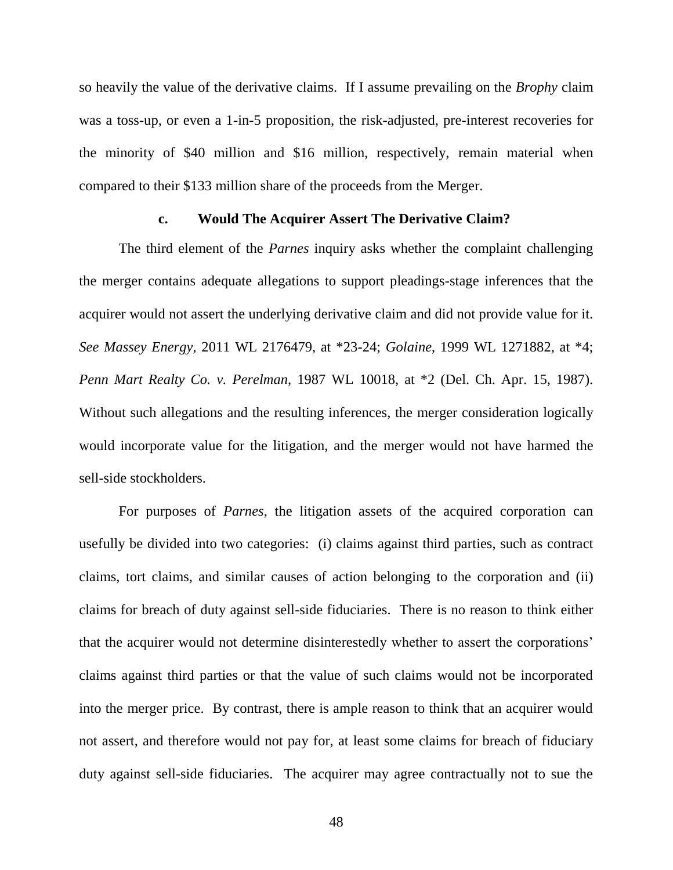so heavily the value of the derivative claims. If I assume prevailing on the *Brophy* claim was a toss-up, or even a 1-in-5 proposition, the risk-adjusted, pre-interest recoveries for the minority of \$40 million and \$16 million, respectively, remain material when compared to their \$133 million share of the proceeds from the Merger.

# **c. Would The Acquirer Assert The Derivative Claim?**

The third element of the *Parnes* inquiry asks whether the complaint challenging the merger contains adequate allegations to support pleadings-stage inferences that the acquirer would not assert the underlying derivative claim and did not provide value for it. *See Massey Energy*, 2011 WL 2176479, at \*23-24; *Golaine*, 1999 WL 1271882, at \*4; *Penn Mart Realty Co. v. Perelman*, 1987 WL 10018, at \*2 (Del. Ch. Apr. 15, 1987). Without such allegations and the resulting inferences, the merger consideration logically would incorporate value for the litigation, and the merger would not have harmed the sell-side stockholders.

For purposes of *Parnes*, the litigation assets of the acquired corporation can usefully be divided into two categories: (i) claims against third parties, such as contract claims, tort claims, and similar causes of action belonging to the corporation and (ii) claims for breach of duty against sell-side fiduciaries. There is no reason to think either that the acquirer would not determine disinterestedly whether to assert the corporations' claims against third parties or that the value of such claims would not be incorporated into the merger price. By contrast, there is ample reason to think that an acquirer would not assert, and therefore would not pay for, at least some claims for breach of fiduciary duty against sell-side fiduciaries. The acquirer may agree contractually not to sue the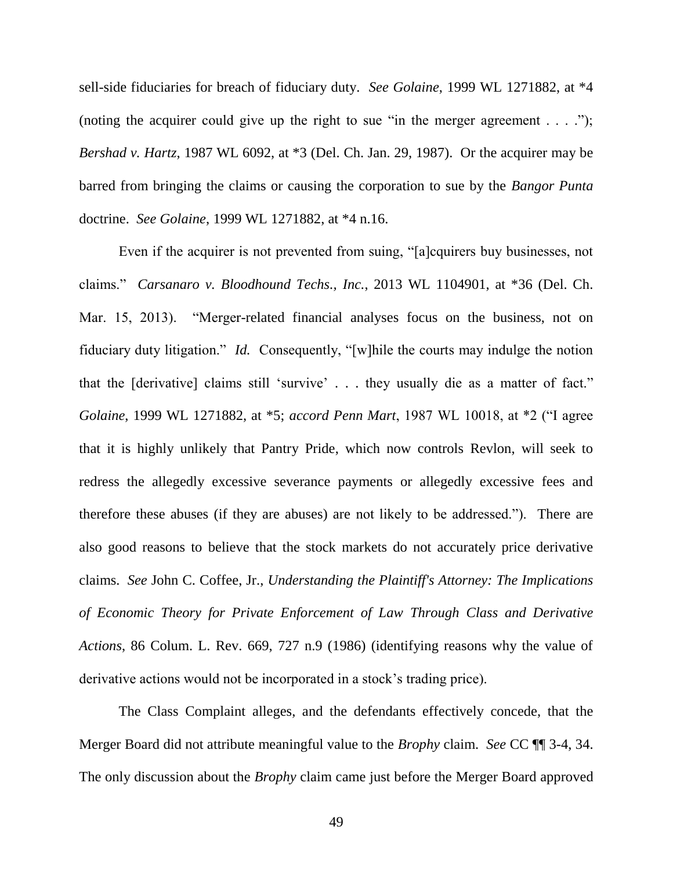sell-side fiduciaries for breach of fiduciary duty. *See Golaine*, 1999 WL 1271882, at \*4 (noting the acquirer could give up the right to sue "in the merger agreement  $\dots$  ..."); *Bershad v. Hartz*, 1987 WL 6092, at \*3 (Del. Ch. Jan. 29, 1987). Or the acquirer may be barred from bringing the claims or causing the corporation to sue by the *Bangor Punta*  doctrine. *See Golaine*, 1999 WL 1271882, at \*4 n.16.

Even if the acquirer is not prevented from suing, "[a]cquirers buy businesses, not claims.‖ *Carsanaro v. Bloodhound Techs., Inc.*, 2013 WL 1104901, at \*36 (Del. Ch. Mar. 15, 2013). 
"Merger-related financial analyses focus on the business, not on fiduciary duty litigation." *Id.* Consequently, "[w]hile the courts may indulge the notion that the  $\lceil$  derivative $\rceil$  claims still 'survive' . . . they usually die as a matter of fact." *Golaine*, 1999 WL 1271882, at \*5; *accord Penn Mart*, 1987 WL 10018, at \*2 ("I agree that it is highly unlikely that Pantry Pride, which now controls Revlon, will seek to redress the allegedly excessive severance payments or allegedly excessive fees and therefore these abuses (if they are abuses) are not likely to be addressed."). There are also good reasons to believe that the stock markets do not accurately price derivative claims. *See* John C. Coffee, Jr., *Understanding the Plaintiff's Attorney: The Implications of Economic Theory for Private Enforcement of Law Through Class and Derivative Actions*, 86 Colum. L. Rev. 669, 727 n.9 (1986) (identifying reasons why the value of derivative actions would not be incorporated in a stock's trading price).

The Class Complaint alleges, and the defendants effectively concede, that the Merger Board did not attribute meaningful value to the *Brophy* claim. *See* CC ¶¶ 3-4, 34. The only discussion about the *Brophy* claim came just before the Merger Board approved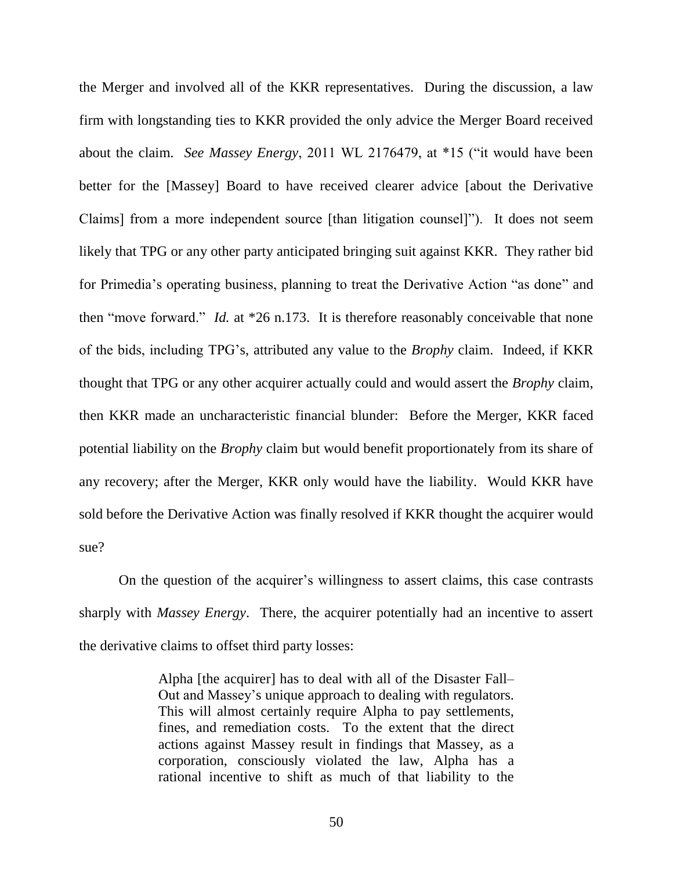the Merger and involved all of the KKR representatives. During the discussion, a law firm with longstanding ties to KKR provided the only advice the Merger Board received about the claim. *See Massey Energy*, 2011 WL 2176479, at \*15 ("it would have been better for the [Massey] Board to have received clearer advice [about the Derivative Claims] from a more independent source [than litigation counsel]‖). It does not seem likely that TPG or any other party anticipated bringing suit against KKR. They rather bid for Primedia's operating business, planning to treat the Derivative Action "as done" and then "move forward." *Id.* at \*26 n.173. It is therefore reasonably conceivable that none of the bids, including TPG's, attributed any value to the *Brophy* claim. Indeed, if KKR thought that TPG or any other acquirer actually could and would assert the *Brophy* claim, then KKR made an uncharacteristic financial blunder: Before the Merger, KKR faced potential liability on the *Brophy* claim but would benefit proportionately from its share of any recovery; after the Merger, KKR only would have the liability. Would KKR have sold before the Derivative Action was finally resolved if KKR thought the acquirer would sue?

On the question of the acquirer's willingness to assert claims, this case contrasts sharply with *Massey Energy*. There, the acquirer potentially had an incentive to assert the derivative claims to offset third party losses:

> Alpha [the acquirer] has to deal with all of the Disaster Fall– Out and Massey's unique approach to dealing with regulators. This will almost certainly require Alpha to pay settlements, fines, and remediation costs. To the extent that the direct actions against Massey result in findings that Massey, as a corporation, consciously violated the law, Alpha has a rational incentive to shift as much of that liability to the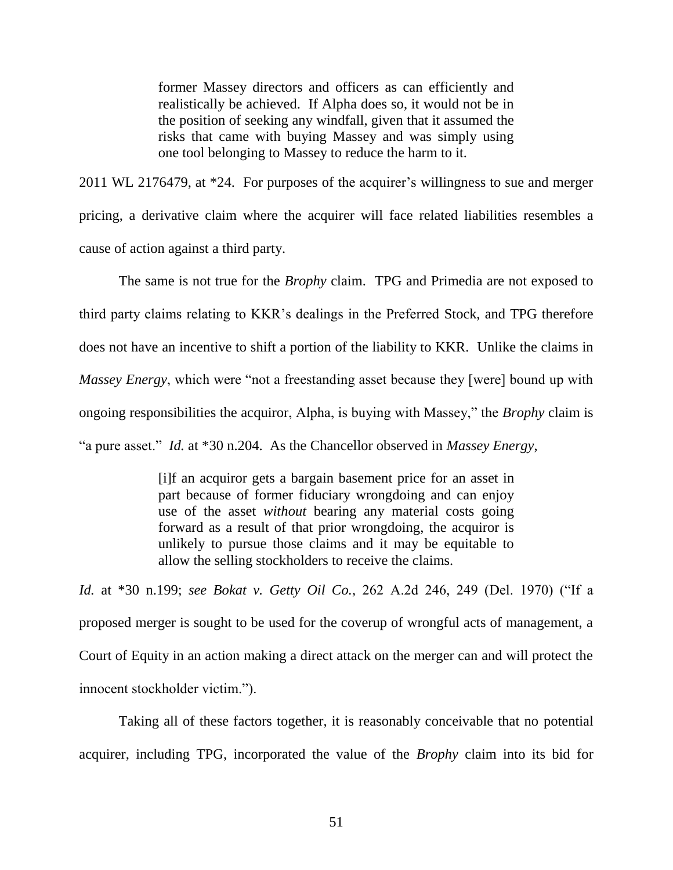former Massey directors and officers as can efficiently and realistically be achieved. If Alpha does so, it would not be in the position of seeking any windfall, given that it assumed the risks that came with buying Massey and was simply using one tool belonging to Massey to reduce the harm to it.

2011 WL 2176479, at \*24. For purposes of the acquirer's willingness to sue and merger pricing, a derivative claim where the acquirer will face related liabilities resembles a cause of action against a third party.

The same is not true for the *Brophy* claim. TPG and Primedia are not exposed to third party claims relating to KKR's dealings in the Preferred Stock, and TPG therefore does not have an incentive to shift a portion of the liability to KKR. Unlike the claims in *Massey Energy*, which were "not a freestanding asset because they [were] bound up with ongoing responsibilities the acquiror, Alpha, is buying with Massey," the *Brophy* claim is ―a pure asset.‖ *Id.* at \*30 n.204. As the Chancellor observed in *Massey Energy*,

> [i]f an acquiror gets a bargain basement price for an asset in part because of former fiduciary wrongdoing and can enjoy use of the asset *without* bearing any material costs going forward as a result of that prior wrongdoing, the acquiror is unlikely to pursue those claims and it may be equitable to allow the selling stockholders to receive the claims.

*Id.* at \*30 n.199; *see Bokat v. Getty Oil Co.*, 262 A.2d 246, 249 (Del. 1970) ("If a proposed merger is sought to be used for the coverup of wrongful acts of management, a Court of Equity in an action making a direct attack on the merger can and will protect the innocent stockholder victim.").

Taking all of these factors together, it is reasonably conceivable that no potential acquirer, including TPG, incorporated the value of the *Brophy* claim into its bid for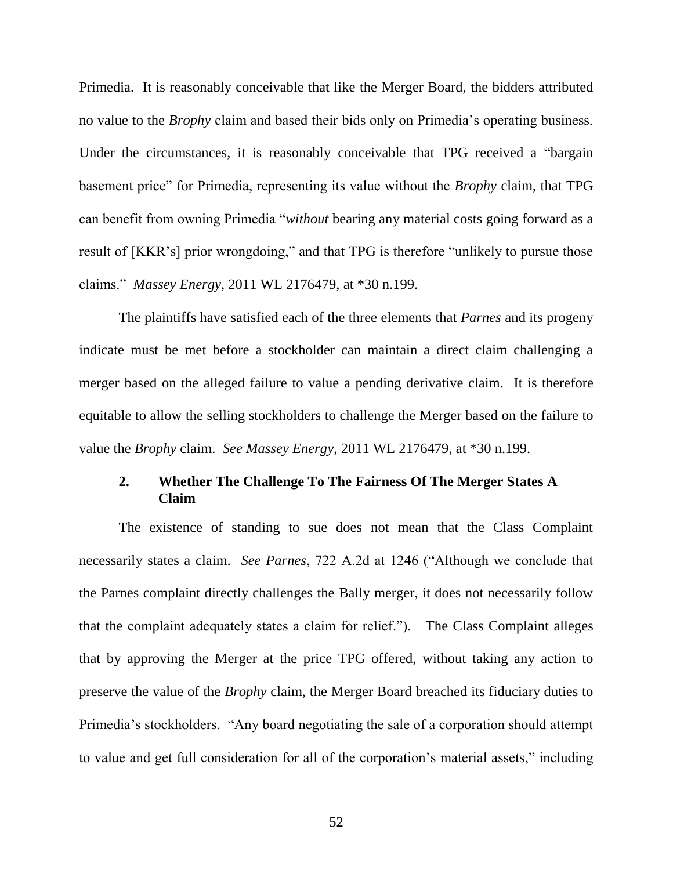Primedia. It is reasonably conceivable that like the Merger Board, the bidders attributed no value to the *Brophy* claim and based their bids only on Primedia's operating business. Under the circumstances, it is reasonably conceivable that TPG received a "bargain" basement price" for Primedia, representing its value without the *Brophy* claim, that TPG can benefit from owning Primedia "*without* bearing any material costs going forward as a result of [KKR's] prior wrongdoing," and that TPG is therefore "unlikely to pursue those claims.‖ *Massey Energy*, 2011 WL 2176479, at \*30 n.199.

The plaintiffs have satisfied each of the three elements that *Parnes* and its progeny indicate must be met before a stockholder can maintain a direct claim challenging a merger based on the alleged failure to value a pending derivative claim. It is therefore equitable to allow the selling stockholders to challenge the Merger based on the failure to value the *Brophy* claim. *See Massey Energy*, 2011 WL 2176479, at \*30 n.199.

# **2. Whether The Challenge To The Fairness Of The Merger States A Claim**

The existence of standing to sue does not mean that the Class Complaint necessarily states a claim. *See Parnes*, 722 A.2d at 1246 ("Although we conclude that the Parnes complaint directly challenges the Bally merger, it does not necessarily follow that the complaint adequately states a claim for relief."). The Class Complaint alleges that by approving the Merger at the price TPG offered, without taking any action to preserve the value of the *Brophy* claim, the Merger Board breached its fiduciary duties to Primedia's stockholders. "Any board negotiating the sale of a corporation should attempt to value and get full consideration for all of the corporation's material assets," including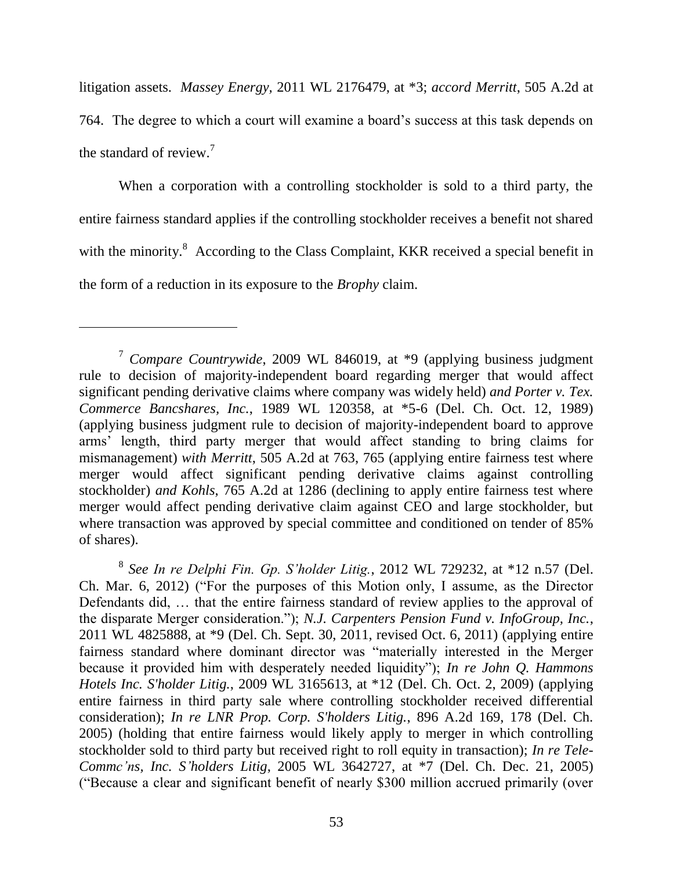litigation assets. *Massey Energy,* 2011 WL 2176479, at \*3; *accord Merritt*, 505 A.2d at 764. The degree to which a court will examine a board's success at this task depends on the standard of review. $7$ 

When a corporation with a controlling stockholder is sold to a third party, the entire fairness standard applies if the controlling stockholder receives a benefit not shared with the minority. $8$  According to the Class Complaint, KKR received a special benefit in the form of a reduction in its exposure to the *Brophy* claim.

8 *See In re Delphi Fin. Gp. S'holder Litig.*, 2012 WL 729232, at \*12 n.57 (Del. Ch. Mar. 6, 2012) ("For the purposes of this Motion only, I assume, as the Director Defendants did, … that the entire fairness standard of review applies to the approval of the disparate Merger consideration."); *N.J. Carpenters Pension Fund v. InfoGroup, Inc.*, 2011 WL 4825888, at \*9 (Del. Ch. Sept. 30, 2011, revised Oct. 6, 2011) (applying entire fairness standard where dominant director was "materially interested in the Merger because it provided him with desperately needed liquidity"); *In re John Q. Hammons Hotels Inc. S'holder Litig.*, 2009 WL 3165613, at \*12 (Del. Ch. Oct. 2, 2009) (applying entire fairness in third party sale where controlling stockholder received differential consideration); *In re LNR Prop. Corp. S'holders Litig.*, 896 A.2d 169, 178 (Del. Ch. 2005) (holding that entire fairness would likely apply to merger in which controlling stockholder sold to third party but received right to roll equity in transaction); *In re Tele-Commc'ns, Inc. S'holders Litig*, 2005 WL 3642727, at \*7 (Del. Ch. Dec. 21, 2005) (―Because a clear and significant benefit of nearly \$300 million accrued primarily (over

<sup>7</sup> *Compare Countrywide*, 2009 WL 846019, at \*9 (applying business judgment rule to decision of majority-independent board regarding merger that would affect significant pending derivative claims where company was widely held) *and Porter v. Tex. Commerce Bancshares, Inc.*, 1989 WL 120358, at \*5-6 (Del. Ch. Oct. 12, 1989) (applying business judgment rule to decision of majority-independent board to approve arms' length, third party merger that would affect standing to bring claims for mismanagement) *with Merritt*, 505 A.2d at 763, 765 (applying entire fairness test where merger would affect significant pending derivative claims against controlling stockholder) *and Kohls*, 765 A.2d at 1286 (declining to apply entire fairness test where merger would affect pending derivative claim against CEO and large stockholder, but where transaction was approved by special committee and conditioned on tender of 85% of shares).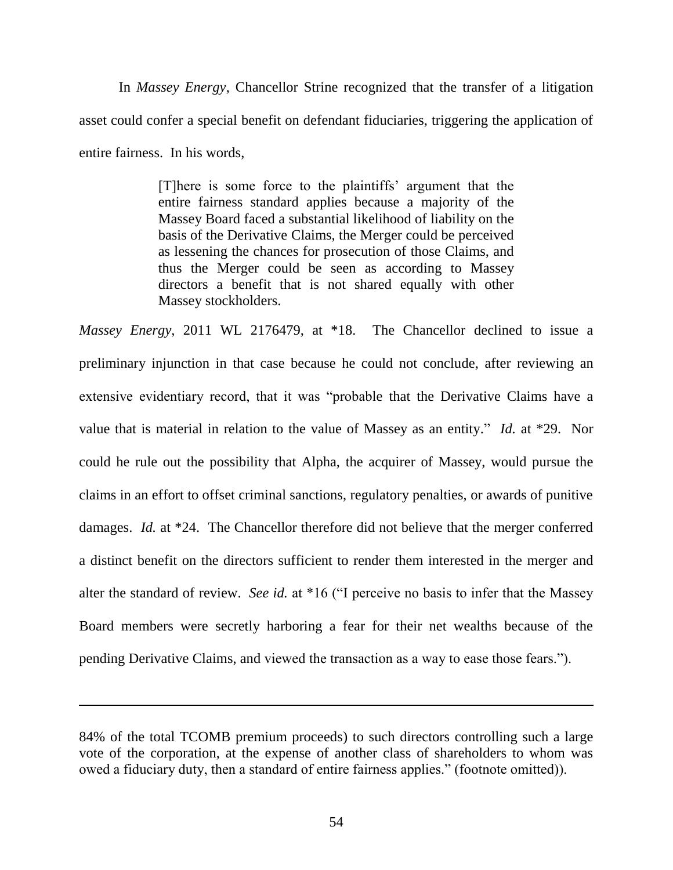In *Massey Energy*, Chancellor Strine recognized that the transfer of a litigation asset could confer a special benefit on defendant fiduciaries, triggering the application of entire fairness. In his words,

> [T]here is some force to the plaintiffs' argument that the entire fairness standard applies because a majority of the Massey Board faced a substantial likelihood of liability on the basis of the Derivative Claims, the Merger could be perceived as lessening the chances for prosecution of those Claims, and thus the Merger could be seen as according to Massey directors a benefit that is not shared equally with other Massey stockholders.

*Massey Energy*, 2011 WL 2176479, at \*18. The Chancellor declined to issue a preliminary injunction in that case because he could not conclude, after reviewing an extensive evidentiary record, that it was "probable that the Derivative Claims have a value that is material in relation to the value of Massey as an entity." *Id.* at \*29. Nor could he rule out the possibility that Alpha, the acquirer of Massey, would pursue the claims in an effort to offset criminal sanctions, regulatory penalties, or awards of punitive damages. *Id.* at \*24. The Chancellor therefore did not believe that the merger conferred a distinct benefit on the directors sufficient to render them interested in the merger and alter the standard of review. *See id.* at \*16 ("I perceive no basis to infer that the Massey Board members were secretly harboring a fear for their net wealths because of the pending Derivative Claims, and viewed the transaction as a way to ease those fears.").

<sup>84%</sup> of the total TCOMB premium proceeds) to such directors controlling such a large vote of the corporation, at the expense of another class of shareholders to whom was owed a fiduciary duty, then a standard of entire fairness applies." (footnote omitted)).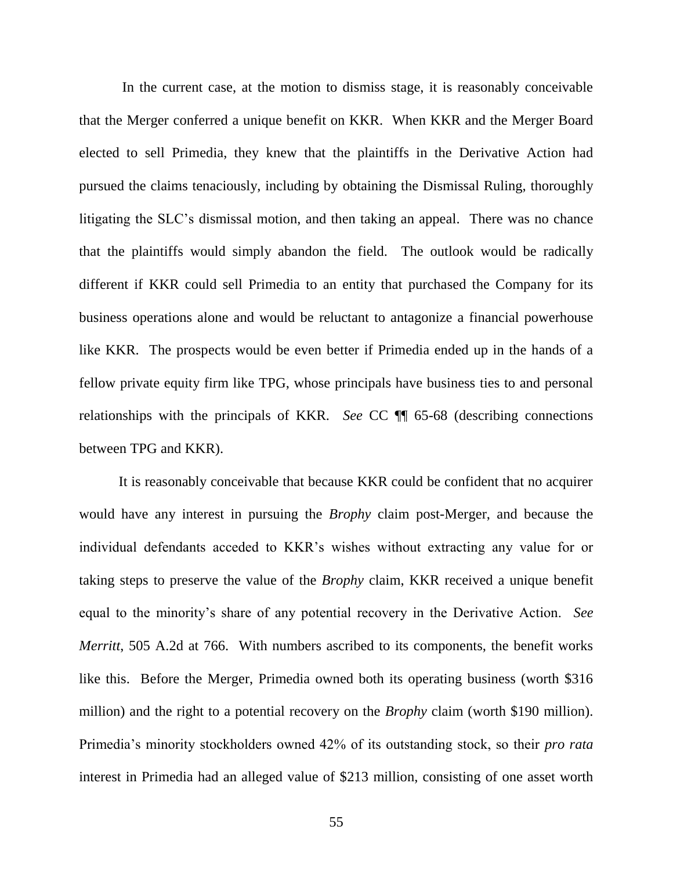In the current case, at the motion to dismiss stage, it is reasonably conceivable that the Merger conferred a unique benefit on KKR. When KKR and the Merger Board elected to sell Primedia, they knew that the plaintiffs in the Derivative Action had pursued the claims tenaciously, including by obtaining the Dismissal Ruling, thoroughly litigating the SLC's dismissal motion, and then taking an appeal. There was no chance that the plaintiffs would simply abandon the field. The outlook would be radically different if KKR could sell Primedia to an entity that purchased the Company for its business operations alone and would be reluctant to antagonize a financial powerhouse like KKR. The prospects would be even better if Primedia ended up in the hands of a fellow private equity firm like TPG, whose principals have business ties to and personal relationships with the principals of KKR. *See* CC ¶¶ 65-68 (describing connections between TPG and KKR).

It is reasonably conceivable that because KKR could be confident that no acquirer would have any interest in pursuing the *Brophy* claim post-Merger, and because the individual defendants acceded to KKR's wishes without extracting any value for or taking steps to preserve the value of the *Brophy* claim, KKR received a unique benefit equal to the minority's share of any potential recovery in the Derivative Action. *See Merritt*, 505 A.2d at 766. With numbers ascribed to its components, the benefit works like this. Before the Merger, Primedia owned both its operating business (worth \$316 million) and the right to a potential recovery on the *Brophy* claim (worth \$190 million). Primedia's minority stockholders owned 42% of its outstanding stock, so their *pro rata*  interest in Primedia had an alleged value of \$213 million, consisting of one asset worth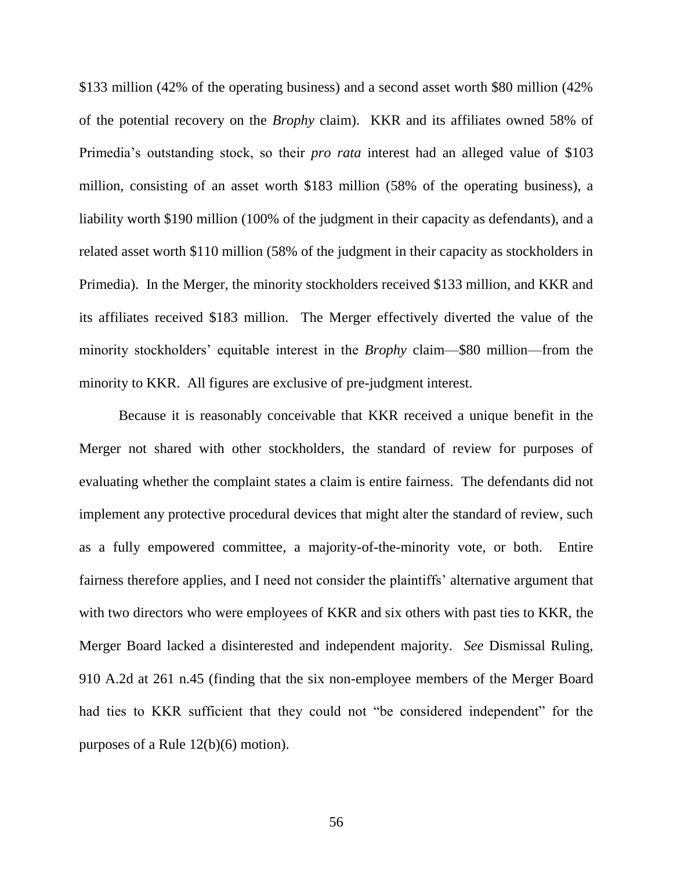\$133 million (42% of the operating business) and a second asset worth \$80 million (42% of the potential recovery on the *Brophy* claim). KKR and its affiliates owned 58% of Primedia's outstanding stock, so their *pro rata* interest had an alleged value of \$103 million, consisting of an asset worth \$183 million (58% of the operating business), a liability worth \$190 million (100% of the judgment in their capacity as defendants), and a related asset worth \$110 million (58% of the judgment in their capacity as stockholders in Primedia). In the Merger, the minority stockholders received \$133 million, and KKR and its affiliates received \$183 million. The Merger effectively diverted the value of the minority stockholders' equitable interest in the *Brophy* claim—\$80 million—from the minority to KKR. All figures are exclusive of pre-judgment interest.

Because it is reasonably conceivable that KKR received a unique benefit in the Merger not shared with other stockholders, the standard of review for purposes of evaluating whether the complaint states a claim is entire fairness. The defendants did not implement any protective procedural devices that might alter the standard of review, such as a fully empowered committee, a majority-of-the-minority vote, or both. Entire fairness therefore applies, and I need not consider the plaintiffs' alternative argument that with two directors who were employees of KKR and six others with past ties to KKR, the Merger Board lacked a disinterested and independent majority. *See* Dismissal Ruling, 910 A.2d at 261 n.45 (finding that the six non-employee members of the Merger Board had ties to KKR sufficient that they could not "be considered independent" for the purposes of a Rule 12(b)(6) motion).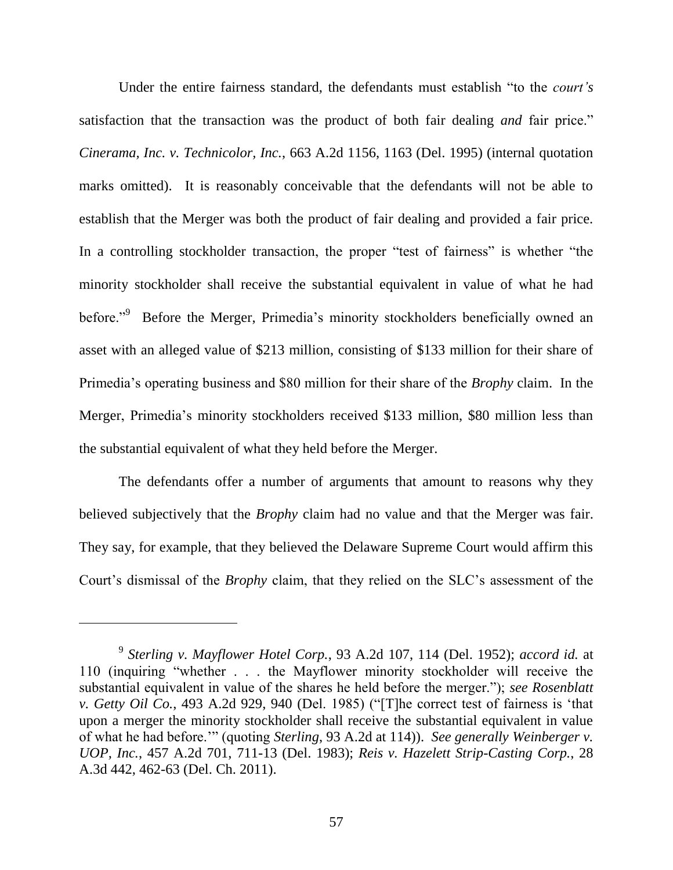Under the entire fairness standard, the defendants must establish "to the *court's* satisfaction that the transaction was the product of both fair dealing *and* fair price." *Cinerama, Inc. v. Technicolor, Inc.*, 663 A.2d 1156, 1163 (Del. 1995) (internal quotation marks omitted). It is reasonably conceivable that the defendants will not be able to establish that the Merger was both the product of fair dealing and provided a fair price. In a controlling stockholder transaction, the proper "test of fairness" is whether "the minority stockholder shall receive the substantial equivalent in value of what he had before."<sup>9</sup> Before the Merger, Primedia's minority stockholders beneficially owned an asset with an alleged value of \$213 million, consisting of \$133 million for their share of Primedia's operating business and \$80 million for their share of the *Brophy* claim. In the Merger, Primedia's minority stockholders received \$133 million, \$80 million less than the substantial equivalent of what they held before the Merger.

The defendants offer a number of arguments that amount to reasons why they believed subjectively that the *Brophy* claim had no value and that the Merger was fair. They say, for example, that they believed the Delaware Supreme Court would affirm this Court's dismissal of the *Brophy* claim, that they relied on the SLC's assessment of the

 $\overline{a}$ 

<sup>9</sup> *Sterling v. Mayflower Hotel Corp.*, 93 A.2d 107, 114 (Del. 1952); *accord id.* at 110 (inquiring "whether . . . the Mayflower minority stockholder will receive the substantial equivalent in value of the shares he held before the merger."); *see Rosenblatt v. Getty Oil Co.*, 493 A.2d 929, 940 (Del. 1985) ("The correct test of fairness is 'that upon a merger the minority stockholder shall receive the substantial equivalent in value of what he had before."" (quoting *Sterling*, 93 A.2d at 114)). *See generally Weinberger v. UOP, Inc.*, 457 A.2d 701, 711-13 (Del. 1983); *Reis v. Hazelett Strip-Casting Corp.*, 28 A.3d 442, 462-63 (Del. Ch. 2011).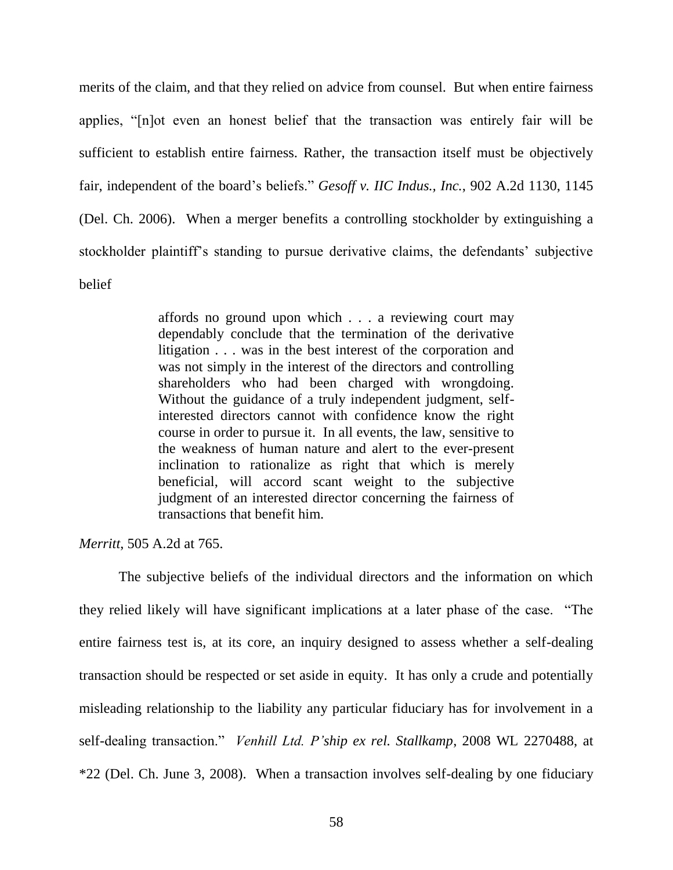merits of the claim, and that they relied on advice from counsel. But when entire fairness applies, "[n]ot even an honest belief that the transaction was entirely fair will be sufficient to establish entire fairness. Rather, the transaction itself must be objectively fair, independent of the board's beliefs." *Gesoff v. IIC Indus., Inc.*, 902 A.2d 1130, 1145 (Del. Ch. 2006). When a merger benefits a controlling stockholder by extinguishing a stockholder plaintiff's standing to pursue derivative claims, the defendants' subjective belief

> affords no ground upon which . . . a reviewing court may dependably conclude that the termination of the derivative litigation . . . was in the best interest of the corporation and was not simply in the interest of the directors and controlling shareholders who had been charged with wrongdoing. Without the guidance of a truly independent judgment, selfinterested directors cannot with confidence know the right course in order to pursue it. In all events, the law, sensitive to the weakness of human nature and alert to the ever-present inclination to rationalize as right that which is merely beneficial, will accord scant weight to the subjective judgment of an interested director concerning the fairness of transactions that benefit him.

*Merritt*, 505 A.2d at 765.

The subjective beliefs of the individual directors and the information on which they relied likely will have significant implications at a later phase of the case. "The entire fairness test is, at its core, an inquiry designed to assess whether a self-dealing transaction should be respected or set aside in equity. It has only a crude and potentially misleading relationship to the liability any particular fiduciary has for involvement in a self-dealing transaction." *Venhill Ltd. P'ship ex rel. Stallkamp*, 2008 WL 2270488, at \*22 (Del. Ch. June 3, 2008). When a transaction involves self-dealing by one fiduciary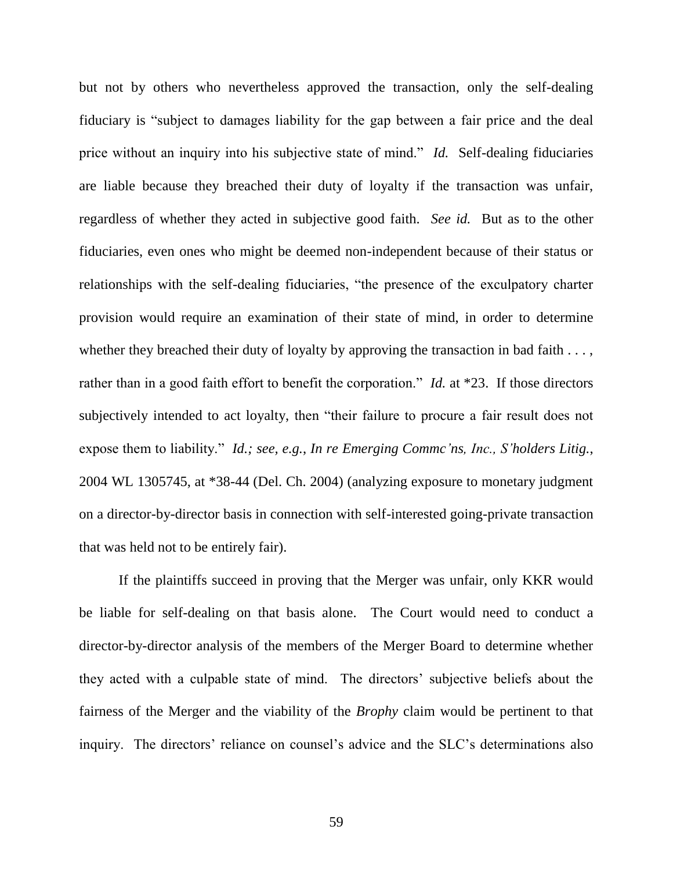but not by others who nevertheless approved the transaction, only the self-dealing fiduciary is "subject to damages liability for the gap between a fair price and the deal price without an inquiry into his subjective state of mind." *Id.* Self-dealing fiduciaries are liable because they breached their duty of loyalty if the transaction was unfair, regardless of whether they acted in subjective good faith. *See id.* But as to the other fiduciaries, even ones who might be deemed non-independent because of their status or relationships with the self-dealing fiduciaries, "the presence of the exculpatory charter provision would require an examination of their state of mind, in order to determine whether they breached their duty of loyalty by approving the transaction in bad faith  $\dots$ , rather than in a good faith effort to benefit the corporation." *Id.* at \*23. If those directors subjectively intended to act loyalty, then "their failure to procure a fair result does not expose them to liability." *Id.; see, e.g., In re Emerging Commc'ns, Inc., S'holders Litig.,* 2004 WL 1305745, at \*38-44 (Del. Ch. 2004) (analyzing exposure to monetary judgment on a director-by-director basis in connection with self-interested going-private transaction that was held not to be entirely fair).

If the plaintiffs succeed in proving that the Merger was unfair, only KKR would be liable for self-dealing on that basis alone. The Court would need to conduct a director-by-director analysis of the members of the Merger Board to determine whether they acted with a culpable state of mind. The directors' subjective beliefs about the fairness of the Merger and the viability of the *Brophy* claim would be pertinent to that inquiry. The directors' reliance on counsel's advice and the SLC's determinations also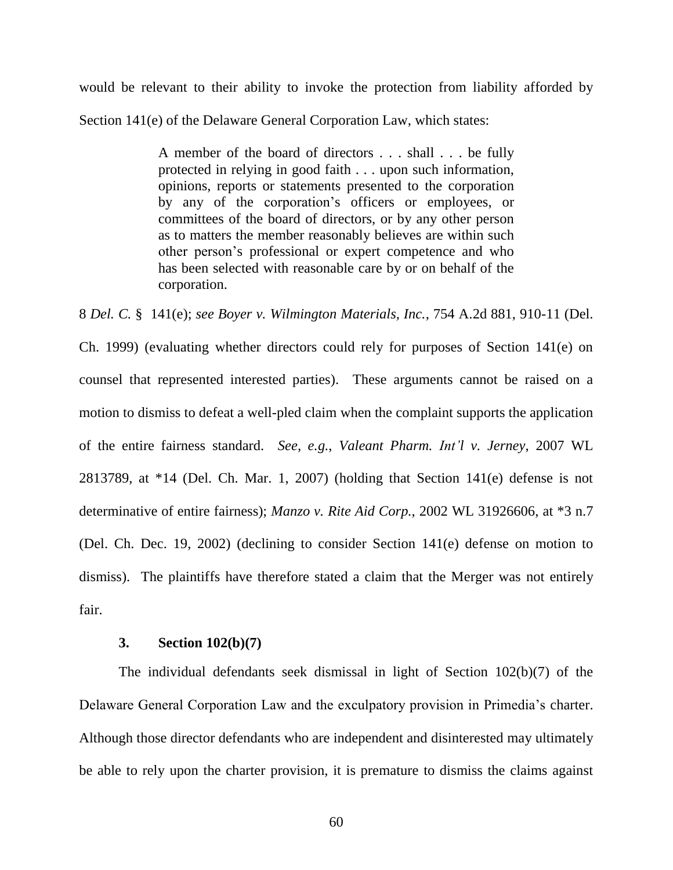would be relevant to their ability to invoke the protection from liability afforded by Section 141(e) of the Delaware General Corporation Law, which states:

> A member of the board of directors . . . shall . . . be fully protected in relying in good faith . . . upon such information, opinions, reports or statements presented to the corporation by any of the corporation's officers or employees, or committees of the board of directors, or by any other person as to matters the member reasonably believes are within such other person's professional or expert competence and who has been selected with reasonable care by or on behalf of the corporation.

8 *Del. C.* § 141(e); *see Boyer v. Wilmington Materials, Inc.*, 754 A.2d 881, 910-11 (Del.

Ch. 1999) (evaluating whether directors could rely for purposes of Section 141(e) on counsel that represented interested parties). These arguments cannot be raised on a motion to dismiss to defeat a well-pled claim when the complaint supports the application of the entire fairness standard. *See, e.g.*, *Valeant Pharm. Int'l v. Jerney*, 2007 WL 2813789, at \*14 (Del. Ch. Mar. 1, 2007) (holding that Section 141(e) defense is not determinative of entire fairness); *Manzo v. Rite Aid Corp.*, 2002 WL 31926606, at \*3 n.7 (Del. Ch. Dec. 19, 2002) (declining to consider Section 141(e) defense on motion to dismiss). The plaintiffs have therefore stated a claim that the Merger was not entirely fair.

## **3. Section 102(b)(7)**

The individual defendants seek dismissal in light of Section 102(b)(7) of the Delaware General Corporation Law and the exculpatory provision in Primedia's charter. Although those director defendants who are independent and disinterested may ultimately be able to rely upon the charter provision, it is premature to dismiss the claims against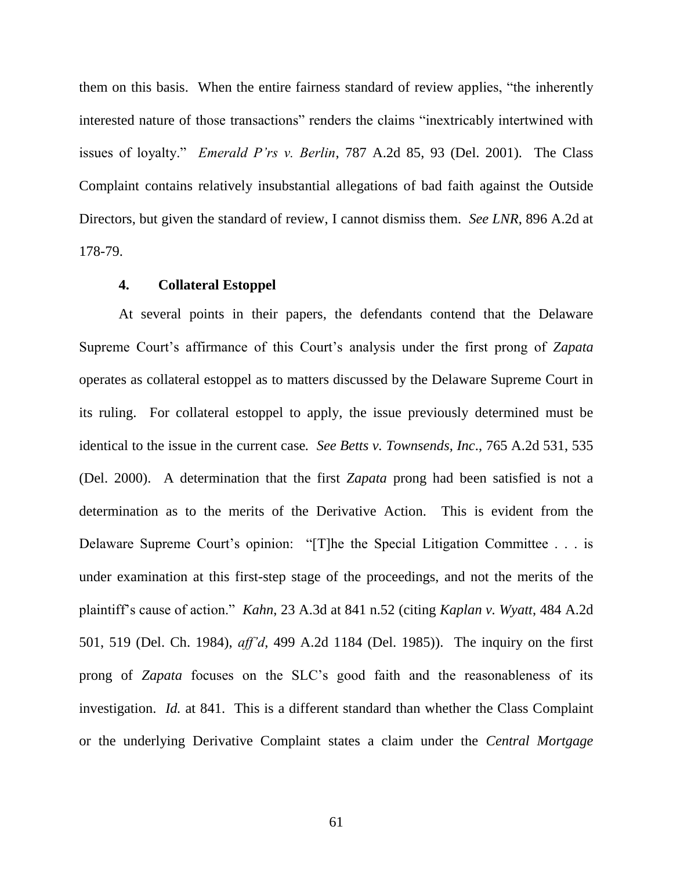them on this basis. When the entire fairness standard of review applies, "the inherently interested nature of those transactions" renders the claims "inextricably intertwined with issues of loyalty." *Emerald P'rs v. Berlin*, 787 A.2d 85, 93 (Del. 2001). The Class Complaint contains relatively insubstantial allegations of bad faith against the Outside Directors, but given the standard of review, I cannot dismiss them. *See LNR*, 896 A.2d at 178-79.

# **4. Collateral Estoppel**

At several points in their papers, the defendants contend that the Delaware Supreme Court's affirmance of this Court's analysis under the first prong of *Zapata*  operates as collateral estoppel as to matters discussed by the Delaware Supreme Court in its ruling. For collateral estoppel to apply, the issue previously determined must be identical to the issue in the current case*. See Betts v. Townsends, Inc*., 765 A.2d 531, 535 (Del. 2000). A determination that the first *Zapata* prong had been satisfied is not a determination as to the merits of the Derivative Action. This is evident from the Delaware Supreme Court's opinion: "[T]he the Special Litigation Committee . . . is under examination at this first-step stage of the proceedings, and not the merits of the plaintiff's cause of action.‖ *Kahn*, 23 A.3d at 841 n.52 (citing *Kaplan v. Wyatt*, 484 A.2d 501, 519 (Del. Ch. 1984), *aff'd*, 499 A.2d 1184 (Del. 1985)). The inquiry on the first prong of *Zapata* focuses on the SLC's good faith and the reasonableness of its investigation. *Id.* at 841. This is a different standard than whether the Class Complaint or the underlying Derivative Complaint states a claim under the *Central Mortgage*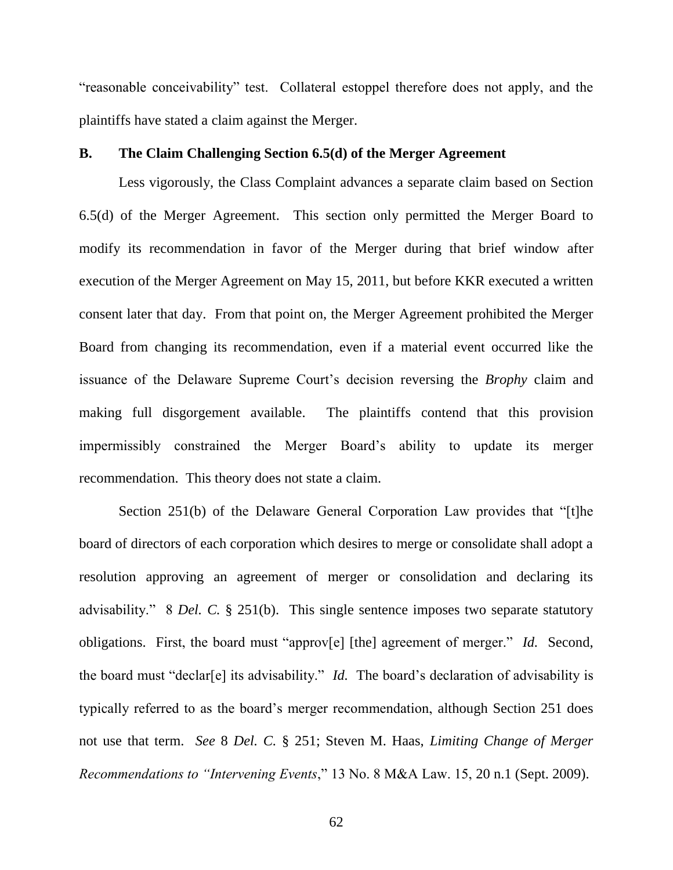"reasonable conceivability" test. Collateral estoppel therefore does not apply, and the plaintiffs have stated a claim against the Merger.

## **B. The Claim Challenging Section 6.5(d) of the Merger Agreement**

Less vigorously, the Class Complaint advances a separate claim based on Section 6.5(d) of the Merger Agreement. This section only permitted the Merger Board to modify its recommendation in favor of the Merger during that brief window after execution of the Merger Agreement on May 15, 2011, but before KKR executed a written consent later that day. From that point on, the Merger Agreement prohibited the Merger Board from changing its recommendation, even if a material event occurred like the issuance of the Delaware Supreme Court's decision reversing the *Brophy* claim and making full disgorgement available. The plaintiffs contend that this provision impermissibly constrained the Merger Board's ability to update its merger recommendation. This theory does not state a claim.

Section 251(b) of the Delaware General Corporation Law provides that "[t]he board of directors of each corporation which desires to merge or consolidate shall adopt a resolution approving an agreement of merger or consolidation and declaring its advisability." 8 *Del. C.* § 251(b). This single sentence imposes two separate statutory obligations. First, the board must "approv[e] [the] agreement of merger." *Id.* Second, the board must "declar[e] its advisability." *Id.* The board's declaration of advisability is typically referred to as the board's merger recommendation, although Section 251 does not use that term. *See* 8 *Del. C.* § 251; Steven M. Haas, *Limiting Change of Merger Recommendations to "Intervening Events,"* 13 No. 8 M&A Law. 15, 20 n.1 (Sept. 2009).

62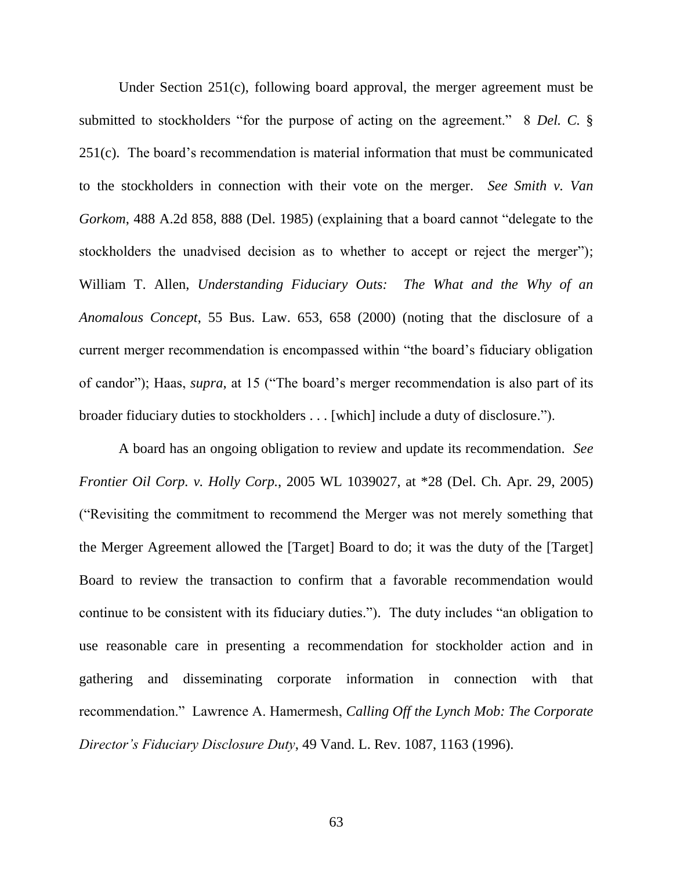Under Section 251(c), following board approval, the merger agreement must be submitted to stockholders "for the purpose of acting on the agreement." 8 *Del. C.* § 251(c). The board's recommendation is material information that must be communicated to the stockholders in connection with their vote on the merger. *See Smith v. Van Gorkom*, 488 A.2d 858, 888 (Del. 1985) (explaining that a board cannot "delegate to the stockholders the unadvised decision as to whether to accept or reject the merger"); William T. Allen, *Understanding Fiduciary Outs: The What and the Why of an Anomalous Concept*, 55 Bus. Law. 653, 658 (2000) (noting that the disclosure of a current merger recommendation is encompassed within "the board's fiduciary obligation of candor"); Haas, *supra*, at 15 ("The board's merger recommendation is also part of its broader fiduciary duties to stockholders . . . [which] include a duty of disclosure.").

A board has an ongoing obligation to review and update its recommendation. *See Frontier Oil Corp. v. Holly Corp.*, 2005 WL 1039027, at \*28 (Del. Ch. Apr. 29, 2005) (―Revisiting the commitment to recommend the Merger was not merely something that the Merger Agreement allowed the [Target] Board to do; it was the duty of the [Target] Board to review the transaction to confirm that a favorable recommendation would continue to be consistent with its fiduciary duties."). The duty includes "an obligation to use reasonable care in presenting a recommendation for stockholder action and in gathering and disseminating corporate information in connection with that recommendation.‖ Lawrence A. Hamermesh, *Calling Off the Lynch Mob: The Corporate Director's Fiduciary Disclosure Duty*, 49 Vand. L. Rev. 1087, 1163 (1996).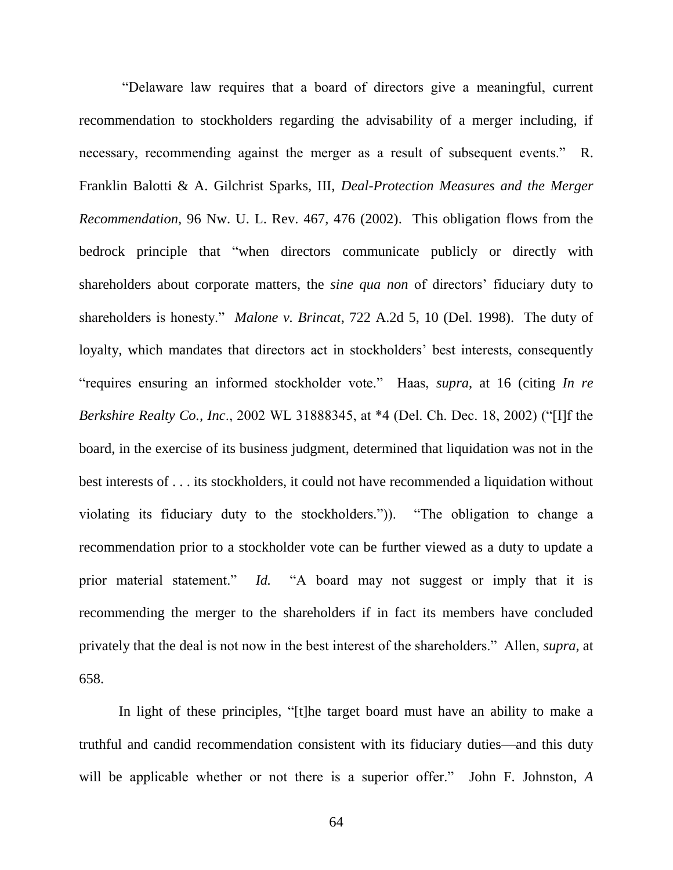―Delaware law requires that a board of directors give a meaningful, current recommendation to stockholders regarding the advisability of a merger including, if necessary, recommending against the merger as a result of subsequent events." R. Franklin Balotti & A. Gilchrist Sparks, III, *Deal-Protection Measures and the Merger Recommendation*, 96 Nw. U. L. Rev. 467, 476 (2002). This obligation flows from the bedrock principle that "when directors communicate publicly or directly with shareholders about corporate matters, the *sine qua non* of directors' fiduciary duty to shareholders is honesty." *Malone v. Brincat*, 722 A.2d 5, 10 (Del. 1998). The duty of loyalty, which mandates that directors act in stockholders' best interests, consequently ―requires ensuring an informed stockholder vote.‖ Haas, *supra*, at 16 (citing *In re Berkshire Realty Co., Inc.*, 2002 WL 31888345, at \*4 (Del. Ch. Dec. 18, 2002) ("[I]f the board, in the exercise of its business judgment, determined that liquidation was not in the best interests of . . . its stockholders, it could not have recommended a liquidation without violating its fiduciary duty to the stockholders.")). "The obligation to change a recommendation prior to a stockholder vote can be further viewed as a duty to update a prior material statement." *Id.* "A board may not suggest or imply that it is recommending the merger to the shareholders if in fact its members have concluded privately that the deal is not now in the best interest of the shareholders.‖ Allen, *supra*, at 658.

In light of these principles, "[t]he target board must have an ability to make a truthful and candid recommendation consistent with its fiduciary duties—and this duty will be applicable whether or not there is a superior offer." John F. Johnston, A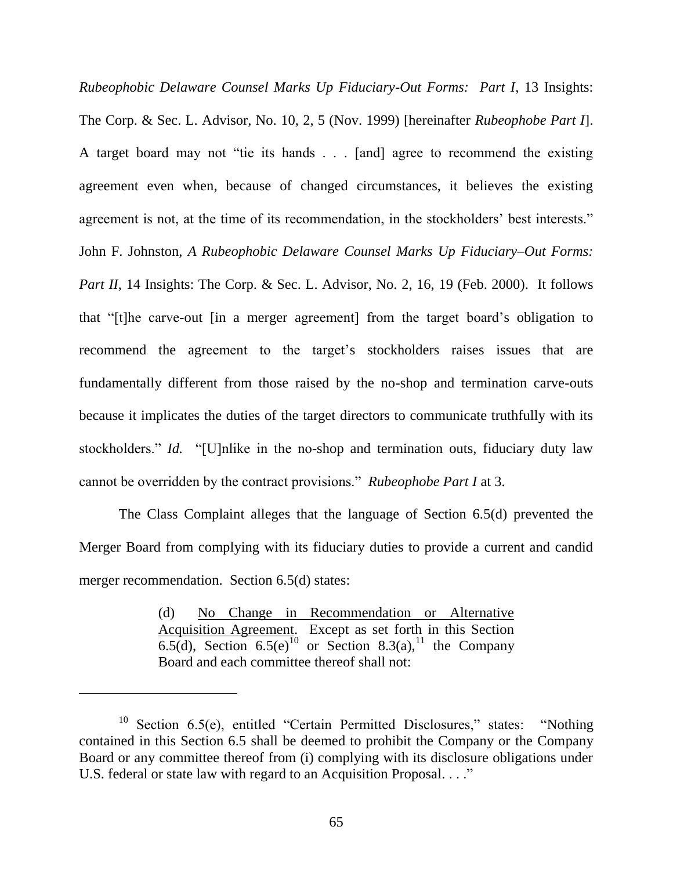*Rubeophobic Delaware Counsel Marks Up Fiduciary-Out Forms: Part I*, 13 Insights: The Corp. & Sec. L. Advisor, No. 10, 2, 5 (Nov. 1999) [hereinafter *Rubeophobe Part I*]. A target board may not "tie its hands  $\ldots$  [and] agree to recommend the existing agreement even when, because of changed circumstances, it believes the existing agreement is not, at the time of its recommendation, in the stockholders' best interests." John F. Johnston, *A Rubeophobic Delaware Counsel Marks Up Fiduciary–Out Forms: Part II*, 14 Insights: The Corp. & Sec. L. Advisor, No. 2, 16, 19 (Feb. 2000). It follows that ―[t]he carve-out [in a merger agreement] from the target board's obligation to recommend the agreement to the target's stockholders raises issues that are fundamentally different from those raised by the no-shop and termination carve-outs because it implicates the duties of the target directors to communicate truthfully with its stockholders." *Id.* "[U]nlike in the no-shop and termination outs, fiduciary duty law cannot be overridden by the contract provisions." *Rubeophobe Part I* at 3.

The Class Complaint alleges that the language of Section 6.5(d) prevented the Merger Board from complying with its fiduciary duties to provide a current and candid merger recommendation. Section 6.5(d) states:

> (d) No Change in Recommendation or Alternative Acquisition Agreement. Except as set forth in this Section 6.5(d), Section 6.5(e)<sup>10</sup> or Section 8.3(a),<sup>11</sup> the Company Board and each committee thereof shall not:

 $\overline{a}$ 

 $10$  Section 6.5(e), entitled "Certain Permitted Disclosures," states: "Nothing contained in this Section 6.5 shall be deemed to prohibit the Company or the Company Board or any committee thereof from (i) complying with its disclosure obligations under U.S. federal or state law with regard to an Acquisition Proposal. . . ."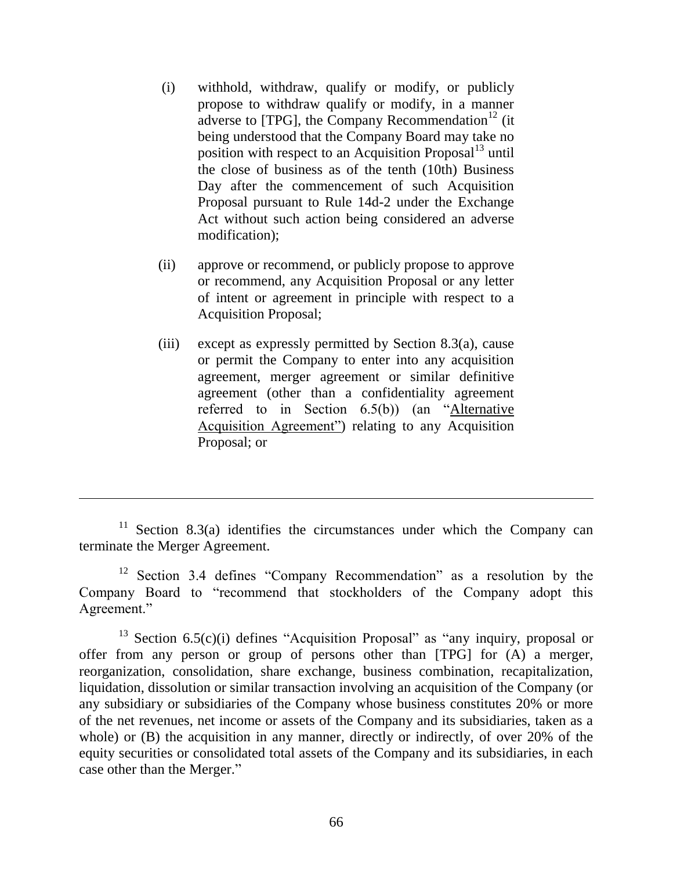- (i) withhold, withdraw, qualify or modify, or publicly propose to withdraw qualify or modify, in a manner adverse to [TPG], the Company Recommendation $^{12}$  (it) being understood that the Company Board may take no position with respect to an Acquisition Proposal $1<sup>3</sup>$  until the close of business as of the tenth (10th) Business Day after the commencement of such Acquisition Proposal pursuant to Rule 14d-2 under the Exchange Act without such action being considered an adverse modification);
- (ii) approve or recommend, or publicly propose to approve or recommend, any Acquisition Proposal or any letter of intent or agreement in principle with respect to a Acquisition Proposal;
- (iii) except as expressly permitted by Section 8.3(a), cause or permit the Company to enter into any acquisition agreement, merger agreement or similar definitive agreement (other than a confidentiality agreement referred to in Section  $6.5(b)$  (an "Alternative Acquisition Agreement") relating to any Acquisition Proposal; or

 $\overline{a}$ 

<sup>&</sup>lt;sup>11</sup> Section 8.3(a) identifies the circumstances under which the Company can terminate the Merger Agreement.

<sup>&</sup>lt;sup>12</sup> Section 3.4 defines "Company Recommendation" as a resolution by the Company Board to "recommend that stockholders of the Company adopt this Agreement."

<sup>&</sup>lt;sup>13</sup> Section 6.5(c)(i) defines "Acquisition Proposal" as "any inquiry, proposal or offer from any person or group of persons other than [TPG] for (A) a merger, reorganization, consolidation, share exchange, business combination, recapitalization, liquidation, dissolution or similar transaction involving an acquisition of the Company (or any subsidiary or subsidiaries of the Company whose business constitutes 20% or more of the net revenues, net income or assets of the Company and its subsidiaries, taken as a whole) or (B) the acquisition in any manner, directly or indirectly, of over 20% of the equity securities or consolidated total assets of the Company and its subsidiaries, in each case other than the Merger."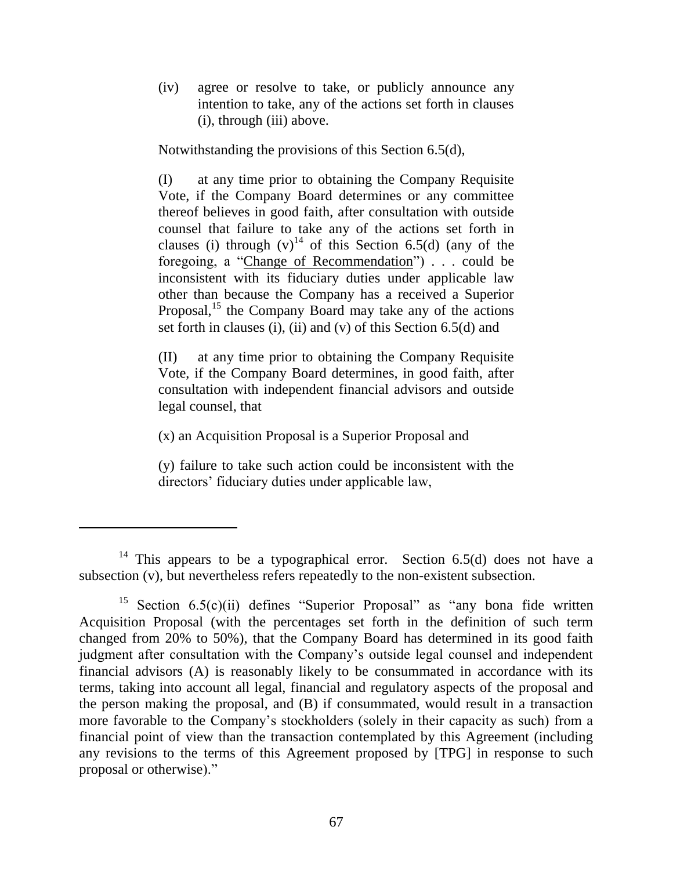(iv) agree or resolve to take, or publicly announce any intention to take, any of the actions set forth in clauses (i), through (iii) above.

Notwithstanding the provisions of this Section 6.5(d),

(I) at any time prior to obtaining the Company Requisite Vote, if the Company Board determines or any committee thereof believes in good faith, after consultation with outside counsel that failure to take any of the actions set forth in clauses (i) through  $(v)^{14}$  of this Section 6.5(d) (any of the foregoing, a "Change of Recommendation"  $\cdots$  could be inconsistent with its fiduciary duties under applicable law other than because the Company has a received a Superior Proposal, $^{15}$  the Company Board may take any of the actions set forth in clauses (i), (ii) and (v) of this Section 6.5(d) and

(II) at any time prior to obtaining the Company Requisite Vote, if the Company Board determines, in good faith, after consultation with independent financial advisors and outside legal counsel, that

(x) an Acquisition Proposal is a Superior Proposal and

(y) failure to take such action could be inconsistent with the directors' fiduciary duties under applicable law,

<sup>&</sup>lt;sup>14</sup> This appears to be a typographical error. Section  $6.5(d)$  does not have a subsection (v), but nevertheless refers repeatedly to the non-existent subsection.

<sup>&</sup>lt;sup>15</sup> Section  $6.5(c)(ii)$  defines "Superior Proposal" as "any bona fide written Acquisition Proposal (with the percentages set forth in the definition of such term changed from 20% to 50%), that the Company Board has determined in its good faith judgment after consultation with the Company's outside legal counsel and independent financial advisors (A) is reasonably likely to be consummated in accordance with its terms, taking into account all legal, financial and regulatory aspects of the proposal and the person making the proposal, and (B) if consummated, would result in a transaction more favorable to the Company's stockholders (solely in their capacity as such) from a financial point of view than the transaction contemplated by this Agreement (including any revisions to the terms of this Agreement proposed by [TPG] in response to such proposal or otherwise)."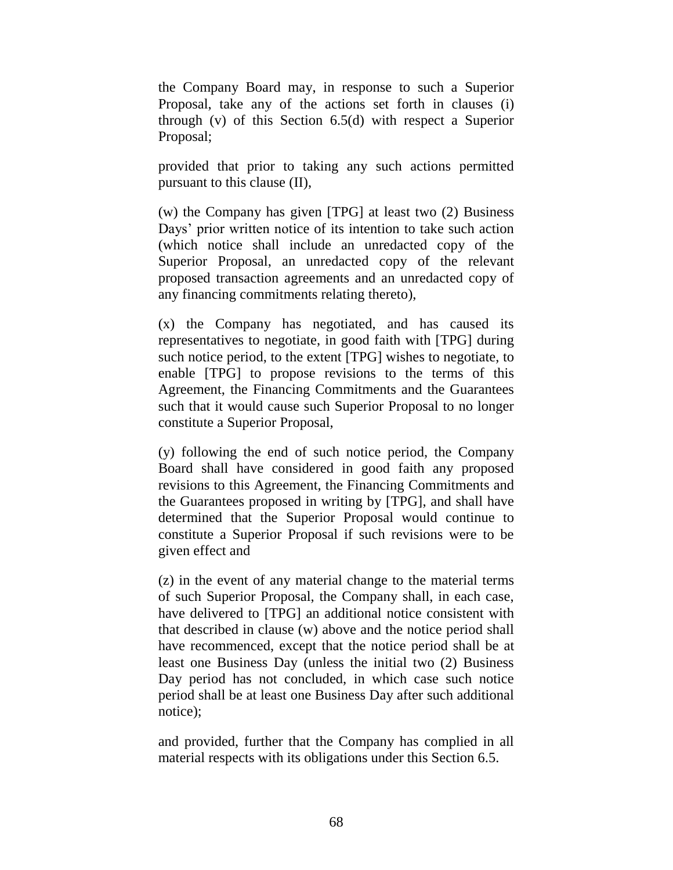the Company Board may, in response to such a Superior Proposal, take any of the actions set forth in clauses (i) through (v) of this Section 6.5(d) with respect a Superior Proposal;

provided that prior to taking any such actions permitted pursuant to this clause (II),

(w) the Company has given [TPG] at least two (2) Business Days' prior written notice of its intention to take such action (which notice shall include an unredacted copy of the Superior Proposal, an unredacted copy of the relevant proposed transaction agreements and an unredacted copy of any financing commitments relating thereto),

(x) the Company has negotiated, and has caused its representatives to negotiate, in good faith with [TPG] during such notice period, to the extent [TPG] wishes to negotiate, to enable [TPG] to propose revisions to the terms of this Agreement, the Financing Commitments and the Guarantees such that it would cause such Superior Proposal to no longer constitute a Superior Proposal,

(y) following the end of such notice period, the Company Board shall have considered in good faith any proposed revisions to this Agreement, the Financing Commitments and the Guarantees proposed in writing by [TPG], and shall have determined that the Superior Proposal would continue to constitute a Superior Proposal if such revisions were to be given effect and

(z) in the event of any material change to the material terms of such Superior Proposal, the Company shall, in each case, have delivered to [TPG] an additional notice consistent with that described in clause (w) above and the notice period shall have recommenced, except that the notice period shall be at least one Business Day (unless the initial two (2) Business Day period has not concluded, in which case such notice period shall be at least one Business Day after such additional notice);

and provided, further that the Company has complied in all material respects with its obligations under this Section 6.5.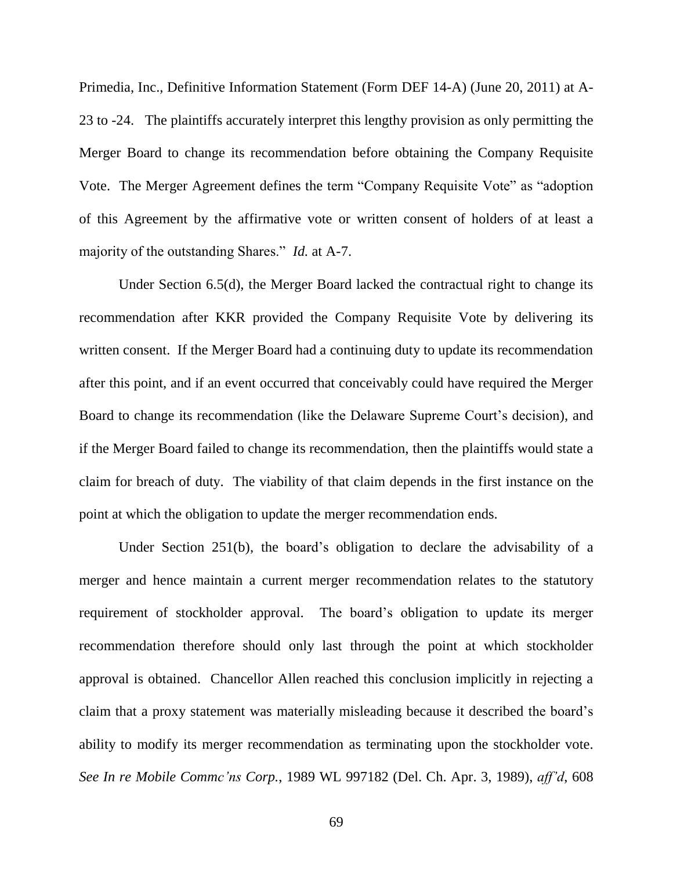Primedia, Inc., Definitive Information Statement (Form DEF 14-A) (June 20, 2011) at A-23 to -24. The plaintiffs accurately interpret this lengthy provision as only permitting the Merger Board to change its recommendation before obtaining the Company Requisite Vote. The Merger Agreement defines the term "Company Requisite Vote" as "adoption of this Agreement by the affirmative vote or written consent of holders of at least a majority of the outstanding Shares." *Id.* at A-7.

Under Section 6.5(d), the Merger Board lacked the contractual right to change its recommendation after KKR provided the Company Requisite Vote by delivering its written consent. If the Merger Board had a continuing duty to update its recommendation after this point, and if an event occurred that conceivably could have required the Merger Board to change its recommendation (like the Delaware Supreme Court's decision), and if the Merger Board failed to change its recommendation, then the plaintiffs would state a claim for breach of duty. The viability of that claim depends in the first instance on the point at which the obligation to update the merger recommendation ends.

Under Section 251(b), the board's obligation to declare the advisability of a merger and hence maintain a current merger recommendation relates to the statutory requirement of stockholder approval. The board's obligation to update its merger recommendation therefore should only last through the point at which stockholder approval is obtained. Chancellor Allen reached this conclusion implicitly in rejecting a claim that a proxy statement was materially misleading because it described the board's ability to modify its merger recommendation as terminating upon the stockholder vote. *See In re Mobile Commc'ns Corp.*, 1989 WL 997182 (Del. Ch. Apr. 3, 1989), *aff'd*, 608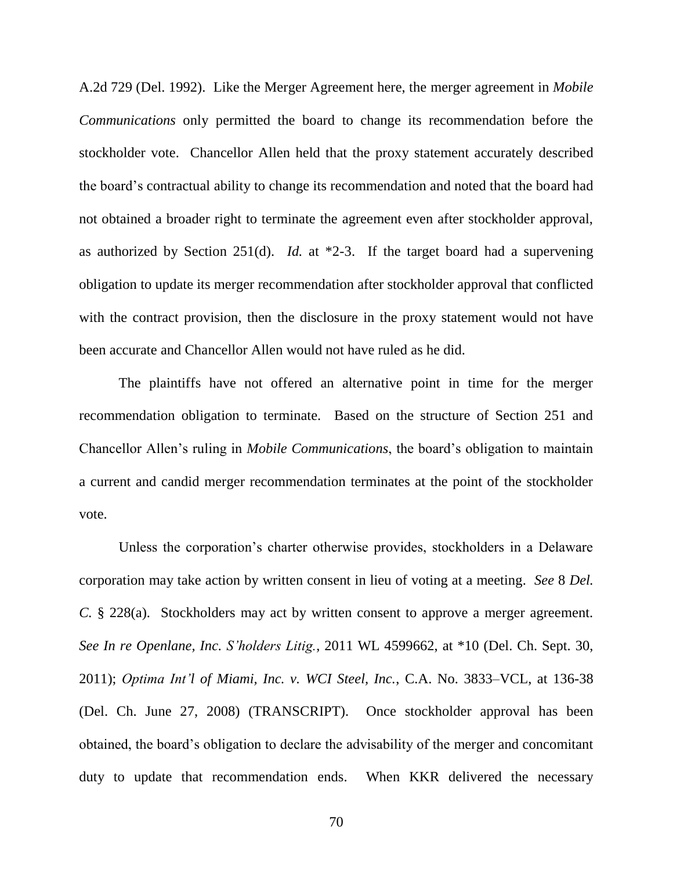A.2d 729 (Del. 1992). Like the Merger Agreement here, the merger agreement in *Mobile Communications* only permitted the board to change its recommendation before the stockholder vote. Chancellor Allen held that the proxy statement accurately described the board's contractual ability to change its recommendation and noted that the board had not obtained a broader right to terminate the agreement even after stockholder approval, as authorized by Section 251(d). *Id.* at \*2-3. If the target board had a supervening obligation to update its merger recommendation after stockholder approval that conflicted with the contract provision, then the disclosure in the proxy statement would not have been accurate and Chancellor Allen would not have ruled as he did.

The plaintiffs have not offered an alternative point in time for the merger recommendation obligation to terminate. Based on the structure of Section 251 and Chancellor Allen's ruling in *Mobile Communications*, the board's obligation to maintain a current and candid merger recommendation terminates at the point of the stockholder vote.

Unless the corporation's charter otherwise provides, stockholders in a Delaware corporation may take action by written consent in lieu of voting at a meeting. *See* 8 *Del. C.* § 228(a). Stockholders may act by written consent to approve a merger agreement. *See In re Openlane, Inc. S'holders Litig.*, 2011 WL 4599662, at \*10 (Del. Ch. Sept. 30, 2011); *Optima Int'l of Miami, Inc. v. WCI Steel, Inc.*, C.A. No. 3833–VCL, at 136-38 (Del. Ch. June 27, 2008) (TRANSCRIPT). Once stockholder approval has been obtained, the board's obligation to declare the advisability of the merger and concomitant duty to update that recommendation ends. When KKR delivered the necessary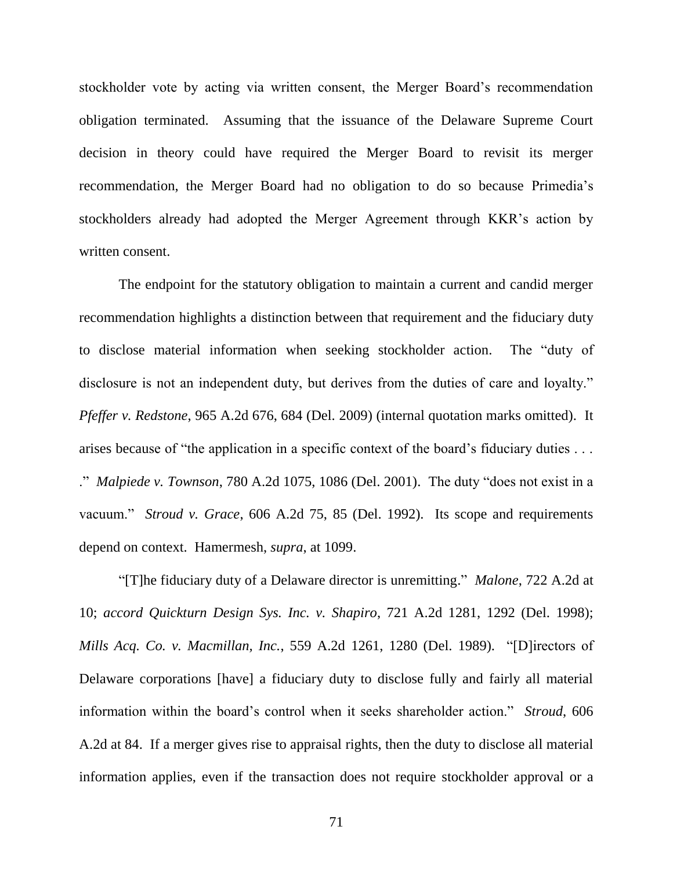stockholder vote by acting via written consent, the Merger Board's recommendation obligation terminated. Assuming that the issuance of the Delaware Supreme Court decision in theory could have required the Merger Board to revisit its merger recommendation, the Merger Board had no obligation to do so because Primedia's stockholders already had adopted the Merger Agreement through KKR's action by written consent.

The endpoint for the statutory obligation to maintain a current and candid merger recommendation highlights a distinction between that requirement and the fiduciary duty to disclose material information when seeking stockholder action. The "duty of disclosure is not an independent duty, but derives from the duties of care and loyalty." *Pfeffer v. Redstone*, 965 A.2d 676, 684 (Del. 2009) (internal quotation marks omitted). It arises because of "the application in a specific context of the board's fiduciary duties . . . ." *Malpiede v. Townson*, 780 A.2d 1075, 1086 (Del. 2001). The duty "does not exist in a vacuum." *Stroud v. Grace*, 606 A.2d 75, 85 (Del. 1992). Its scope and requirements depend on context. Hamermesh, *supra*, at 1099.

―[T]he fiduciary duty of a Delaware director is unremitting.‖ *Malone*, 722 A.2d at 10; *accord Quickturn Design Sys. Inc. v. Shapiro*, 721 A.2d 1281, 1292 (Del. 1998); *Mills Acq. Co. v. Macmillan, Inc., 559 A.2d 1261, 1280 (Del. 1989).* "[D]irectors of Delaware corporations [have] a fiduciary duty to disclose fully and fairly all material information within the board's control when it seeks shareholder action." *Stroud*, 606 A.2d at 84. If a merger gives rise to appraisal rights, then the duty to disclose all material information applies, even if the transaction does not require stockholder approval or a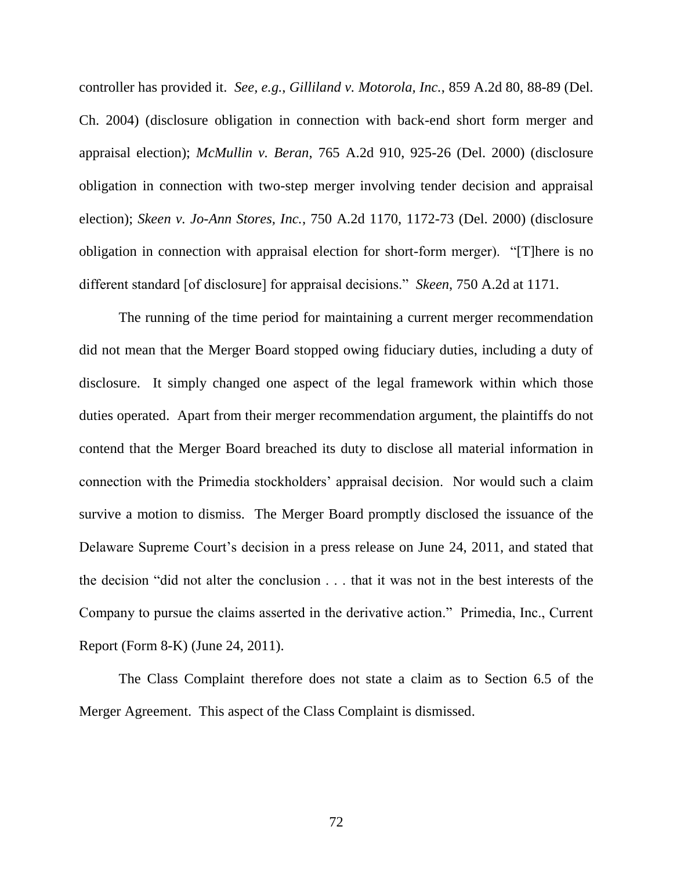controller has provided it. *See, e.g.*, *Gilliland v. Motorola, Inc.*, 859 A.2d 80, 88-89 (Del. Ch. 2004) (disclosure obligation in connection with back-end short form merger and appraisal election); *McMullin v. Beran*, 765 A.2d 910, 925-26 (Del. 2000) (disclosure obligation in connection with two-step merger involving tender decision and appraisal election); *Skeen v. Jo-Ann Stores, Inc.*, 750 A.2d 1170, 1172-73 (Del. 2000) (disclosure obligation in connection with appraisal election for short-form merger). "[T]here is no different standard [of disclosure] for appraisal decisions." *Skeen*, 750 A.2d at 1171.

The running of the time period for maintaining a current merger recommendation did not mean that the Merger Board stopped owing fiduciary duties, including a duty of disclosure. It simply changed one aspect of the legal framework within which those duties operated. Apart from their merger recommendation argument, the plaintiffs do not contend that the Merger Board breached its duty to disclose all material information in connection with the Primedia stockholders' appraisal decision. Nor would such a claim survive a motion to dismiss. The Merger Board promptly disclosed the issuance of the Delaware Supreme Court's decision in a press release on June 24, 2011, and stated that the decision "did not alter the conclusion . . . that it was not in the best interests of the Company to pursue the claims asserted in the derivative action." Primedia, Inc., Current Report (Form 8-K) (June 24, 2011).

The Class Complaint therefore does not state a claim as to Section 6.5 of the Merger Agreement. This aspect of the Class Complaint is dismissed.